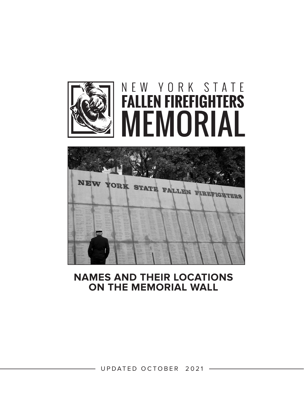

# NEW YORK STATE **FALLEN FIREFIGHTERS** MEMORIAL



### **NAMES AND THEIR LOCATIONS ON THE MEMORIAL WALL**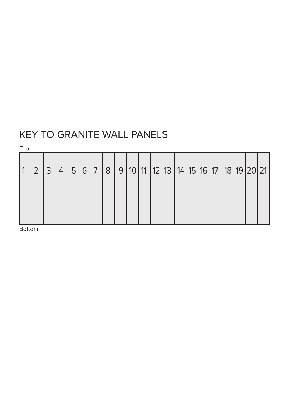## KEY TO GRANITE WALL PANELS

Top

|  | $\overline{4}$ |  | 5   6   7   8   9   10   11   12   13   14   15   16   17   18   19   20   21 |  |  |  |  |  |  |  |
|--|----------------|--|-------------------------------------------------------------------------------|--|--|--|--|--|--|--|
|  |                |  |                                                                               |  |  |  |  |  |  |  |

Bottom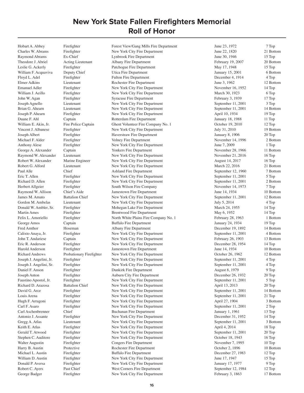Hobart A. Abbey Firefighter Forest View/Gang Mills Fire Department June 23, 1972 7 Top

Charles W. Abrams Firefighter New York City Fire Department June 22, 1820 21 Bottom Raymond Abrams Ex-Chief Lynbrook Fire Department June 30, 1946 15 Top Theodore J. Abriel Acting Lieutenant Albany Fire Department February 19, 2007 20 Bottom Leslie G. Ackerly Firefighter Patchogue Fire Department May 17, 1948 15 Top William F. Acquaviva Deputy Chief Utica Fire Department January 15, 2001 6 Bottom Floyd L. Adel Firefighter Fulton Fire Department December 4, 1914 4 Top Elmer Adkins Lieutenant Rochester Fire Department June 3, 1962 12 Bottom Emanuel Adler Firefighter New York City Fire Department November 16, 1952 14 Top William J. Aeillo Firefighter New York City Fire Department March 30, 1923 6 Top John W. Agan Firefighter Syracuse Fire Department February 3, 1939 17 Top Joseph Agnello Lieutenant New York City Fire Department September 11, 2001 3 Top Brian G. Ahearn Lieutenant New York City Fire Department September 11, 2001 14 Bottom Joseph P. Ahearn Firefighter New York City Fire Department April 10, 1934 19 Top Duane F. Ahl Captain Rotterdam Fire Department January 18, 1988 11 Top William E. Akin, Jr. Fire Police Captain Ghent Volunteer Fire Company No. 1 0ctober 19, 2010 12 Top Vincent J. Albanese Firefighter New York City Fire Department July 31, 2010 19 Bottom Joseph Albert Firefighter Haverstraw Fire Department January 8, 1906 20 Top Michael F. Alder Firefighter Volney Fire Department November 14, 1996 2 Bottom Anthony Alese Firefighter New York City Fire Department June 7, 2009 1 Top George A. Alexander Captain Captain Yonkers Fire Department November 28, 1966 11 Bottom Raymond W. Alexander Lieutenant New York City Fire Department November 21, 2016 16 Top Robert W. Alexander Marine Engineer New York City Fire Department August 14, 2017 16 Top Robert G. Alford Lieutenant New York City Fire Department March 22, 2016 21 Bottom Paul Alle Chief Ashland Fire Department September 12, 1960 7 Bottom Eric T. Allen Firefighter New York City Fire Department September 11, 2001 5 Top Richard D. Allen Firefighter New York City Fire Department September 11, 2001 2 Bottom Herbert Allgeier Firefighter South Wilson Fire Company November 14, 1973 7 Top<br>Raymond W. Allison Chief's Aide Jamestown Fire Department June 14, 1934 10 Bott Raymond W. Allison Chief's Aide Jamestown Fire Department June 14, 1934 June 14, 1934 10 Bottom James M. Amato Battalion Chief New York City Fire Department September 11, 2001 12 Bottom Gordon M. Ambelas Lieutenant New York City Fire Department July 5, 2014 4 Top Donald W. Ambler, Sr. Firefighter Mohegan Lake Fire Department March 24, 1955 14 Top Martin Ames Firefighter Brentwood Fire Department May 6, 1952 14 Top Felix L. Amoriello Firefighter North White Plains Fire Company No. 1 February 28, 1963 1 Bottom George Amos Captain Captain Buffalo Fire Department 19 Top January 24, 1934 19 Top Fred Amthor Hoseman Albany Fire Department December 19, 1892 14 Bottom Calixto Anaya, Jr. Firefighter New York City Fire Department September 11, 2001 4 Bottom John T. Andariese Captain New York City Fire Department February 26, 1903 13 Bottom Eric R. Anderson Firefighter New York City Fire Department December 28, 1954 14 Top Harold Anderson Firefighter Jamestown Fire Department June 14, 1934 10 Bottom Richard Andrews Probationary Firefighter New York City Fire Department October 26, 1962 12 Bottom Joseph J. Angelini, Jr. Firefighter New York City Fire Department September 11, 2001 4 Top Joseph J. Angelini, Sr. Firefighter New York City Fire Department September 11, 2001 4 Top Daniel F. Anson Firefighter Dunkirk Fire Department August 8, 1979 9 Top Joseph Anton Firefighter Auburn City Fire Department December 26, 1932 20 Top Faustino Apostol, Jr. Firefighter New York City Fire Department September 11, 2001 5 Top Richard D. Arazosa Battalion Chief New York City Fire Department April 13, 2013 20 Top David G. Arce Firefighter New York City Fire Department September 11, 2001 14 Bottom Louis Arena Firefighter New York City Fire Department September 11, 2001 21 Top Hugh F. Arragoni Firefighter New York City Fire Department April 27, 1904 3 Bottom Carl F. Asaro Firefighter New York City Fire Department September 11, 2001 2 Top Carl Aschenbrenner Chief Buchanan Fire Department January 1, 1961 13 Top Antonio J. Assante Firefighter New York City Fire Department December 31, 1952 14 Top Gregg A. Atlas Lieutenant New York City Fire Department September 11, 2001 3 Bottom Keith E. Atlas Firefighter New York City Fire Department April 4, 2014 18 Top Gerald T. Atwood Firefighter New York City Fire Department September 11, 2001 20 Top Stephen C. Auditore Firefighter New York City Fire Department October 18, 1943 16 Top Walter Augustin Firefighter Congers Fire Department November 7, 1995 10 Top Harry B. Austin Protective Protective Rochester Fire Department Cocober 2, 1896 10 Bottom<br>
Michael L. Austin Firefighter Buffalo Fire Department December 27. 1983 12 Top Michael L. Austin Firefighter Buffalo Fire Department December 27, 1983 12 Top<br>Milliam D. Austin Firefighter New York City Fire Department June 17, 1947 15 Top William D. Austin Firefighter New York City Fire Department June 17, 1947 15 Top<br>
Donald P. Aversa Firefighter New York City Fire Department January 17, 1977 9 Top Firefighter Solution New York City Fire Department<br>
Past Chief Mest Corners Fire Department September 12, 1984 12 Top Robert C. Ayers Past Chief West Corners Fire Department September 12, 1984 12 Top<br>
September 12, 1984 12 Top<br>
September 12, 1984 17 Bottom<br>
September 12, 1984 17 Bottom George Badger Firefighter New York City Fire Department February 3, 1863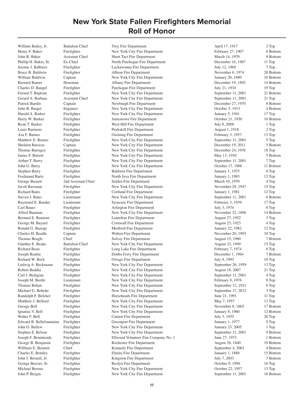William Bailey, Jr. Battalion Chief Troy Fire Department April 17, 1917 2 Top

Henry F. Baker Firefighter New York City Fire Department February 27, 1907 6 Bottom John R. Baker Assistant Chief Short Tact Fire Department March 14, 1970 8 Bottom Phillip H. Baker, Sr. Ex-Chief North Patchogue Fire Department December 16, 1987 11 Top Jerome J. Balbierz Firefighter Lackawanna Fire Department July 12, 1969 7 Top Bruce B. Baldwin Firefighter Albion Fire Department November 6, 1974 20 Bottom William Baldwin Captain Captain New York City Fire Department January 20, 1880 16 Bottom Bernard Bamer Hoseman Albany Fire Department December 19, 1892 14 Bottom Charles D. Bangel Firefighter Patchogue Fire Department July 21, 1934 19 Top Gerard T. Baptiste Firefighter New York City Fire Department September 11, 2001 21 Bottom Gerard A. Barbara Assistant Chief New York City Fire Department September 11, 2001 21 Top Patrick Bardin Captain Captain Newburgh Fire Department December 27, 1970 8 Bottom John B. Barget Engineer New York City Fire Department October 5, 1913 4 Bottom Harold A. Barker Firefighter New York City Fire Department January 5, 1941 17 Top Harry W. Barker Firefighter Jamestown Fire Department October 21, 1930 10 Bottom Ryan T. Barker Firefighter Firefighter West Hill Fire Department July 8, 2008 1 Top Louis Barmore Firefighter Peekskill Fire Department August 1, 1918 2 Top Asa F. Barnes Firefighter Cossining Fire Department February 3, 1957 13 Top Matthew E. Barnes Firefighter New York City Fire Department September 11, 2001 5 Top Sheldon Barocas Captain New York City Fire Department December 19, 2011 5 Bottom Thomas Barragry Firefighter New York City Fire Department December 24, 1938 18 Top James F. Barrett Firefighter New York City Fire Department May 13, 1910 5 Bottom Arthur T. Barry Firefighter New York City Fire Department September 11, 2001 7 Top John G. Barry Firefighter New York City Fire Department October 17, 1966 11 Bottom Stephen Barry Firefighter Baldwin Fire Department January 1, 1975 8 Top Ferdinand Bartz Firefighter North Java Fire Department January 1, 1983 12 Top George Bassett 2nd Assistant Chief Selden Fire Department March 10, 1970 4 Top Jacob Bassman Firefighter New York City Fire Department November 29, 1947 15 Top Richard Bates Firefighter Cortland Fire Department 1981 January 1, 1981 12 Top Steven J. Bates Lieutenant New York City Fire Department September 11, 2001 6 Bottom Raymond E. Bauder Lieutenant Syracuse Fire Department February 3, 1939 17 Top Carl Bauer Firefighter Arlington Fire Department July 3, 1974 8 Top Alfred Bauman Firefighter New York City Fire Department November 22, 1896 14 Bottom Bernard E. Bauman Firefighter Laurelton Fire Department August 27, 1952 3 Top George M. Bayard Firefighter Cornwall Fire Department August 23, 1923 4 Top Ronald G. Bazoge Firefighter Medford Fire Department January 22, 1982 12 Top Charles H. Beadle Captain Walton Fire Department November 20, 1993 10 Top Thomas Beagle Chief Chief Solvay Fire Department August 15, 1960 7 Bottom Gunther E. Beake Battalion Chief New York City Fire Department August 23, 1949 15 Top Richard Bean Firefighter Long Lake Fire Department February 7, 1974 8 Top Joseph Beattie Firefighter Dobbs Ferry Fire Department December 1, 1964 7 Bottom Richard W. Beck Firefighter Owego Fire Department July 9, 1993 10 Top Ludwig A. Beckmann Firefighter New York City Fire Department September 26, 1959 13 Top Robert Beddia Firefighter New York City Fire Department August 18, 2007 21 Top Carl J. Bedigian Firefighter New York City Fire Department September 11, 2001 4 Top Joseph M. Beetle Lieutenant New York City Fire Department February 8, 1976 8 Top Thomas Behan Firefighter New York City Fire Department September 12, 1921 6 Top Michael G. Behette Firefighter New York City Fire Department September 17, 2012 3 Top Randolph F. Belcher Firefighter Horseheads Fire Department June 21, 1991 11 Top Matthew J. Belford Firefighter New York City Fire Department May 7, 1957 13 Top George Bell Firefighter New York City Fire Department November 8, 1865 17 Bottom Ignatius V. Bell Firefighter New York City Fire Department January 8, 1960 12 Bottom Walter F. Bell Firefighter Canton Fire Department July 3, 1955 20 Top Edward B. Bellefountaine Firefighter Greenport Fire Department January 1, 1977 9 Top John G. Bellew Firefighter New York City Fire Department January 23, 2005 1 Top Stephen E. Belson Firefighter New York City Fire Department September 11, 2001 9 Bottom Joseph F. Benintende Firefighter Ellwood Volunteer Fire Company No. 1 June 27, 1973 1 Bottom George B. Benjamin Firefighter Rochester Fire Department August 26, 1840 19 Bottom Willliam E. Bennett Chief Chief Kennedy Fire Department September 4, 2001 4 Bottom<br>Charles E. Bentley Firefighter Filmira Fire Department September 1, 1888 15 Bottom Charles E. Bentley Firefighter Fire Elmira Fire Department January 1, 1888 15 Bottom<br>
John J. Berardi. Jr. Firefighter Kingston Fire Department July 7, 2003 3 Bottom John J. Berardi, Jr. Firefighter Kingston Fire Department July 7, 2003 3 Bott<br>George Bercier, Sr. Firefighter Roslyn Fire Department October 9, 1956 16 Top George Bercier, Sr. Firefighter Roslyn Fire Department Corober 9, 1956<br>
Michael Berenz Firefighter New York City Fire Department Corober 22, 1957 Michael Berenz Firefighter New York City Fire Department October 22, 1957 13 Top<br>
13 Top 15 Top Top The Tengther New York City Fire Department September 11, 2001 16 Bottom New York City Fire Department September 11, 2001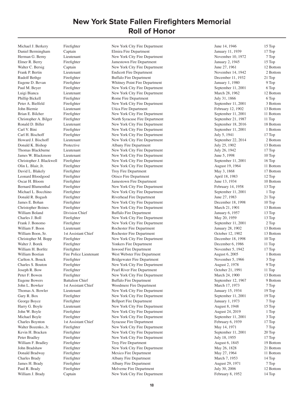Michael J. Berkery Firefighter New York City Fire Department June 14, 1946 15 Top

Daniel Bermingham Captain Elmira Fire Department January 11, 1939 17 Top Herman G. Berny Lieutenant New York City Fire Department November 10, 1972 7 Top Elmer R. Berry Firefighter Jamestown Fire Department January 2, 1945 15 Top Walter C. Bersig Captain Captain New York City Fire Department June 27, 1961 12 Bottom Frank P. Bertin Lieutenant Lieutenant Endicott Fire Department November 14, 1942 2 Bottom Rudolf Bethge Firefighter Buffalo Fire Department December 11, 1932 21 Top Eugene D. Bevan Firefighter Whitney Point Fire Department January 1, 1980 9 Top Paul M. Beyer Firefighter New York City Fire Department September 11, 2001 6 Top Luigi Bianca Lieutenant New York City Fire Department March 28, 1962 12 Bottom Phillip Bickell Firefighter Rome Fire Department July 31, 1866 6 Top Peter A. Bielfeld Firefighter New York City Fire Department September 11, 2001 3 Bottom John Biernie Lieutenant Utica Fire Department February 12, 1902 13 Bottom Brian E. Bilcher Firefighter New York City Fire Department September 11, 2001 11 Bottom Christopher A. Bilger Firefighter North Syracuse Fire Department September 21, 1987 11 Top Ronald D. Biller Lieutenant New York City Fire Department September 18, 2016 18 Bottom Carl V. Bini Firefighter New York City Fire Department September 11, 2001 1 Bottom Carl H. Bischoff Firefighter New York City Fire Department July 5, 1941 17 Top Howard J. Bischoff Lieutenant New York City Fire Department September 22, 2014 2 Bottom Donald K. Bishop Protective Albany Fire Department July 25, 1902 13 Bottom Thomas Blackburne Lieutenant New York City Fire Department July 26, 1942 17 Top James W. Blackmore Lieutenant New York City Fire Department June 5, 1998 10 Top Christopher J. Blackwell Firefighter New York City Fire Department September 11, 2001 16 Top<br>
Olin L. Blair, Jr. Firefighter New York City Fire Department August 19, 1964 11 Bott Firefighter 11 Bottom New York City Fire Department 11 Bottom August 19, 1964 11 Bottom David L. Blakely Firefighter Froy Fire Department May 3, 1868 17 Bottom<br>
17 Donard Bloodgood Firefighter Otisco Fire Department April 18, 1983 12 Top Leonard Bloodgood Firefighter Otisco Fire Department April 18, 1983 12 Top Oscar H. Bloom Firefighter Jamestown Fire Department June 13, 1934 10 Bottom Bernard Blumenthal Firefighter New York City Fire Department February 14, 1958 13 Top Michael L. Bocchino Firefighter New York City Fire Department September 11, 2001 1 Top<br>
Donald R. Bogash Firefighter Riverhead Fire Department June 27, 1983 21 Top Firefighter **Example 21 Top** Riverhead Fire Department **Firefighter** June 27, 1983 21 Top James E. Bohan Firefighter New York City Fire Department December 18, 1998 10 Top Christopher Boines Firefighter New York City Fire Department March 21, 1901 13 Bottom William Boland Division Chief Buffalo Fire Department January 6, 1957 13 Top Charles J. Boll Firefighter New York City Fire Department May 20, 1959 13 Top Frank J. Bonomo Firefighter New York City Fire Department September 11, 2001 2 Top William F. Boon Lieutenant Rochester Fire Department January 28, 1902 13 Bottom William Boon, Sr. 1st Assistant Chief Rochester Fire Department Corolection Cotober 12, 1902 13 Bottom Christopher M. Bopp Firefighter New York City Fire Department December 18, 1998 10 Top Walter J. Borek Firefighter Firefighter Yonkers Fire Department December 6, 1986 11 Top William H. Borfitz Firefighter Inwood Fire Department November 5, 1942 17 Top<br>
William Bostian Fire Police Lieutenant West Webster Fire Department August 6, 2005 1 Bott Fire Police Lieutenant West Webster Fire Department 1998 August 6, 2005 1 Bottom Carlton A. Bouck Firefighter Bridgewater Fire Department November 5, 1966 3 Top Charles S. Bouton Firefighter New York City Fire Department August 2, 1978 9 Top Joseph R. Bow Firefighter Pearl River Fire Department October 21, 1991 11 Top Peter F. Bowen Firefighter New York City Fire Department March 24, 1900 13 Bottom Eugene Bowers Battalion Chief Buffalo Fire Department September 12, 1967 9 Bottom John L. Bowker 1st Assistant Chief Woodmere Fire Department March 17, 1973 7 Top Thomas A. Bowler Lieutenant New York City Fire Department January 15, 1934 19 Top Gary R. Box Firefighter New York City Fire Department September 11, 2001 19 Top George Boyce Firefighter Bellport Fire Department 1973 January 1, 1973 7 Top Harry G. Boyle Lieutenant New York City Fire Department August 8, 1948 15 Top John W. Boyle Firefighter New York City Fire Department August 24, 2019 1 Top Michael Boyle Firefighter New York City Fire Department September 11, 2001 3 Top Charles Boynton 1st Assistant Chief Syracuse Fire Department February 6, 1939 17 Top Walter Bozenko, Jr. Firefighter New York City Fire Department May 14, 1971 7 Top Kevin H. Bracken Firefighter New York City Fire Department September 11, 2001 20 Top Peter Bradley Firefighter New York City Fire Department July 18, 1955 17 Top William F. Bradley Firefighter Troy Fire Department August 6, 1845 19 Bottom John Bradshaw Firefighter New York City Fire Department May 26, 1828 21 Bottom Donald Bradway Firefighter Mexico Fire Department May 27, 1964 11 Bottom Charles Brady Firefighter Albany Fire Department March 7, 1953 14 Top Vames H. Brady Firefighter Albany Fire Department August 29, 1971 7 Top 7 Top 7 Top 7 Top 7 Top 7 Top 7 Top 7 Top 7 Top 7 Top 7 Top 7 Top 7 Top 7 Top 7 Top 7 Top 7 Top 7 Top 7 Top 7 Top 7 Top 7 Top 7 Top 7 Top 7 Top 7 Top Paul R. Brady Firefighter Fire Melverne Fire Department Fire and Tuly 30, 2006 12 Bottom 12 Bottom 12 Bottom New York City Fire Department February 8, 1952 14 Top 14 Top Captain **J. Brady New York City Fire Department** February 8, 1952

**18**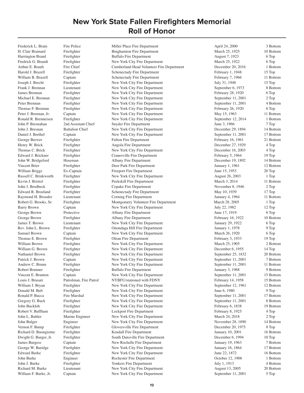Frederick L. Brain Fire Police Miller Place Fire Department April 24, 2000 3 Bottom

H. Clair Brainard Firefighter Binghamton Fire Department March 25, 1925 10 Bottom Harrington Brand Firefighter Buffalo Fire Department August 7, 1923 6 Top Fredrick G. Brandt Firefighter New York City Fire Department March 25, 1922 6 Top Arthur E. Brault Fire Chief Cumberland Head Volunteer Fire Department December 20, 2016 1 Bottom Harold J. Brazell Firefighter Schenectady Fire Department February 1, 1948 15 Top William B. Brazell Captain Captain Schenectady Fire Department February 7, 1966 11 Bottom Joseph J. Brecht Firefighter New York City Fire Department July 31, 1948 15 Top Frank J. Brennan Lieutenant New York City Fire Department September 6, 1973 8 Bottom James Brennan Firefighter New York City Fire Department February 28, 1920 6 Top Michael E. Brennan Firefighter New York City Fire Department September 11, 2001 2 Top Peter Brennan Firefighter New York City Fire Department September 11, 2001 4 Bottom Thomas F. Brennan Firefighter New York City Fire Department February 26, 1920 6 Top Peter J. Brennan, Jr. Captain New York City Fire Department May 15, 1963 11 Bottom Ronald R. Brenneisen Firefighter New York City Fire Department September 12, 2014 1 Bottom John P. Bresnahan 2nd Assistant Chief Snyder Fire Department June 3, 1966 7 Top John J. Bresnan Battalion Chief New York City Fire Department December 29, 1894 14 Bottom Daniel J. Brethel Captain New York City Fire Department September 11, 2001 17 Bottom George Brewer Firefighter Fulton Fire Department February 16, 1961 21 Bottom Henry W. Brick Firefighter Angola Fire Department December 27, 1929 4 Top Thomas C. Brick Firefighter New York City Fire Department December 16, 2003 4 Top Edward J. Brickner Firefighter Cranesville Fire Department February 5, 1964 19 Top John W. Bridgeford Hoseman Albany Fire Department December 19, 1892 14 Bottom Vincent Brier Firefighter Firefighter Deer Park Fire Department January 1, 1961 12 Bottom William Briggs Ex-Captain Freeport Fire Department June 15, 1953 20 Top Russell C. Brinkworth Firefighter New York City Fire Department August 26, 2003 1 Top Kevin J. Bristol Firefighter Peekskill Fire Department March 3, 2014 11 Bottom John J. Brodbeck Firefighter Copake Fire Department November 8, 1946 2 Top Edward R. Broeland Firefighter Schenectady Fire Department May 10, 1939 17 Top Raymond H. Brooder Lieutenant Corning Fire Department January 4, 1964 11 Bottom Robert G. Brooks, Sr. Firefighter Montgomery Volunteer Fire Department March 28, 2005 1 Top Barry Brown Captain Captain New York City Fire Department July 22, 1982 12 Top George Brown Protective Albany Fire Department June 17, 1919 6 Top George Brown Firefighter Albany Fire Department February 16, 1922 10 Bottom James T. Brown Lieutenant New York City Fire Department January 29, 1922 6 Top Rev. John L. Brown Firefighter Chondaga Hill Fire Department January 1, 1978 9 Top Samuel Brown Captain New York City Fire Department March 26, 1920 6 Top Thomas E. Brown Firefighter Clean Fire Department Clean Fire Department February 3, 1933 19 Top William Brown Firefighter New York City Fire Department March 25, 1905 2 Bottom William G. Brown Firefighter New York City Fire Department December 6, 1955 14 Top Nathaniel Brown Firefighter New York City Fire Department September 25, 1832 20 Bottom Patrick J. Brown Captain Captain New York City Fire Department September 11, 2001 7 Bottom Andrew C. Brunn Firefighter New York City Fire Department September 11, 2001 11 Bottom Robert Brunner Firefighter Buffalo Fire Department January 3, 1968 9 Bottom Vincent E. Brunton Captain Captain New York City Fire Department September 11, 2001 15 Bottom Louis J. Brusati Patrolman, Fire Patrol NYBFU/stationed with FDNY February 14, 1958 15 Bottom William J. Bryan Firefighter New York City Fire Department September 12, 1961 12 Bottom Donald M. Bub Firefighter New York City Fire Department June 6, 1980 9 Top Ronald P. Bucca Fire Marshal New York City Fire Department September 11, 2001 17 Bottom Gregory G. Buck Firefighter New York City Fire Department September 11, 2001 8 Bottom John Buckloh Firefighter New York City Fire Department February 6, 1838 19 Bottom Robert V. Buffham Firefighter Lockport Fire Department February 8, 1925 4 Top John L. Buhler Marine Engineer New York City Fire Department March 24, 2018 2 Top John Bulger Engineer New York City Fire Department November 28, 1890 14 Bottom Vernon F. Bump Firefighter Gloversville Fire Department December 20, 1975 8 Top Richard D. Buongiorne Firefighter Kendall Fire Department January 10, 2001 16 Bottom Dwight G. Burger, Jr. Firefighter South Dansville Fire Department December 6, 1994 10 Top James Burgess Captain New Rochelle Fire Department January 19, 1963 7 Bottom George W. Buridge Firefighter New York City Fire Department January 16, 1864 17 Bottom Edward Burke Firefighter New York City Fire Department June 22, 1872 16 Bottom John Burke Engineer Rochester Fire Department October 12, 1906 1 Bottom John J. Burke Firefighter Yonkers Fire Department July 1, 1913 4 Bottom Richard M. Burke Lieutenant New York City Fire Department August 13, 2005 20 Bottom William F. Burke, Jr. Captain New York City Fire Department September 11, 2001 5 Top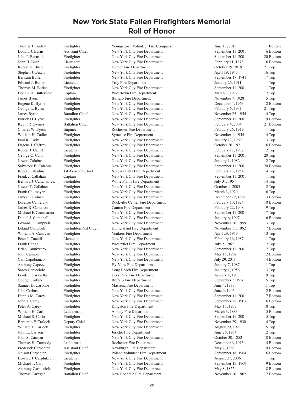Thomas J. Burley Firefighter Youngstown Volunteer Fire Company June 18, 2013 11 Bottom

Donald J. Burns Assistant Chief New York City Fire Department September 11, 2001 6 Bottom John P. Burnside Firefighter New York City Fire Department September 11, 2001 20 Bottom John H. Bush Lieutenant New York City Fire Department February 11, 1876 16 Bottom Robert H. Bush Firefighter Homer Fire Department Cotober 19, 2019 21 Top Stephen J. Butch Firefighter New York City Fire Department April 19, 1945 16 Top Bertram Butler Firefighter New York City Fire Department September 17, 1941 17 Top Edward J. Butler Lieutenant Troy Fire Department 1 1 Top January 26, 1911 1 Top Thomas M. Butler Firefighter New York City Fire Department September 11, 2001 1 Top Donald H. Butterfield Captain Watertown Fire Department March 7, 1972 7 Top James Byers Firefighter Buffalo Fire Department November 7, 1928 5 Top Eugene K. Byrne Firefighter New York City Fire Department December 4, 1963 12 Bottom George L. Byrne Firefighter New York City Fire Department February 6, 1931 21 Top James Byrne Battalion Chief New York City Fire Department November 23, 1954 14 Top Patrick D. Byrne Firefighter New York City Fire Department September 11, 2001 9 Bottom Kevin R. Byrnes Battalion Chief New York City Fire Department February 4, 2004 21 Bottom Charles W. Byron Engineer Rochester Fire Department February 26, 1919 1 Top William H. Cadier Firefighter Syracuse Fire Department November 1, 1954 14 Top Paul R. Cady Firefighter New York City Fire Department January 13, 1960 13 Top Eugene J. Caffrey Firefighter New York City Fire Department October 20, 1921 16 Bottom Robert J. Cahill Lieutenant New York City Fire Department February 17, 1982 12 Top George C. Cain Firefighter New York City Fire Department September 11, 2001 20 Top Joseph Calabro Firefighter New York City Fire Department January 1, 1982 12 Top Salvatore B. Calabro Firefighter New York City Fire Department September 11, 2001 20 Bottom Robert Calladine 1st Assistant Chief Niagara Falls Fire Department February 13, 1954 14 Top Frank J. Callahan Captain Captain New York City Fire Department September 11, 2001 1 Top Bernard J. Callahan, Jr. Firefighter White Plains Fire Department July 31, 1954 14 Top Joseph T. Callahan Firefighter New York City Fire Department October 1, 2005 2 Top Frank Callmeyer Firefighter New York City Fire Department March 3, 1920 6 Top James F. Calnan Firefighter New York City Fire Department December 29, 1897 13 Bottom Lorenzo Camerano Firefighter Rockville Center Fire Department February 10, 1924 10 Bottom James R. Cameron Firefighter Canton Fire Department February 22, 1948 19 Top Michael F. Cammarata Firefighter New York City Fire Department September 11, 2001 17 Top Daniel J. Campbell Firefighter New York City Fire Department January 6, 1907 6 Bottom Edward J. Campbell Firefighter New York City Fire Department November 16, 1959 13 Top Leland Campbell Firefighter/Past Chief Huntersland Fire Department November 11, 1962 7 Bottom William A. Canavan Firefighter **Firefighter** Yonkers Fire Department April 29, 1959 13 Top Peter J. Canelli Lieutenant New York City Fire Department February 16, 1987 11 Top Frank Canga Firefighter Watervliet Fire Department July 2, 1967 17 Top Brian Cannizzaro Firefighter New York City Fire Department September 11, 2001 7 Top John Cannon Firefighter New York City Fire Department May 15, 1962 12 Bottom Carl Capobianco Firefighter New York City Fire Department July 29, 2011 4 Bottom Anthony Capozzi Firefighter Hy-View Fire Department January 7, 1987 11 Top Santo Caracciolo Firefighter Long Beach Fire Department January 1, 1956 13 Top Frank J. Caravella Firefighter **Deer Park Fire Department** January 1, 1978 9 Top George Carbine Firefighter Buffalo Fire Department September 5, 1926 5 Top Samuel D. Carbone Firefighter Massena Fire Department June 4, 1987 11 Top John Carbush Firefighter New York City Fire Department June 9, 1905 2 Bottom Dennis M. Carey Firefighter New York City Fire Department September 11, 2001 17 Bottom John J. Carey Firefighter New York City Fire Department September 28, 1907 6 Bottom Peter A. Carey Firefighter Kingston Fire Department May 15, 1937 18 Top William H. Carlin Ladderman Albany Fire Department March 3, 1883 15 Bottom Michael S. Carlo Firefighter New York City Fire Department September 11, 2001 5 Top Bernardo F. Carlock Deputy Chief New York City Fire Department November 29, 1930 4 Top William F. Carlock Firefighter New York City Fire Department August 29, 1927 5 Top John L. Carlson Firefighter Jericho Fire Department June 26, 1984 12 Top John S. Carman Firefighter New York City Fire Department October 30, 1853 18 Bottom Thomas H. Carmody Ladderman Rochester Fire Department December 6, 1913 4 Bottom<br>
Frederick Carpenter Assistant Chief Newburgh Fire Department May 2. 1968 9 Bottom Frederick Carpenter Assistant Chief Newburgh Fire Department May 2, 1968 9 Bottom 9 Bottom<br>
Nelson Carpenter Fire fighter Poland Volunteer Fire Department September 16, 1964 6 Bottom Nelson Carpenter Firefighter Fire Department September 16, 1964<br>Howard J. Carpluk, Jr. Lieutenant New York City Fire Department August 27, 2006 Lieutenant 1 1 Top<br>
Howard New York City Fire Department 1 2006 1 Top<br>
9 Bottom 19, 1969 9 Bottom 19, 1969 9 Bottom 19, 1969 9 Bottom 19, 1969 9 Bottom 19, 1969 9 Bottom 1 Michael T. Carr Firefighter New York City Fire Department September 19, 1969 9 Bottom<br>
Anthony Carracciolo Firefighter New York City Fire Department May 8, 1855 18 Bottom Anthony Carracciolo Firefighter New York City Fire Department May 8, 1855 18 Bottom<br>
2 Thomas Carrigan Battalion Chief New Rochelle Fire Department November 10. 1962 7 Bottom Thomas Carrigan Battalion Chief New Rochelle Fire Department November 10, 1962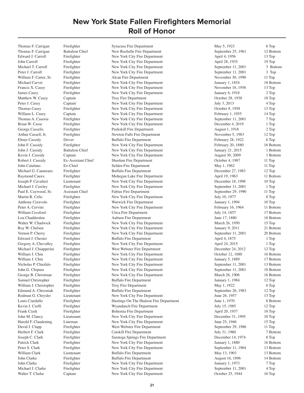Thomas F. Carrigan Battalion Chief New Rochelle Fire Department September 25, 1961 12 Bottom Edward J. Carroll Firefighter New York City Fire Department April 4, 1956 13 Top John Carroll Firefighter New York City Fire Department April 28, 1935 19 Top Michael T. Carroll Firefighter New York City Fire Department September 11, 2001 3 Bottom Peter J. Carroll Firefighter New York City Fire Department September 11, 2001 3 Top William F. Carter, Sr. Firefighter Alcan Fire Department November 30, 1990 11 Top Michael Carvet Firefighter New York City Fire Department January 1, 1854 18 Bottom Francis X. Casey Firefighter New York City Fire Department November 18, 1956 13 Top James Casey Firefighter New York City Fire Department January 6, 1918 2 Top Matthew W. Casey Captain Captain Troy Fire Department Corober 28, 1938 18 Top Peter J. Casey Captain` New York City Fire Department July 3, 2013 4 Top 4 Top Thomas Casey Firefighter New York City Fire Department October 8, 1958 13 Top William L. Casey Captain New York City Fire Department February 1, 1955 14 Top Thomas A. Casoria Firefighter New York City Fire Department September 11, 2001 7 Top Brian W. Casse Firefighter New York City Fire Department December 4, 2019 1 Top George Casselis Firefighter Peekskill Fire Department August 1, 1918 2 Top Arthur Cassell, Jr. Firefighter Newton Falls Fire Department November 5, 1983 12 Top Elmer Cassidy Driver Buffalo Fire Department February 28, 1922 6 Top John F. Cassidy Firefighter New York City Fire Department February 20, 1880 16 Bottom John J. Cassidy Battalion Chief New York City Fire Department January 21, 2015 1 Bottom Kevin J. Cassidy Captain Captain New York City Fire Department August 30, 2009 1 Bottom Robert J. Cassidy Ex-Assistant Chief Shushan Fire Department October 4, 1987 11 Top John Catalano Ex-Chief Selden Fire Department May 1, 1962 11 Top Michael G. Catanzaro Firefighter Buffalo Fire Department December 27, 1983 12 Top Raymond Cauxx Firefighter Mohegan Lake Fire Department April 19, 1963 11 Bottom Joseph P. Cavalieri Lieutenant New York City Fire Department December 18, 1998 10 Top Michael J. Cawley Firefighter New York City Fire Department September 11, 2001 1 Top Paul E. Caywood, Sr. Assistant Chief Fabius Fire Department September 29, 1990 11 Top Martin R. Celic Firefighter New York City Fire Department July 10, 1977 8 Top Anthony Ceravolo Firefighter Warwick Fire Department January 1, 1994 10 Top Peter A. Cervini Firefighter New York City Fire Department February 16, 1964 11 Bottom William Cessford Firefighter Utica Fire Department July 14, 1857 17 Bottom Lou Chadderdon Firefighter Auburn Fire Department June 17, 1880 16 Bottom Walter W. Chadwick Firefighter New York City Fire Department March 26, 1950 15 Top Roy W. Chelsen Firefighter New York City Fire Department January 9, 2011 21 Bottom Vernon P. Cherry Firefighter New York City Fire Department September 11, 2001 20 Bottom Edward J. Chester Firefighter Buffalo Fire Department April 4, 1875 1 Top Gregory A. Chevalley Firefighter New York City Fire Department April 24, 2015 1 Top Michael J. Chiapperini Firefighter West Webster Fire Department December 24, 2012 12 Top William J. Chin Firefighter New York City Fire Department October 12, 1880 16 Bottom William J. Chin Firefighter New York City Fire Department January 5, 1889 17 Bottom Nicholas P. Chiofalo Firefighter New York City Fire Department September 11, 2001 13 Bottom John G. Chipura Firefighter New York City Fire Department September 11, 2001 18 Bottom George B. Christman Firefighter New York City Fire Department March 26, 1906 16 Bottom Samuel Christopher Firefighter Buffalo Fire Department January 1, 1984 12 Top William J. Christopher Firefighter Troy Fire Department May 1, 1922 6 Top 6 Top Edmund A. Chrosniak Firefighter Buffalo Fire Department September 26, 1983 12 Top Rodman G. Chrysler Lieutenant New York City Fire Department June 26, 1957 13 Top Louis Ciardullo Firefighter Hastings On The Hudson Fire Department June 1, 1970 8 Bottom Kevin J. Cioffi Firefighter Wyandanch Fire Department July 15, 1985 12 Top Frank Cizek Firefighter Bohemia Fire Department April 20, 1937 18 Top John M. Clancy Lieutenant New York City Fire Department December 31, 1995 10 Top Harold F. Clandening Lineman New York City Fire Department June 25, 1946 15 Top David J. Clapp Firefighter West Webster Fire Department September 29, 1986 11 Top Herbert F. Clark Firefighter Catskill Fire Department July 31, 1960 7 Bottom Joseph C. Clark Firefighter Saratoga Springs Fire Department December 14, 1974 8 Top Patrick Clark Firefighter New York City Fire Department January 1, 1880 16 Bottom Peter S. Clark Firefighter New York City Fire Department September 11, 1904 13 Bottom William Clark Lieutenant Buffalo Fire Department May 13, 1903 13 Bottom John Clarke Firefighter Buffalo Fire Department August 16, 1896 14 Bottom John Clarke Firefighter New York City Fire Department January 1, 1973 7 Top Michael J. Clarke Firefighter New York City Fire Department September 11, 2001 4 Top Walter T. Clarke Captain Captain New York City Fire Department Cotober 25, 1944 16 Top

Thomas F. Carrigan Firefighter Syracuse Fire Department May 5, 1923 6 Top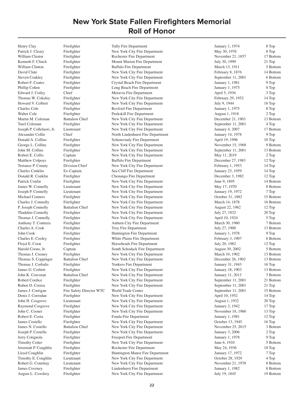Patrick J. Cleary Firefighter New York City Fire Department May 30, 1976 8 Top William Cleator Firefighter Rochester Fire Department November 21, 1857 17 Bottom Kenneth F. Clinch Firefighter Mount Marion Fire Department July 30, 1999 21 Top William Clinton Firefighter Buffalo Fire Department March 13, 1911 5 Bottom David Clute Firefighter New York City Fire Department February 8, 1876 14 Bottom Steven Coakley Firefighter New York City Fire Department September 11, 2001 6 Bottom Robert F. Coates Firefighter Crystal Beach Fire Department January 1, 1981 9 Top Phillip Cohen Firefighter Long Beach Fire Department January 1, 1975 8 Top Edward J. Coiley Chief Chief Moravia Fire Department April 5, 1936 3 Top Thomas W. Cokeley Firefighter New York City Fire Department February 29, 1952 14 Top Howard V. Colbert Firefighter New York City Fire Department July 9, 1944 16 Top Charles Cole Firefighter Rexford Fire Department January 1, 1975 8 Top Walter Cole Firefighter Peekskill Fire Department August 1, 1918 2 Top Martin M. Coleman Battalion Chief New York City Fire Department December 21, 1903 13 Bottom Tarel Coleman Firefighter New York City Fire Department September 11, 2001 4 Top Joseph P. Colleluori, Jr. Lieutenant New York City Fire Department January 4, 2007 17 Bottom Alexander Collie Chief Chief North Lindenhurst Fire Department January 14, 1978 9 Top Donald A. Collins Firefighter Schenectady Fire Department April 19, 1996 10 Top George L. Collins Firefighter New York City Fire Department November 15, 1968 9 Bottom John M. Collins Firefighter New York City Fire Department September 11, 2001 13 Bottom Robert E. Collis Captain Captain New York City Fire Department May 11, 2019 2 Top Matthew Colpoys Firefighter Buffalo Fire Department December 27, 1983 12 Top Terrance P. Conaty Division Chief New York City Fire Department February 1, 1953 14 Top Charles Conklin Ex-Captain Sea Cliff Fire Department January 23, 1959 14 Top Donald R. Conklin Firefighter Chenango Fire Department December 3, 1982 12 Top Patrick Conlin Firefighter New York City Fire Department June 9, 1895 14 Bottom James W. Connelly Lieutenant New York City Fire Department May 17, 1970 8 Bottom Joseph P. Connelly Lieutenant New York City Fire Department January 19, 1972 7 Top Michael Conners Firefighter New York City Fire Department October 31, 1882 15 Bottom Charles J. Connolly Firefighter New York City Fire Department March 14, 1878 16 Bottom P. Joseph Connolly Battalion Chief New York City Fire Department August 22, 1962 12 Top Thaddius Connolly Firefighter New York City Fire Department July 27, 1932 20 Top Thomas J. Connolly Firefighter New York City Fire Department April 10, 1924 5 Top Anthony T. Contrera Firefighter Auburn City Fire Department March 30, 1960 7 Bottom Charles A. Cook Firefighter Troy Fire Department July 27, 1900 13 Bottom John Cook Firefighter Huntington Fire Department January 1, 1978 9 Top Charles E. Cooley Firefighter White Plains Fire Department February 3, 1907 6 Bottom Floyd E. Coon Firefighter Horseheads Fire Department July 20, 1982 12 Top<br>Harold Coons, Jr. Captain South Schodack Fire Department August 30, 2002 5 Bott Harold Coons, Jr. Captain South Schodack Fire Department August 30, 2002 5 Bottom Thomas J. Cooney Firefighter New York City Fire Department March 10, 1902 13 Bottom Thomas S. Coppinger Battalion Chief New York City Fire Department December 26, 1902 13 Bottom Thomas J. Corbalis Firefighter Yonkers Fire Department January 31, 1943 16 Top James G. Corbett Firefighter New York City Fire Department January 18, 1903 13 Bottom John K. Corcoran Battalion Chief New York City Fire Department January 11, 2013 3 Bottom Robert Cordice Firefighter New York City Fire Department September 11, 2001 21 Bottom Ruben D. Correa Firefighter New York City Fire Department September 11, 2001 21 Top James J. Corrigan Fire Safety Director WTC World Trade Center September 11, 2001 15 Bottom Denis J. Corrodan Firefighter New York City Fire Department April 10, 1952 14 Top John H. Cosgrove Lieutenant New York City Fire Department August 1, 1932 20 Top Raymond Cosgrove Firefighter New York City Fire Department January 2, 1942 17 Top John C. Cosner Firefighter New York City Fire Department November 18, 1960 13 Top Robert E. Costa Firefighter Fonda Fire Department January 1, 1981 12 Top James Costello Firefighter New York City Fire Department October 13, 1945 16 Top James N. Costello Battalion Chief New York City Fire Department November 25, 2015 3 Bottom Joseph P. Costello Firefighter New York City Fire Department January 3, 2006 2 Top Jerry Cotignola Firefighter Freeport Fire Department January 1, 1978 9 Top Timothy Cotter Firefighter New York City Fire Department June 6, 1910 5 Bottom Jeremiah P. Coughlin Firefighter Rochester Fire Department May 24, 1936 18 Top Lloyd Coughlin Firefighter Huntington Manor Fire Department January 17, 1972 7 Top Timothy E. Coughlin Lieutenant New York City Fire Department October 28, 1929 4 Top Robert G. Courtnay Lieutenant New York City Fire Department November 21, 1978 8 Bottom James Coveney Firefighter Lindenhurst Fire Department January 1, 1982 8 Bottom August L. Cowdrey Firefighter New York City Fire Department July 19, 1845 19 Bottom

Henry Clay Firefighter Tully Fire Department January 1, 1974 8 Top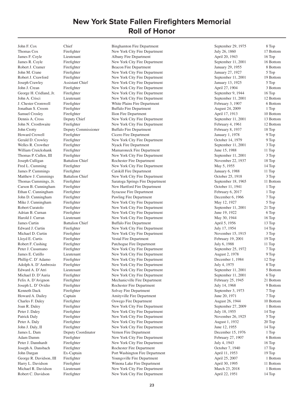Thomas Cox Firefighter New York City Fire Department July 26, 1860 17 Bottom James F. Coyle Lieutenant Albany Fire Department April 20, 1943 16 Top James R. Coyle Firefighter New York City Fire Department September 11, 2001 16 Bottom Robert J. Cramer Firefighter Beacon Fire Department January 29, 1955 8 Bottom John M. Crane Firefighter New York City Fire Department January 27, 1927 5 Top Robert J. Crawford Firefighter New York City Fire Department September 11, 2001 19 Bottom Joseph Crawley Assistant Chief New York City Fire Department January 13, 1925 5 Top John J. Crean Firefighter New York City Fire Department April 27, 1904 3 Bottom George H. Cridland, Jr. Firefighter New York City Fire Department September 9, 1944 16 Top John A. Crisci Lieutenant New York City Fire Department September 11, 2001 12 Bottom J. Chester Cromwell Firefighter White Plains Fire Department February 3, 1907 6 Bottom Jonathan S. Croom Firefighter Buffalo Fire Department August 24, 2009 1 Top Samuel Crosley Firefighter Ilion Fire Department April 17, 1913 10 Bottom Dennis A. Cross Deputy Chief New York City Fire Department September 11, 2001 13 Bottom John N. Crosthwaite Firefighter New York City Fire Department February 4, 1961 12 Bottom John Crotty Deputy Commissioner Buffalo Fire Department February 8, 1937 18 Top Howard Crowell Firefighter Cicero Fire Department January 1, 1978 9 Top Gerald D. Crowley Firefighter New York City Fire Department October 14, 1979 9 Top Welles R. Crowther Firefighter Nyack Fire Department September 11, 2001 3 Top William Cruickshank Firefighter Mamaroneck Fire Department June 15, 1988 11 Top Thomas P. Cullen, III Firefighter New York City Fire Department September 11, 2001 3 Top Joseph Culligan Battalion Chief Rochester Fire Department November 22, 1937 18 Top Fred L. Cumming Firefighter New York City Fire Department May 5, 1955 14 Top James P. Cummings Firefighter Catskill Fire Department January 6, 1988 11 Top Matthew J. Cummings Battalion Chief New York City Fire Department October 25, 1918 3 Top<br>
Thomas Cummings, Jr. Firefighter Saratoga Springs Fire Department September 18, 1965 11 Bottom Thomas Cummings, Jr. Firefighter Saratoga Springs Fire Department September 18, 1965 Carson B. Cunningham Firefighter New Hartford Fire Department October 11, 1941 1 Top Ethan C. Cunningham Firefighter Syracuse Fire Department February 6, 2017 1 Top John D. Cunningham Firefighter Pawling Fire Department December 6, 1966 7 Top Mike J. Cunningham Firefighter New York City Fire Department May 12, 1927 5 Top Robert Curatolo Firefighter New York City Fire Department September 11, 2001 21 Top Adrian B. Curnan Firefighter New York City Fire Department June 19, 1922 6 Top Harold J. Curran Lieutenant New York City Fire Department May 30, 1944 16 Top James Curtin Battalion Chief Buffalo Fire Department April 5, 1956 13 Top Edward J. Curtin Firefighter New York City Fire Department July 17, 1954 14 Top Michael D. Curtin Firefighter New York City Fire Department November 15, 1915 3 Top Lloyd E. Curtis Firefighter Vestal Fire Department February 19, 2001 19 Top Robert F. Cushing Firefighter Patchogue Fire Department July 6, 1988 11 Top Peter J. Cusumano Firefighter New York City Fire Department September 25, 1972 7 Top James E. Cutillo Lieutenant New York City Fire Department August 2, 1978 9 Top Phillip C. D' Adamo Firefighter New York City Fire Department December 1, 1984 12 Top Adolph A. D' Ambrosio Firefighter New York City Fire Department July 4, 1975 8 Top Edward A. D'Atri Lieutenant New York City Fire Department September 11, 2001 5 Bottom Michael D. D'Auria Firefighter New York City Fire Department September 11, 2001 6 Top Felix A. D'Avignon Firefighter Mechanicville Fire Department February 25, 1945 21 Bottom Joseph L. D' Ovidio Firefighter Rochester Fire Department July 14, 1968 9 Bottom Kenneth Dack Firefighter Solvay Fire Department September 3, 1973 7 Top Howard A. Dailey Captain Captain Amityville Fire Department June 20, 1971 7 Top Charles F. Daley Firefighter Oswego Fire Department August 26, 1944 10 Bottom Joan R. Daley Firefighter New York City Fire Department September 27, 2009 1 Bottom Peter J. Daley Firefighter New York City Fire Department July 18, 1955 14 Top Patrick Daly Firefighter New York City Fire Department November 26, 1925 5 Top Peter A. Daly Firefighter New York City Fire Department August 1, 1932 20 Top John J. Daly, II Firefighter New York City Fire Department June 12, 1955 14 Top James L. Dam Deputy Coordinator Vernon Fire Department December 15, 1976 1 Top Adam Damm Firefighter New York City Fire Department February 27, 1907 6 Bottom Peter J. Dannhardt Firefighter New York City Fire Department July 4, 1943 16 Top Joseph A. Dansbach Firefighter Rochester Fire Department October 7, 1940 17 Top John Dargan Ex-Captain Port Washington Fire Department April 11, 1953 19 Top George R. Davidson, III Firefighter The Youngsville Fire Department April 25, 2007 1 Bottom 1 Bottom 1 Bottom<br>
Harry L. Davidson Firefighter Winona Lake Fire Department April 30. 1995 11 Bottom Harry L. Davidson Firefighter Minona Lake Fire Department April 30, 1995 11 Bottom Michael R. Davidson Lieutenant New York City Fire Department March 23. 2018 1 Bottom Michael R. Davidson Lieutenant 1991 New York City Fire Department 1991 March 23, 2018<br>
Robert C. Davidson Firefighter 1991 New York City Fire Department 1992, 1951 New York City Fire Department April 22, 1951 14 Top

John F. Cox Chief Binghamton Fire Department September 29, 1975 8 Top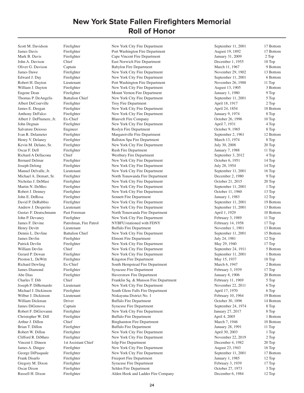Russell H. Dixon Firefighter Alden Hook and Ladder Fire Company December 6, 1984 12 Top

Scott M. Davidson Firefighter New York City Fire Department September 11, 2001 17 Bottom

James Davis Firefighter Port Washington Fire Department August 19, 1892 17 Bottom Mark B. Davis Firefighter Cape Vincent Fire Department January 31, 2009 2 Top John A. Davison Chief East Norwich Fire Department December 1, 1955 18 Top Oliver G. Davison Captain Captain Babylon Fire Department March 11, 1967 9 Bottom James Dawe Firefighter New York City Fire Department November 29, 1902 13 Bottom Edward J. Day Firefighter New York City Fire Department September 11, 2001 6 Bottom Robert H. Dayton Lieutenant Port Washington Fire Department November 26, 1988 11 Top William J. Dayton Firefighter New York City Fire Department August 13, 1905 3 Bottom Eugene Dean Firefighter Mount Vernon Fire Department January 1, 1980 9 Top Thomas P. DeAngelis Battalion Chief New York City Fire Department September 11, 2001 5 Top Albert DeCourville Firefighter Troy Fire Department April 18, 1917 2 Top James E. Deegan Firefighter New York City Fire Department April 24, 1854 18 Bottom Anthony DeFalco Firefighter New York City Fire Department January 9, 1974 8 Top Albert J. DeFlumere, Jr. Ex-Chief Blauvelt Fire Company Cotober 26, 1996 10 Top John Degnan Firefighter New York City Fire Department April 7, 1931 4 Top Salvatore Deiosso Engineer Roslyn Fire Department Cocober 9, 1965 8 Top Ivan R. Delameter Firefighter Firefighter Margaretville Fire Department September 2, 1961 12 Bottom Henry V. Delaney Firefighter Ballston Spa Fire Department March 13, 1974 8 Top Kevin M. Delano, Sr. Firefighter New York City Fire Department July 30, 2008 20 Top Oscar F. Dell Firefighter Rush Fire Department January 7, 1988 11 Top Richard A Dellacona Chief Westbury Fire Department September 3, 2012 4 Top Bernard Delmar Firefighter New York City Fire Department October 6, 1951 14 Top Joseph Delong Firefighter New York City Fire Department July 28, 1954 14 Top Manuel Delvalle, Jr. Lieutenant New York City Fire Department September 11, 2001 16 Top Michael A. Demart, Sr. Firefighter North Tonawanda Fire Department December 2, 1980 9 Top Nicholas J. DeMasi Firefighter New York City Fire Department October 21, 2015 20 Top Martin N. DeMeo Firefighter New York City Fire Department September 11, 2001 1 Top Robert J. Denney Firefighter New York City Fire Department October 11, 1960 13 Top John E. DeRosa Firefighter Sennett Fire Department January 1, 1983 12 Top David P. DeRubbio Firefighter New York City Fire Department September 11, 2001 19 Bottom Andrew J. Desperito Lieutenant New York City Fire Department September 11, 2001 13 Bottom Gustav F. Deutschmann Past Foreman North Tonawanda Fire Department April 1, 1929 10 Bottom John P. Devaney Firefighter New York City Fire Department February 3, 1989 11 Top James F. Devine Patrolman, Fire Patrol NYBFU/stationed with FDNY February 14, 1958 17 Top Henry Devitt Lieutenant Buffalo Fire Department November 1, 1901 13 Bottom Dennis L. Devline Battalion Chief New York City Fire Department September 11, 2001 15 Bottom James Devlin Firefighter Fire Fireform Elmont Fire Department 12 Top July 24, 1981 12 Top Patrick Devlin Firefighter New York City Fire Department May 29, 1940 17 Top William Devlin Chief New York City Fire Department September 24, 1911 5 Bottom Gerard P. Dewan Firefighter New York City Fire Department September 11, 2001 1 Bottom Preston L. DeWitt Firefighter Kingston Fire Department May 15, 1937 18 Top Richard Dewling Ex-Chief South Hempstead Fire Department March 6, 1947 2 Bottom James Diamond Firefighter Syracuse Fire Department February 3, 1939 17 Top Abe Dias Firefighter Haverstraw Fire Department January 8, 1906 20 Bottom Charles T. Dib Chief Franklin Sq. & Munson Fire Department February 11, 1969 5 Top Joseph P. DiBernardo Lieutenant New York City Fire Department November 22, 2011 6 Top Michael J. Dickinson Firefighter South Glens Falls Fire Department April 17, 1970 6 Top Wilbur J. Dickinson Lieutenant Niskayuna District No. 1 February 10, 1964 19 Bottom William Dickman Driver Buffalo Fire Department Cotober 30, 1896 14 Bottom James DiGenova Captain Syracuse Fire Department September 24, 1974 8 Top Robert F. DiGiovanni Firefighter New York City Fire Department January 27, 2017 8 Top Christopher W. Dill Firefighter Buffalo Fire Department April 4, 2005 1 Bottom Arthur J. Dillon Chief Binghamton Fire Department March 7, 1946 10 Bottom Brian T. Dillon Firefighter Buffalo Fire Department January 28, 1991 11 Top Robert W. Dillon Firefighter New York City Fire Department April 30, 2003 1 Top Clifford R. DiMuro Firefighter New York City Fire Department November 22, 2019 2 Top Vincent I. Dineen 1st Assistant Chief Islip Fire Department December 4, 1982 20 Top James A. Dingee Firefighter New York City Fire Department August 23, 1943 16 Top George DiPasquale Firefighter New York City Fire Department September 11, 2001 17 Bottom Frank Disarlo Firefighter Freeport Fire Department January 1, 1985 12 Top Gregory M. Dixon Firefighter Syracuse Fire Department February 3, 1939 17 Top Oscar Dixon Firefighter Selden Fire Department October 27, 1973 3 Top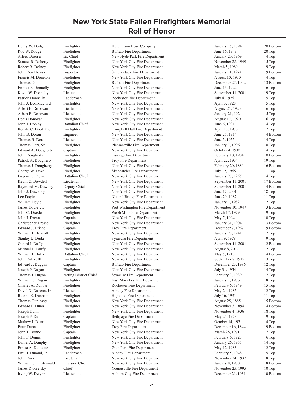Roy W. Dodge Firefighter Buffalo Fire Department June 16, 1949 20 Top Alfred Doerrer Ex-Chief New Hyde Park Fire Department January 20, 1969 4 Top<br>
Samuel R. Doherty Firefighter New York City Fire Department November 28, 1949 15 Top Samuel R. Doherty Firefighter New York City Fire Department November 28, 1949 15 Top Robert R. Dolney Firefighter New York City Fire Department March 5, 1980 9 Top John Domblewski Inspector Schenectady Fire Department January 11, 1974 19 Bottom Francis M. Donelon Firefighter New York City Fire Department August 10, 1930 4 Top Thomas Donlon Firefighter Buffalo Fire Department December 27, 1902 13 Bottom Emmet F. Donnelly Firefighter New York City Fire Department June 15, 1922 6 Top Kevin W. Donnelly Lieutenant New York City Fire Department September 11, 2001 19 Top Patrick Donnelly Ladderman Rochester Fire Department July 4, 1926 5 Top John J. Donohue 3rd Firefighter New York City Fire Department April 3, 1928 5 Top Albert E. Donovan Lieutenant New York City Fire Department August 21, 1923 6 Top Albert E. Donovan Lieutenant New York City Fire Department January 21, 1924 5 Top Denis Donovan Firefighter New York City Fire Department August 17, 1920 6 Top John J. Dooley Battalion Chief New York City Fire Department June 6, 1931 4 Top Ronald C. DooLittle Firefighter Campbell Hall Fire Department April 13, 1970 7 Top John B. Doran Engineer New York City Fire Department June 25, 1914 4 Bottom Thomas R. Dore Lieutenant New York City Fire Department June 5, 1955 14 Top Thomas Dorr, Sr. Firefighter Pleasantville Fire Department January 7, 1996 10 Top Edward A. Dougherty Captain New York City Fire Department October 4, 1930 4 Top John Dougherty Firefighter Oswego Fire Department February 10, 1904 10 Bottom Patrick A. Dougherty Firefighter Troy Fire Department April 22, 1934 19 Top Thomas J. Dougherty Firefighter New York City Fire Department February 20, 1880 16 Bottom George W. Dove Firefighter Skaneateles Fire Department July 12, 1965 11 Top Eugene G. Dowd Battalion Chief New York City Fire Department January 27, 1955 14 Top Kevin C. Dowdell Lieutenant New York City Fire Department September 11, 2001 17 Bottom Raymond M. Downey Deputy Chief New York City Fire Department September 11, 2001 4 Bottom John J. Downing Firefighter New York City Fire Department June 17, 2001 18 Top Leo Doyle Firefighter Natural Bridge Fire Department June 20, 1987 11 Top William Doyle Firefighter New York City Fire Department January 1, 1982 12 Top James Doyle, Jr. Firefighter Port Washington Fire Department November 10, 1947 3 Bottom John C. Draxler Firefighter Webb Mills Fire Department March 17, 1979 9 Top John J. Drennan Captain New York City Fire Department May 7, 1994 10 Top Christopher Dressel Firefighter New York City Fire Department January 31, 1904 3 Bottom Edward J. Driscoll Captain Troy Fire Department December 7, 1967 9 Bottom William J. Driscoll Firefighter New York City Fire Department January 28, 1941 17 Top Stanley L. Duda Firefighter Syracuse Fire Department April 9, 1978 9 Top Gerard J. Duffy Firefighter New York City Fire Department September 11, 2001 2 Bottom Michael L. Duffy Firefighter New York City Fire Department August 8, 2017 2 Top William J. Duffy Battalion Chief New York City Fire Department May 5, 1913 4 Bottom John Duffy, III Firefighter New York City Fire Department September 7, 1915 3 Top Edward J. Duggan Captain Buffalo Fire Department December 23, 1986 12 Top Joseph P. Dugan Firefighter New York City Fire Department July 31, 1954 14 Top Thomas J. Dugan Acting District Chief Syracuse Fire Department February 3, 1939 17 Top William C. Dugan Firefighter Fire East Moriches Fire Department January 1, 1976 8 Top<br>Charles A. Dunbar Firefighter Rochester Fire Department February 6, 1949 15 Top Firefighter Rochester Fire Department February 6, 1949 15 Top David D. Duncan, Jr. Lieutenant Albany Fire Department May 24, 1985 12 Top Russell E. Dunham Firefighter Highland Fire Department July 16, 1991 11 Top Thomas Dunleavy Firefighter New York City Fire Department August 25, 1885 15 Bottom Edward F. Dunn Firefighter New York City Fire Department November 3, 1894 14 Bottom Joseph Dunn Firefighter New York City Fire Department November 4, 1936 18 Top Joseph F. Dunn Captain Bethpage Fire Department May 25, 1978 9 Top Mathew J. Dunn Firefighter New York City Fire Department October 14, 1931 4 Top Peter Dunn Firefighter Troy Fire Department December 16, 1844 19 Bottom John T. Dunne Captain New York City Fire Department March 28, 1971 7 Top John F. Dunne Firefighter New York City Fire Department February 6, 1923 6 Top Daniel A. Dunphy Firefighter New York City Fire Department January 26, 1955 14 Top Ernest A. Duquette Firefighter Glen Park Fire Department May 12, 1983 12 Top Emil J. Durand, Jr. Ladderman Albany Fire Department February 5, 1948 15 Top John Durkin Lieutenant New York City Fire Department November 24, 1937 18 Top William G. Dusterwald Division Chief New York City Fire Department January 8, 1970 8 Bottom James Dworetsky Chief Youngsville Fire Department November 25, 1995 10 Top Irving W. Dwyer Lieutenant Auburn City Fire Department December 21, 1931 10 Bottom

Henry W. Dodge Firefighter Hutchinson Hose Company January 15, 1894 20 Bottom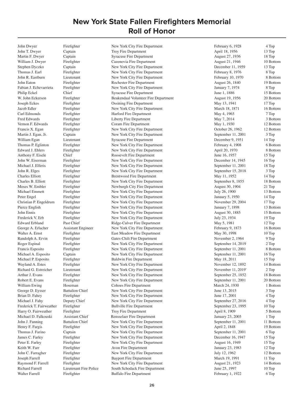John T. Dwyer Captain Captain Troy Fire Department April 18, 1956 13 Top Martin F. Dwyer Captain Captain Syracuse Fire Department August 27, 1936 18 Top William J. Dwyer Firefighter Cazenovia Fire Department August 21, 1946 10 Bottom Stephen Dyczko Captain New York City Fire Department December 11, 1959 13 Top Thomas J. Earl Firefighter New York City Fire Department February 8, 1976 8 Top John R. Eastburn Lieutenant New York City Fire Department February 10, 1970 8 Bottom John Eaton Firefighter Rochester Fire Department August 26, 1840 19 Bottom Fabian J. Echevarrieta Firefighter New York City Fire Department January 7, 1974 8 Top Philip Eckel Chief Chief Syracuse Fire Department June 1, 1886 June 1, 1886 15 Bottom W. John Eckerson Firefighter Beukendaal Volunteer Fire Department August 19, 1956 20 Bottom Joseph Eckes Firefighter Ossining Fire Department May 13, 1941 17 Top Jacob Edler Firefighter New York City Fire Department March 18, 1871 16 Bottom Carl Edmonds Firefighter Harford Fire Department May 4, 1965 7 Top Fire Firefighter Fire Department May 7, 2014 3 Bottom 3 Bottom Vernon F. Edwards Firefighter Coram Fire Department May 1, 1930 12 Bottom Francis X. Egan Firefighter New York City Fire Department October 26, 1962 12 Bottom Martin J. Egan, Jr. Captain Captain New York City Fire Department September 11, 2001 3 Top William Egan Lieutenant Syracuse Fire Department December 9, 1951 14 Top Thomas P. Eglinton Firefighter New York City Fire Department February 4, 1908 6 Bottom Edward J. Ehlers Firefighter New York City Fire Department April 20, 1970 8 Bottom Anthony F. Eisele Chief Roosevelt Fire Department June 16, 1957 15 Top John W. Eiserman Firefighter New York City Fire Department December 14, 1945 16 Top Michael J. Elferis Firefighter New York City Fire Department September 11, 2001 18 Top John R. Elges Firefighter New York City Fire Department September 15, 2018 3 Top Charles Elliott Firefighter Brentwood Fire Department May 11, 1952 14 Top Charles B. Elliott Firefighter New York City Fire Department September 8, 1855 18 Bottom Moses W. Embler Firefighter Newburgh City Fire Department August 30, 1904 21 Top Michael Emmett Firefighter New York City Fire Department July 26, 1900 13 Bottom Peter Engel Firefighter New York City Fire Department January 5, 1950 14 Top Christian P. Engeldrum Firefighter New York City Fire Department November 29, 2004 17 Top<br>
Pierce English Firefighter New York City Fire Department January 7, 1898 13 Bott Pierce English Firefighter New York City Fire Department January 7, 1898 13 Bottom John Ennis Firefighter New York City Fire Department August 30, 1885 15 Bottom Frederick V. Erb Firefighter New York City Fire Department July 23, 1934 19 Top Edward Erbland Past Chief Ridge-Culver Fire Department May 5, 1981 12 Top George A. Erlacher Assistant Engineer New York City Fire Department February 9, 1873 16 Bottom Walter A. Ernst Firefighter East Meadow Fire Department May 30, 1998 10 Top Randolph A. Ervin Firefighter Gates-Chili Fire Department November 2, 1964 9 Top Roger Espinal Firefighter New York City Fire Department September 14, 2019 2 Top Francis Esposito Firefighter New York City Fire Department September 11, 2001 8 Bottom Michael A. Esposito Captain New York City Fire Department September 11, 2001 16 Top Michael P. Esposito Firefighter Baldwin Fire Department May 18, 2011 15 Top Wayland A. Estes Firefighter New York City Fire Department November 12, 1892 14 Bottom Richard G. Estreicher Lieutenant New York City Fire Department November 11, 2019` 2 Top Arthur J. Evans Firefighter New York City Fire Department September 25, 1852 18 Bottom Robert E. Evans Firefighter New York City Fire Department September 11, 2001 20 Bottom William Ewing Hoseman Cohoes Fire Department March 24, 1930 1 Bottom George D. Eysser Battalion Chief New York City Fire Department June 13, 2015 3 Top Brian D. Fahey Firefighter New York City Fire Department June 17, 2001 4 Top Michael J. Fahy Deputy Chief New York City Fire Department September 27, 2016 4 Top Frederick T. Fairweather Firefighter Bullville Fire Department September 23, 1995 10 Top Harry O. Fairweather Firefighter Troy Fire Department April 8, 1909 5 Bottom Michael D. Falkouski Assistant Chief Rensselaer Fire Department January 23, 2005 1 Top John J. Fanning Battalion Chief New York City Fire Department September 11, 2001 11 Bottom Henry F. Fargis Firefighter New York City Fire Department April 2, 1848 19 Bottom Thomas J. Farino Captain New York City Fire Department September 11, 2001 6 Top James C. Farley Firefighter New York City Fire Department December 16, 1947 15 Top Peter E. Farley Firefighter New York City Fire Department August 16, 1949 15 Top Keith W. Farr Firefighter Avon Fire Department 1991 12 Top January 23, 1983 12 Top John C. Farragher Firefighter New York City Fire Department July 12, 1962 12 Bottom Joseph Farrell Firefighter Bayport Fire Department March 19, 1991 11 Top Raymond F. Farrell Firefighter New York City Fire Department August 21, 1923 14 Bottom Richard Farrell Lieutenant Fire Police South Schodack Fire Department June 25, 1997 10 Top Walter Farrell Firefighter Buffalo Fire Department February 1, 1922 6 Top

John Dwyer Firefighter New York City Fire Department February 6, 1928 4 Top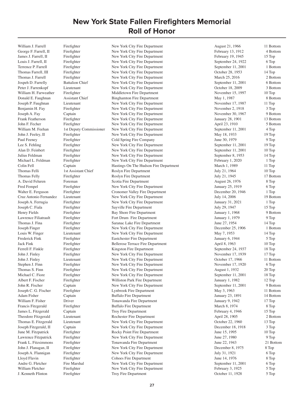William J. Farrell Firefighter New York City Fire Department August 21, 1966 11 Bottom

George F. Farrell, II Firefighter New York City Fire Department February 13, 1912 4 Bottom James J. Farrell, II Firefighter New York City Fire Department February 19, 1945 15 Top Louis J. Farrell, II Firefighter New York City Fire Department September 24, 1922 6 Top Terrence P. Farrell Firefighter New York City Fire Department September 11, 2001 1 Bottom Thomas Farrell, III Firefighter New York City Fire Department Cotober 28, 1953 14 Top Thomas J. Farrell Firefighter New York City Fire Department March 25, 2016 2 Bottom Jospeh D. Farrelly Battalion Chief New York City Fire Department September 11, 2001 6 Bottom Peter J. Farrenkopf Lieutenant New York City Fire Department October 18, 2009 3 Bottom William H. Farweather Firefighter Middletown Fire Department November 15, 1997 10 Top Donald E. Faughnan Assistant Chief Binghamton Fire Department May 1, 1987 8 Bottom Joseph P. Faughnan Lieutenant New York City Fire Department November 17, 1987 11 Top Benjamin H. Fay Firefighter New York City Fire Department November 2, 1918 3 Top Joseph A. Fay Captain New York City Fire Department November 30, 1967 9 Bottom Frank Featherson Firefighter New York City Fire Department January 28, 1901 13 Bottom John F. Fecher Firefighter New York City Fire Department April 23, 1910 5 Bottom William M. Feehan 1st Deputy Commissioner New York City Fire Department September 11, 2001 4 Top John J. Feeley, II Firefighter New York City Fire Department May 18, 1933 19 Top Paul Feeney Firefighter Cold Spring Fire Company June 30, 1979 9 Top 9 Top Lee S. Fehling Firefighter New York City Fire Department September 11, 2001 19 Top Alan D. Feinbert Firefighter New York City Fire Department September 11, 2001 10 Top Julius Feldman Firefighter New York City Fire Department September 8, 1953 14 Top Michael L. Feldman Firefighter New York City Fire Department February 1, 2020 1 Top Colin Fell Captain Captain Hastings On The Hudson Fire Department March 1, 1989 11 Top Thomas Felli 1st Assistant Chief Roslyn Fire Department July 21, 1964 10 Top Thomas Felly Firefighter Roslyn Fire Department July 21, 1945 17 Bottom A. David Feluren Foreman Scotia Fire Department August 26, 1976 8 Top Fred Fempel Firefighter New York City Fire Department January 25, 1919 6 Top Walter E. Ferguson Firefighter Cronomer Valley Fire Department December 20, 1946 1 Top Cruz Antonio Fernandez Lieutenant New York City Fire Department July 14, 2006 19 Bottom Joseph A. Ferrugia Firefighter New York City Fire Department January 31, 2021 1 Top Joseph C. Fiala Firefighter Sayville Fire Department July 29, 1947 15 Top Henry Fields Firefighter Bay Shore Fire Department January 1, 1968 9 Bottom Lawrence Filiatrault Firefighter Fort Drum Fire Department January 1, 1979 9 Top Thomas J. Fina Firefighter Saranac Lake Fire Department June 27, 1954 14 Top Joseph Finger Firefighter New York City Fire Department December 25, 1906 1 Bottom Louis W. Finger Lieutenant New York City Fire Department May 7, 1953 14 Top Frederick Fink Firefighter Eastchester Fire Department January 6, 1944 5 Top Jack Fink Firefighter Bellerose Terrace Fire Department April 8, 1963 10 Top Ferrell F. Finkle Firefighter Kingston Fire Department September 24, 1937 18 Top John J. Finley Firefighter New York City Fire Department November 17, 1939 17 Top John J. Finley Lieutenant New York City Fire Department October 17, 1966 11 Bottom Stephen J. Finn Firefighter New York City Fire Department November 17, 1920 6 Top Thomas S. Finn Firefighter New York City Fire Department August 1, 1932 20 Top Michael C. Fiore Firefighter New York City Fire Department September 11, 2001 18 Top Albert F. Fischer Firefighter Williston Park Fire Department January 1, 1982 12 Top John R. Fischer Captain New York City Fire Department September 11, 2001 9 Bottom Joseph C. G. Fischer Firefighter Lynbrook Fire Department May 3, 1963 11 Bottom Adam Fisher Captain Buffalo Fire Department January 23, 1891 14 Bottom William F. Fisher Driver Driver Tonawanda Fire Department January 9, 1942 17 Top Francis Fitzgerald Firefighter Buffalo Fire Department March 8, 1974 8 Top James L. Fitzgerald Captain Captain Troy Fire Department February 4, 1946 15 Top Theodore Fitzgerald Lieutenant Rochester Fire Department April 28, 1905 2 Bottom Thomas E. Fitzgerald Lieutenant New York City Fire Department October 22, 1960 13 Top Joseph Fitzgerald, II Captain New York City Fire Department December 18, 1918 3 Top June M. Fitzpatrick Firefighter Rocky Point Fire Department June 15, 1995 10 Top Lawrence Fitzpatrick Firefighter New York City Fire Department June 27, 1980 9 Top Frank L. Fitzsimmons Firefighter Tonawanda Fire Department June 22, 1943 21 Bottom John J. Flanagan, II Firefighter New York City Fire Department December 8, 1975 8 Top Joseph A. Flannigan Firefighter New York City Fire Department July 31, 1921 6 Top Lloyd Flavin Firefighter Cohoes Fire Department June 14, 1976 8 Top Andre G. Fletcher Fire Marshal New York City Fire Department September 11, 2001 6 Top William Fletcher Firefighter **Firefighter** New York City Fire Department February 3, 1925 5 Top J. Kenneth Flinton Firefighter Troy Fire Department October 11, 1928 5 Top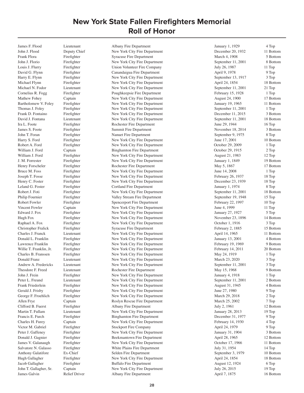John J. Flood Deputy Chief New York City Fire Department December 20, 1932 11 Bottom Frank Flora Firefighter Syracuse Fire Department March 4, 1908 5 Bottom John J. Florio Firefighter New York City Fire Department September 11, 2001 8 Bottom Louis J. Flurry Firefighter Union Volunteer Fire Company July 26, 1987 11 Top David G. Flynn Firefighter Canandaigua Fire Department April 9, 1978 9 Top Harry E. Flynn Firefighter New York City Fire Department September 13, 1917 3 Top Michael Flynn Firefighter New York City Fire Department April 24, 1854 18 Bottom Michael N. Fodor Lieutenant New York City Fire Department September 11, 2001 21 Top Cornelius R. Fogg Firefighter Poughkeepsie Fire Department February 15, 1928 1 Top Mathew Fohey Captain New York City Fire Department August 24, 1900 17 Bottom Bartholomew V. Foley Firefighter New York City Fire Department January 19, 1965 11 Bottom Thomas J. Foley Firefighter New York City Fire Department September 11, 2001 1 Top Frank D. Fontaino Firefighter New York City Fire Department December 11, 2015 3 Bottom David J. Fontana Lieutenant New York City Fire Department September 11, 2001 18 Bottom Ira L. Foote Firefighter Rochester Fire Department June 29, 1944 16 Top James S. Foote Firefighter Summit Fire Department November 18, 2014 3 Bottom John T. Foran Firefighter Nanuet Fire Department September 9, 1975 8 Top Harry S. Ford Firefighter New York City Fire Department June 17, 2001 10 Bottom Robert A. Ford Firefighter New York City Fire Department October 29, 2009 1 Top William J. Ford Captain Captain Binghamton Fire Department Cotober 29, 1915 2 Top William J. Ford Firefighter New York City Fire Department August 21, 1983 12 Top J. M. Forrester Firefighter New York City Fire Department January 1, 1849 19 Bottom Henry Forscheler Firefighter Rochester Fire Department May 5, 1867 17 Bottom Bruce M. Foss Firefighter New York City Fire Department June 14, 2008 1 Top Joseph T. Fosse Firefighter New York City Fire Department February 26, 1937 18 Top Henry C. Foster Firefighter New York City Fire Department December 23, 1939 18 Top Leland G. Foster Firefighter Cortland Fire Department January 1, 1974 8 Top Robert J. Foti Firefighter New York City Fire Department September 11, 2001 18 Bottom Philip Fournier Firefighter Valley Stream Fire Department September 19, 1948 15 Top Robert Fowler Firefighter Spencerport Fire Department February 22, 1997 10 Top Vincent Fowler Captain Captain New York City Fire Department June 4, 1999 11 Top Edward J. Fox Firefighter New York City Fire Department January 27, 1927 5 Top Hugh Fox Firefighter New York City Fire Department November 23, 1896 14 Bottom Raphael A. Fox Firefighter New York City Fire Department Cotober 1, 1916 3 Top Christopher Fralick Firefighter Syracuse Fire Department February 2, 1885 15 Bottom Charles J. Franck Lieutenant New York City Fire Department April 14, 1965 11 Bottom Donald L. Franklin Firefighter New York City Fire Department January 13, 2001 4 Bottom Lawrence Franklin Firefighter New York City Fire Department February 19, 1969 9 Bottom Willie T. Franklin, Jr. Firefighter New York City Fire Department February 14, 2011 20 Bottom Charles B. Franssen Firefighter New York City Fire Department May 24, 1919 1 Top Donald Franz Lieutenant New York City Fire Department March 23, 2020 3 Top Andrew A. Fredericks Lieutenant New York City Fire Department September 11, 2001 3 Top Theodore F. Freed Lieutenant Rochester Fire Department May 15, 1968 9 Bottom John J. Frein Firefighter New York City Fire Department January 4, 1918 1 Top Peter L. Freund Lieutenant New York City Fire Department September 11, 2001 2 Bottom Frank Friederlein Firefighter New York City Fire Department August 31, 1945 4 Bottom Gerald J. Frisby Firefighter New York City Fire Department June 27, 1980 9 Top George F. Froehlich Firefighter New York City Fire Department March 29, 2018 2 Top Allen Frye Captain Captain Roslyn Rescue Fire Department March 25, 2002 7 Top Clifford B. Fuerst Firefighter Albany Fire Department July 2, 1961 12 Bottom Martin T. Fullam Lieutenant New York City Fire Department January 28, 2013 19 Top Francis E. Furch Firefighter Binghamton Fire Department December 31, 1977 9 Top Charles H. Furey Captain New York City Fire Department February 14, 1930 4 Top Victor M. Gabriel Firefighter Stockport Fire Company April 24, 1979 9 Top 9 Top Peter J. Gaffeney Firefighter New York City Fire Department January 31, 1904 3 Bottom Donald J. Gagnier Firefighter Beekmantown Fire Department April 28, 1965 12 Bottom James V. Galanaugh Firefighter New York City Fire Department Cotober 17, 1966 11 Bottom<br>Salvatore N. Galasso Firefighter White Plains Fire Department July 31, 1954 14 Top Firefighter **Salvatore White Plains Fire Department** July 31, 1954 14 Top Anthony Galatifore Ex-Chief Selden Fire Department September 3, 1979 10 Bottom<br>
Hugh Gallagher Firefighter New York City Fire Department April 24, 1854 18 Bottom Hugh Gallagher Firefighter New York City Fire Department April 24, 1854 Jacob Gallagher Firefighter Buffalo Fire Department August 12, 1924 6 Top<br>John T. Gallagher, Sr. Captain New York City Fire Department July 26, 2015 19 Top John T. Gallagher, Sr. Captain New York City Fire Department July 26, 2015 19 Top 19 Top July 26, 2015 19 Top 19 Top 19 Top 19 Top 19 Top 19 Top 16 Bottom Albany Fire Department April 7. 1875 16 Bottom 16 Rottom 16 Rottom Albany Fire Department April 7, 1875

James F. Flood Lieutenant Albany Fire Department January 1, 1929 4 Top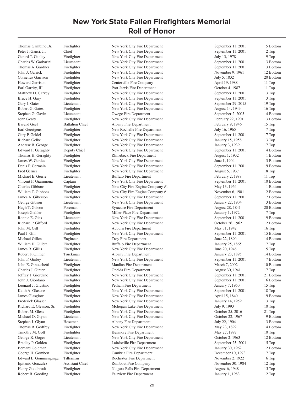Peter J. Ganci, Jr. Chief New York City Fire Department September 11, 2001 2 Top Gerard T. Ganley Firefighter New York City Fire Department July 13, 1978 9 Top Charles W. Garbarini Lieutenant New York City Fire Department September 11, 2001 3 Bottom Thomas A. Gardner Firefighter New York City Fire Department September 11, 2001 3 Bottom John J. Garrick Firefighter New York City Fire Department November 9, 1961 12 Bottom Cornelius Garrison Firefighter New York City Fire Department July 5, 1832 20 Bottom Howard Garrison Firefighter Centerville Fire Company April 19, 1988 11 Top Earl Garrity, III Firefighter Port Jervis Fire Department October 4, 1987 11 Top Matthew D. Garvey Firefighter New York City Fire Department September 11, 2001 3 Top Bruce H. Gary Firefighter New York City Fire Department September 11, 2001 3 Top Gary J. Gates Lieutenant New York City Fire Department September 29, 2015 19 Top Robert G. Gates Firefighter New York City Fire Department August 14, 1943 16 Top Stephen G. Gavin Lieutenant Owego Fire Department September 2, 2003 4 Bottom John Geary Firefighter New York City Fire Department February 22, 1901 13 Bottom Barend Geel Battalion Chief Albany Fire Department February 9, 1946 15 Top Earl Geertgens Firefighter New Rochelle Fire Department July 16, 1965 7 Top Gary P. Geidel Firefighter New York City Fire Department September 11, 2001 17 Top Richard Gelke Firefighter New York City Fire Department January 15, 1958 13 Top Andrew B. George Firefighter New York City Fire Department January 3, 1939 17 Top Edward F. Geraghty Deputy Chief New York City Fire Department September 11, 2001 4 Bottom Thomas H. Geraghty Firefighter Rhinebeck Fire Department August 1, 1932 1 Bottom James W. Gerdes Firefighter New York City Fire Department June 1, 1904 3 Bottom Denis P. Germain Firefighter New York City Fire Department September 11, 2001 19 Bottom Fred Gerner Firefighter New York City Fire Department August 5, 1937 18 Top Michael E. Gerrie Lieutenant Buffalo Fire Department February 2, 1988 11 Top<br>
Vincent F. Giammona Captain New York City Fire Department September 11, 2001 10 Bott Vincent F. Giammona Captain New York City Fire Department September 11, 2001 10 Bottom Charles Gibbons Firefighter New City Fire Engine Company #1 May 13, 1964 1 Bottom William T. Gibbons Firefighter New City Fire Engine Company #1 November 6, 1901 2 Bottom James A. Giberson Firefighter New York City Fire Department September 11, 2001 17 Bottom George Gibson Lieutenant New York City Fire Department January 22, 1904 3 Bottom Hugh T. Gibson Foreman Syracuse Fire Department August 28, 1841 20 Bottom Joseph Giehler Firefighter Miller Place Fire Department January 1, 1972 7 Top Ronnie E. Gies Lieutenant New York City Fire Department September 11, 2001 19 Bottom Richard P. Gifford Firefighter New York City Fire Department October 26, 1962 12 Bottom John M. Gill Firefighter Auburn Fire Department May 31, 1942 16 Top Paul J. Gill Firefighter New York City Fire Department September 11, 2001 15 Bottom Michael Gillen Engineer Troy Fire Department June 22, 1890 14 Bottom William H. Gillett Firefighter Buffalo Fire Department January 25, 1865 17 Top James R. Gillis Firefighter New York City Fire Department June 20, 1946 15 Top Robert F. Gilmer Truckman and Albany Fire Department January 23, 1895 14 Bottom John F. Ginley Lieutenant New York City Fire Department September 11, 2001 7 Bottom John E. Ginocchetti Firefighter Manlius Fire Department March 7, 2002 10 Bottom Charles J. Ginter Firefighter Oneida Fire Department August 30, 1941 17 Top Jeffrey J. Giordano Firefighter New York City Fire Department September 11, 2001 21 Bottom John J. Giordano Firefighter New York City Fire Department September 11, 2001 6 Bottom Leonard J. Giustino Firefighter Pelham Fire Department January 7, 1950 15 Top Keith A. Glascoe Firefighter New York City Fire Department September 11, 2001 18 Top James Glasglow Firefighter New York City Fire Department April 15, 1840 19 Bottom Frederick Glasser Firefighter New York City Fire Department January 14, 1959 13 Top Richard E. Gleason, Sr. Firefighter Mohegan Lake Fire Department July 9, 1993 10 Top Robert M. Gless Firefighter New York City Fire Department October 25, 2016 21 Top Michael O. Glynn Lieutenant New York City Fire Department October 22, 1967 9 Bottom Stephen J. Glynn Hoseman Albany Fire Department July 22, 1904 3 Bottom Thomas R. Godfrey Firefighter New York City Fire Department May 23, 1892 14 Bottom Timothy M. Goff Firefighter Fire Kenmore Fire Department May 27, 1997 10 Top George R. Goger Lieutenant New York City Fire Department October 2, 1963 12 Bottom Bradley P. Golden Firefighter Lairdsville Fire Department September 25, 2001 15 Top<br>Bernard Goldman Firefighter New York City Fire Department January 30, 1962 12 Bott Firefighter New York City Fire Department January 30, 1962 12 Bottom George H. Gombert Firefighter Cambria Fire Department December 10, 1973 7 Top Edward L. Gommenginger Tillerman Rochester Fire Department November 2, 1922 6 Top Epitanio Gonzalez Assistant Chief Rombout Fire Company November 30, 1984 12 Top Henry Goodbrodt Firefighter Niagara Falls Fire Department August 6, 1948 15 Top<br>Robert B. Gooding Firefighter Fairview Fire Department January 1, 1983 12 Top Robert B. Gooding Firefighter Fairview Fire Department Fairview Fire Department January 1, 1983 12 Top

Thomas Gambino, Jr. Firefighter New York City Fire Department September 11, 2001 5 Bottom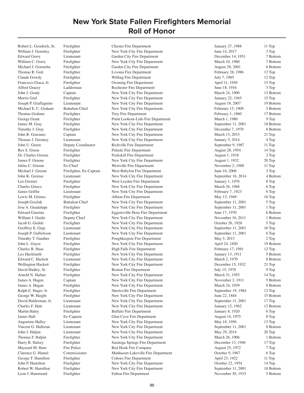Robert L. Goodrich, Sr. Firefighter Chester Fire Department January 27, 1988 11 Top

William J. Gormley Firefighter New York City Fire Department June 14, 2017 3 Top Edward Gorry Lieutenant Garden City Fire Department December 14, 1951 7 Bottom William C. Gorry Firefighter New York City Fire Department March 10, 1960 7 Bottom Michael J. Gorumba Firefighter Garden City Fire Department August 28, 2001 6 Bottom Thomas R. Gott Firefighter Livonia Fire Department February 28, 1986 12 Top Claude Gowdy Firefighter Willing Fire Department July 7, 1985 12 Top Francisco Graca, Jr. Firefighter Cossining Fire Department April 11, 1949 15 Top Alfred Gracey Ladderman Rochester Fire Department June 18, 1916 3 Top John J. Grady Captain New York City Fire Department March 24, 1900 13 Bottom Morris Graf Firefighter New York City Fire Department January 22, 1945 15 Top Joseph P. Graffagnino Lieutenant New York City Fire Department August 18, 2007 19 Bottom Michael E. C. Graham Battalion Chief New York City Fire Department February 15, 1909 5 Bottom Thomas Graham Firefighter Fire Troy Fire Department February 1, 1860 17 Bottom George Grant Firefighter Point Lookout-Lido Fire Department March 1, 1980 9 Top James M. Gray Firefighter New York City Fire Department September 11, 2001 18 Bottom Timothy J. Gray Firefighter New York City Fire Department December 7, 1970 8 Bottom John R. Graziano Captain New York City Fire Department March 13, 2015 21 Top Thomas J. Greaney Lieutenant New York City Fire Department January 5, 2014 4 Top John U. Green Deputy Coordinator Richville Fire Department September 9, 1987 11 Top Rex S. Green Firefighter Pulaski Fire Department August 28, 1954 14 Top Dr. Charles Greene Firefighter Peekskill Fire Department August 1, 1918 2 Top James F. Greene Firefighter New York City Fire Department August 1, 1932 20 Top Julius C. Greene Ex-Chief Westville Fire Department November 2, 1988 11 Top Michael J. Greene Firefighter, Ex-Captain West Babylon Fire Department June 16, 2006 2 Top John K. Gremse Lieutenant New York City Fire Department September 16, 2014 4 Bottom Leo Grenier Firefighter West Leyden Fire Department January 1, 1976 8 Top Charles Grieco Firefighter New York City Fire Department March 26, 1968 6 Top James Griffin Lieutenant New York City Fire Department February 7, 1923 6 Top Lewis M. Grimes Firefighter Albion Fire Department May 13, 1949 16 Top Joseph Grzelak Battalion Chief New York City Fire Department September 11, 2001 5 Top Jose A. Guadalupe Firefighter New York City Fire Department September 11, 2001 1 Top Edward Guarino Firefighter Eggertsville Hose Fire Department June 17, 1970 6 Bottom William J. Guido Deputy Chief New York City Fire Department November 10, 2011 1 Bottom Jacob G. Guilde Firefighter New York City Fire Department October 26, 1928 5 Top Geoffrey E. Guja Lieutenant New York City Fire Department September 11, 2001 16 Top Joseph P. Gullickson Lieutenant New York City Fire Department September 11, 2001 6 Top Timothy T. Gunther Firefighter Poughkeepsie Fire Department May 5, 2015 2 Top John L. Guyre Firefighter New York City Fire Department April 24, 1850 19 Bottom Charles R. Haas Firefighter High Falls Fire Department February 17, 1981 12 Top Leo Hackbarth Firefighter New York City Fire Department January 13, 1911 5 Bottom Edward C. Hackett Lieutenant New York City Fire Department March 2, 1970 8 Bottom Wellington Hackett Firefighter New York City Fire Department December 15, 1932 21 Top David Hadley, Sr. Firefighter Boston Fire Department July 15, 1978 9 Top Arnold N. Hafner Firefighter New York City Fire Department March 31, 1955 14 Top James A. Hagen Captain New York City Fire Department November 3, 1911 5 Bottom James A. Hagan Firefighter New York City Fire Department March 24, 1939 8 Bottom Ralph E. Hager, Jr. Firefighter Shortsville Fire Department September 19, 1984 12 Top George W. Haight Firefighter New York City Fire Department June 22, 1884 15 Bottom David Halderman, Jr. Lieutenant New York City Fire Department September 11, 2001 17 Top Charles F. Hale Lieutenant New York City Fire Department January 12, 1962 12 Bottom Martin Haley Firefighter Buffalo Fire Department January 8, 1920 6 Top James Hall Ex-Captain Glen Cove Fire Department August 14, 1975 8 Top Augustine Halley Lieutenant New York City Fire Department May 18, 1956 13 Top Vincent G. Halloran Lieutenant New York City Fire Department September 11, 2001 8 Bottom John J. Halpin Lieutenant New York City Fire Department May 29, 2014 20 Top Thomas F. Halpin Firefighter New York City Fire Department March 26, 1906 1 Bottom Harry R. Halsey Firefighter Saratoga Springs Fire Department December 13, 1940 17 Top Maynard M. Ham Fire Police Red Hook Fire Company August 25, 1972 7 Top Clarence G. Hamel Commissioner Manhasset-Lakeville Fire Department October 9, 1967 6 Top George T. Hamilton Firefighter Cohoes Fire Department April 23, 1922 11 Top John P. Hamilton Firefighter New York City Fire Department October 22, 1954 14 Top Robert W. Hamilton Firefighter New York City Fire Department September 11, 2001 18 Bottom Leon J. Hammond Firefighter Fulton Fire Department November 30, 1915 5 Bottom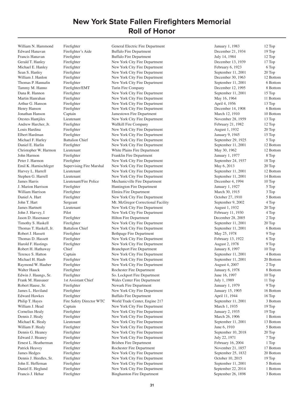William N. Hammond Firefighter General Electric Fire Department January 1, 1983 12 Top

James Harris Lieutenant/Fire Police Mechanicville Fire Department December 4, 1994 Daniel E. Heglund Firefighter New York City Fire Department September 22, 2014 1 Bottom<br>
Francis J. Hehar Firefighter Binghamton Fire Department September 26, 1898 3 Bottom Binghamton Fire Department September 26, 1898

Edward Hanavan Firefighter's Aide Buffalo Fire Department December 21, 1934 19 Top Francis Hanavan Firefighter Buffalo Fire Department July 14, 1984 12 Top Gerald T. Hanley Firefighter New York City Fire Department December 13, 1939 17 Top Michael E. Hanley Firefighter New York City Fire Department February 6, 1923 6 Top Sean S. Hanley Firefighter New York City Fire Department September 11, 2001 20 Top William J. Hanlon Firefighter New York City Fire Department December 30, 1963 12 Bottom Thomas P. Hannafin Firefighter New York City Fire Department September 11, 2001 6 Bottom Tammy M. Hanno Firefighter/EMT Turin Fire Company Turin Fire Company December 12, 1995 8 Bottom Dana R. Hannon Firefighter New York City Fire Department September 11, 2001 15 Top Martin Hanrahan Firefighter New York City Fire Department May 16, 1964 11 Bottom Arthur G. Hanson Firefighter New York City Fire Department April 4, 1956 13 Top Henry Hanson Firefighter New York City Fire Department December 14, 1908 6 Bottom Jonathan Hanson Captain Jamestown Fire Department March 12, 1910 10 Bottom Orestes Hantjiles Lieutenant New York City Fire Department November 28, 1959 13 Top Andrew Harcher, Jr. Firefighter Wallkill Fire Company February 21, 1982 12 Top Louis Hardina Firefighter New York City Fire Department August 1, 1932 20 Top Elbert Hardman Firefighter New York City Fire Department January 9, 1945 15 Top Michael F. Harley Battalion Chief New York City Fire Department September 29, 1925 5 Top Daniel E. Harlin Firefighter New York City Fire Department September 11, 2001 12 Bottom Christopher W. Harmon Lieutenant Mischen White Plains Fire Department May 30, 1962 12 Bottom John Harmon Firefighter Franklin Fire Department January 1, 1977 8 Top Peter J. Harmon Firefighter New York City Fire Department September 24, 1937 18 Top<br>
Emil K. Harnischfeger Supervising Fire Marshal New York City Fire Department May 6, 2013 20 Top Supervising Fire Marshal New York City Fire Department May 6, 2013 20 Top Harvey L. Harrell Lieutenant New York City Fire Department September 11, 2001 12 Bottom Stephen G. Harrell Lieutenant Lieutenant New York City Fire Department September 11, 2001 14 Bottom<br>
1 1 I Lieutenant/Fire Police Mechanic ville Fire Department December 4, 1994 10 Top J. Marion Harrison Firefighter Huntington Fire Department January 1, 1927 5 Top William Harrison Firefighter Elmira Fire Department March 30, 1915 3 Top Daniel A. Hart Firefighter New York City Fire Department October 27, 1910 5 Bottom John T. Hart Sergeant Mt. McGregor Correctional Facility September 9, 2002 4 Top James Hartnett Lieutenant New York City Fire Department August 1, 1932 20 Top John J. Harvey, I Pilot New York City Fire Department February 11, 1930 4 Top Jason D. Hasenauer Firefighter Hilton Fire Department December 28, 2005 2 Top Timothy S. Haskell Firefighter New York City Fire Department September 11, 2001 20 Top Thomas T. Haskell, Jr. Battalion Chief New York City Fire Department September 11, 2001 6 Bottom Robert J. Hassett Firefighter Bethpage Fire Department May 25, 1978 9 Top Thomas D. Hassett Firefighter New York City Fire Department February 13, 1922 6 Top Harold F. Hastings Firefighter New York City Fire Department August 2, 1978 9 Top Robert H. Hathaway Chief Branchport Fire Department January 8, 1997 10 Top Terence S. Hatton Captain Captain New York City Fire Department September 11, 2001 4 Bottom Michael H. Haub Firefighter New York City Fire Department September 11, 2001 20 Bottom Raymond W. Hauber Firefighter New York City Fire Department August 4, 2007 2 Top Walter Hauck Firefighter Fire Rochester Fire Department January 6, 1978 8 Bottom Edwin J. Haungs, Sr. Firefighter So. Lockport Fire Department June 16, 1997 10 Top Frank M. Hausauer 1st Assistant Chief Wales Center Fire Department July 1, 1989 11 Top Robert Hause, Sr. Firefighter Newark Fire Department 1979 January 1, 1979 9 Top James L. Haviland Firefighter New York City Fire Department January 15, 1905 16 Bottom Edward Hawkes Firefighter Buffalo Fire Department April 11, 1944 16 Top Philip T. Hayes Fire Safety Director WTC World Trade Center, Engine 217 September 11, 2001 3 Bottom William J. Head Captain Captain New York City Fire Department March 1, 1935 19 Top Cornelius Healy Firefighter New York City Fire Department January 2, 1935 19 Top Dennis J. Healy Firefighter New York City Fire Department March 26, 1906 1 Bottom Michael K. Healy Lieutenant New York City Fire Department September 11, 2001 13 Bottom William F. Healy Firefighter New York City Fire Department June 6, 1910 5 Bottom Dennis G. Heaney Firefighter New York City Fire Department September 10, 2018 20 Top Edward J. Heaney Firefighter New York City Fire Department July 22, 1971 7 Top Ernest L. Heatherman Firefighter Brisben Fire Department February 16, 2004 1 Top Patrick Heavey Firefighter Rochester Fire Department November 21, 1857 17 Bottom James Hedges Firefighter New York City Fire Department September 25, 1832 20 Bottom Dennis J. Heedles, Sr. Firefighter New York City Fire Department Cotober 10, 2015 19 Top<br>
19 Top John E. Heffernan Firefighter New York City Fire Department September 11, 2001 5 Bottom John E. Heffernan Firefighter New York City Fire Department September 11, 2001 5 Bottom<br>
1 Bottom Paniel E. Heglund Firefighter New York City Fire Department September 22, 2014 1 Bottom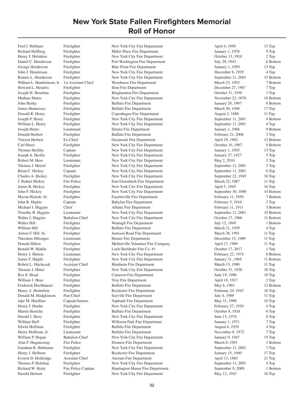Richard Hellberg Firefighter Miller Place Fire Department January 1, 1978 9 Top Henry J. Helmken Firefighter New York City Fire Department October 13, 1918 2 Top Daniel C. Henderson Firefighter Port Washington Fire Department July 29, 1943 6 Bottom George Henderson Firefighter Blue Point Fire Department January 1, 1959 13 Top John J. Henderson Firefighter New York City Fire Department December 8, 1929 4 Top Ronnie L. Henderson Firefighter New York City Fire Department September 11, 2001 15 Bottom William L. Hendrickson, Jr. 1st Assistant Chief Woodmere Fire Department March 23, 1953 7 Bottom Howard L. Hendrix Firefighter Ilion Fire Department December 27, 1967 7 Top Joseph H. Henehan Firefighter Binghamton Fire Department October 31, 1938 1 Top Mathais Henes Firefighter New York City Fire Department November 22, 1870 16 Bottom John Henky Firefighter Buffalo Fire Department January 28, 1907 6 Bottom James Hennessey Firefighter Buffalo Fire Department March 20, 1940 17 Top Donald R. Henry Firefighter Copenhagen Fire Department August 2, 1988 11 Top Joseph P. Henry Firefighter New York City Fire Department September 11, 2001 4 Bottom William L. Henry Firefighter New York City Fire Department September 11, 2001 4 Top Joseph Hentz Lieutenant Elmira Fire Department January 1, 1968 9 Bottom Donald Herbert Firefighter Buffalo Fire Department February 21, 2006 3 Top Vincent Herbert Ex-Chief Cocanside Fire Department April 29, 1962 12 Bottom Carl Herer Firefighter New York City Fire Department October 10, 1967 9 Bottom Thomas Herlihy Captain New York City Fire Department January 1, 1955 13 Top Joseph A. Heslin Firefighter New York City Fire Department January 27, 1927 5 Top Robert M. Hess Lieutenant New York City Fire Department May 2, 2010 3 Top Thomas J. Hetzel Firefighter New York City Fire Department September 11, 2001 2 Top Brian C. Hickey Captain Captain New York City Fire Department September 11, 2001 6 Top Charles A. Hickey Firefighter New York City Fire Department September 22, 1945 16 Top J. Robert Hickey Fire Police East Greenbush Fire Department March 22, 1987 11 Top James R. Hickey Firefighter New York City Fire Department April 5, 1945 16 Top John F. Hickey Firefighter New York City Fire Department September 30, 1896 14 Bottom Myron Hickok, Sr. Firefighter Fayetteville Fire Department February 11, 1959 7 Bottom John R. Higbie Captain Babylon Fire Department February 5, 1916 3 Top Michael J. Higgins Chief Albany Fire Department February 11, 1911 5 Bottom Timothy B. Higgins Lieutenant New York City Fire Department September 11, 2001 19 Bottom Walter J. Higgins Battalion Chief New York City Fire Department Cotober 17, 1966 11 Bottom Walter Hill Firefighter Firefighter Wantagh Fire Department 1 1 Bottom July 12, 1949 1 Bottom William Hill Firefighter Buffalo Fire Department March 21, 1929 4 Top Alston F. Hill, Sr. Firefighter Jamison Road Fire Department March 28, 1991 11 Top Theodore Hilsinger Lieutenant Homer Fire Department December 15, 1989 11 Top Donald Hilton Firefighter Mellenville Volunteer Fire Company April 27, 1989 11 Top Ronald W. Hinkle Firefighter Loch Sheldrake Fire Co. #1 October 17, 2017 1 Top Henry J. Hinton Lieutenant New York City Fire Department February 22, 1974 8 Bottom James F. Hipple Firefighter New York City Fire Department January 31, 1965 11 Bottom Robert L. Hitchcock Assistant Chief Blenheim Fire Department March 13, 1990 11 Top Thomas J. Hitter Firefighter New York City Fire Department October 31, 1938 18 Top Rex E. Hoad Firefighter Cameron Fire Department June 19, 1996 10 Top William J. Hoar Firefighter Troy Fire Department April 18, 1917 2 Top Frederick Hochhauser Firefighter Buffalo Fire Department May 6, 1963 12 Bottom Henry A. Hoderlein Firefighter Rochester Fire Department February 24, 1943 16 Top Donald M. Hodgkinson Past Chief Sayville Fire Department July 4, 1989 11 Top Jake M. Hoeffner Captain/Juniors Yaphank Fire Department May 31, 1998 10 Top Henry J. Hoehn Firefighter New York City Fire Department February 27, 1930 4 Top Martin Hoelche Firefighter Buffalo Fire Department October 8, 1924 6 Top Harold J. Hoey Firefighter New York City Fire Department June 13, 1974 8 Top William Hoff Firefighter Williston Park Fire Department January 1, 1971 7 Top Edwin Hoffman Firefighter Buffalo Fire Department August 6, 1929 4 Top Henry Hoffman, Jr. Lieutenant Buffalo Fire Department November 8, 1972 7 Top William P. Hogan Battalion Chief New York City Fire Department January 9, 1947 15 Top Alan F. Hogancamp Fire Police Elsmere Fire Department March 6, 1981 1 Bottom Jonathan R. Hohmann Firefighter New York City Fire Department September 11, 2001 1 Top Henry J. Holborn Firefighter Rochester Fire Department January 15, 1940 17 Top Everett D. Holdridge Assistant Chief Ancram Fire Department April 13, 1963 21 Top Thomas P. Holohan Firefighter New York City Fire Department September 11, 2001 4 Top Richard W. Holst Fire Police Captain Huntington Manor Fire Department September 9, 2009 1 Bottom Harold Holsten Firefighter New York City Fire Department May 12, 1945 16 Top

Fred J. Hellauer Firefighter New York City Fire Department April 4, 1956 13 Top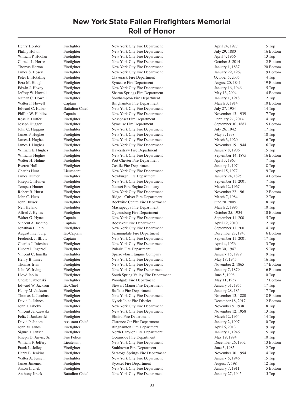Henry Holster Firefighter New York City Fire Department April 24, 1927 5 Top

William P. Hoolan Firefighter New York City Fire Department April 4, 1956 13 Top Cornell L. Horne Firefighter New York City Fire Department October 5, 2014 2 Bottom Thomas Horton Firefighter New York City Fire Department January 1, 1837 20 Bottom<br>
19 Department January 29, 1967 9 Bottom New York City Fire Department January 29, 1967 9 Bottom Firefighter New York City Fire Department January 29, 1967 9 Bottom Peter E. Hotaling Firefighter Claverack Fire Department Claverack Fire Department October 5, 2005 4 Top Ezra M. Hough Firefighter Syracuse Fire Department August 20, 1841 19 Bottom Edwin J. Hovey Firefighter New York City Fire Department January 16, 1946 15 Top Jeffrey W. Howell Firefighter Sharon Springs Fire Department May 13, 2004 4 Bottom Nathan C. Howell Firefighter Southampton Fire Department January 1, 1918 2 Top Walter F. Howell Captain Captain Binghamton Fire Department March 3, 1914 10 Bottom Edward C. Huber Battalion Chief New York City Fire Department July 27, 1954 14 Top Phillip W. Hublitz Captain New York City Fire Department November 13, 1939 17 Top Ross E. Huffer Firefighter Resconset Fire Department February 27, 2014 14 Top Joseph Hugger Firefighter Syracuse Fire Department September 10, 1887 15 Bottom John C. Huggins Firefighter New York City Fire Department July 26, 1942 17 Top James F. Hughes Firefighter New York City Fire Department May 3, 1938 18 Top James J. Hughes Firefighter New York City Fire Department March 3, 1920 6 Top James J. Hughes Firefighter New York City Fire Department November 19, 1944 16 Top William E. Hughes Firefighter Haverstraw Fire Department January 8, 1906 15 Top Williams Hughes Firefighter New York City Fire Department September 14, 1875 16 Bottom Walter H. Huhne Firefighter Port Chester Fire Department April 3, 1963 7 Top Everett Hull Firefighter Castile Fire Department January 1, 1974 8 Top Charles Hunt Lieutenant New York City Fire Department April 15, 1977 9 Top James Hunter Firefighter Newburgh Fire Department January 24, 1895 14 Bottom Joseph G. Hunter Firefighter New York City Fire Department September 11, 2001 7 Top Tempest Hunter Firefighter Fire Fighter Nanuet Fire Engine Company March 12, 1967 7 Top Robert R. Hurst Firefighter New York City Fire Department November 22, 1961 12 Bottom John C. Huss Firefighter Ridge - Culver Fire Department March 7, 1984 12 Top John Husser Firefighter Rockville Centre Fire Department June 28, 2005 18 Top Neil Hyland Firefighter Massapequa Fire Department March 2, 1995 10 Top Alfred J. Hynes Firefighter Ogdensburg Fire Department October 25, 1934 10 Bottom Walter G. Hynes Captain Captain New York City Fire Department September 11, 2001 5 Top Vincent A. Iaccino Captain Captain Roosevelt Fire Department April 12, 2010 2 Top Jonathan L. Ielpi Firefighter New York City Fire Department September 11, 2001 4 Top August Ihlenburg Ex-Captain Farmingdale Fire Department December 28, 1943 6 Bottom Frederick J. Ill, Jr. Captain New York City Fire Department September 11, 2001 17 Top Charles J. Infosino Firefighter New York City Fire Department April 4, 1956 13 Top Hubert J. Ingersoll Firefighter Pulaski Fire Department July 30, 1947 15 Top Vincent C. Innella Firefighter Sparrowbush Engine Company January 15, 1979 9 Top Henry B. Innes Firefighter New York City Fire Department May 18, 1945 16 Top Thomas Irvin Firefighter New York City Fire Department November 2, 1865 17 Bottom John W. Irving Firefighter New York City Fire Department January 7, 1879 16 Bottom Lloyd Jablin Firefighter South Spring Valley Fire Department June 5, 1998 10 Top Chester Jablonski Firefighter Woodgate Fire Department May 11, 1957 7 Bottom Edward W. Jackson Ex-Chief Stewart Manor Fire Department January 31, 1955 17 Top Henry M. Jackson Firefighter Buffalo Fire Department January 28, 1854 17 Top Thomas L. Jacobus Firefighter New York City Fire Department November 13, 1880 18 Bottom David L. Jahnes Firefighter Nyack Joint Fire District December 18, 2017 2 Bottom John J. Jakoby Firefighter New York City Fire Department November 5, 1938 18 Top Vincent Janczewski Firefighter New York City Fire Department November 12, 1958 13 Top Felix J. Jankowski Firefighter Elmira Fire Department March 12, 1954 14 Top David P. Janora Assistant Chief Clarence Ctr Fire Department January 2, 1997 10 Top John M. Janos Firefighter Binghamton Fire Department April 6, 2013 9 Top Sigurd J. Jansen Firefighter North Babylon Fire Department January 1, 1946 15 Top Joseph D. Jarvis, Sr. Fire Police Coeanside Fire Department May 19, 1994 10 Top William F. Jeffery Lieutenant New York City Fire Department December 26, 1902 13 Bottom Frank L. Jelley Firefighter Smithtown Fire Department June 3, 1985 12 Top Harry E. Jenkins Firefighter Saratoga Springs Fire Department November 30, 1954 14 Top Walter A. Jensen Firefighter New York City Fire Department January 5, 1946 15 Top James Jimenez Firefighter Syosset Fire Department August 7, 1984 12 Top Anton Jiranek Firefighter New York City Fire Department January 7, 1911 5 Bottom Anthony Jireck Battalion Chief New York City Fire Department January 27, 1945 15 Top

Phillip Holton Firefighter New York City Fire Department July 29, 1880 16 Bottom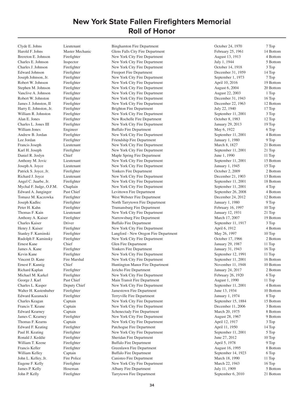Harold F. Johns Master Mechanic Glens Falls City Fire Department February 25, 1961 14 Bottom Brereton E. Johnson Firefighter New York City Fire Department August 13, 1913 4 Bottom Charles E. Johnson Inspector New York City Fire Department July 1, 1944 5 Bottom Charles J. Johnson Firefighter New York City Fire Department October 14, 1918 3 Top Edward Johnson Firefighter Freeport Fire Department December 31, 1959 14 Top Joseph Johnson, Jr. Firefighter New York City Fire Department September 1, 1973 7 Top Robert W. Johnson Firefighter New York City Fire Department April 10, 2016 19 Bottom Stephen M. Johnson Firefighter New York City Fire Department August 6, 2004 20 Bottom Vanclive A. Johnson Firefighter New York City Fire Department August 22, 2003 1 Top Robert W. Johnston Firefighter New York City Fire Department December 31, 1943 16 Top James J. Johnston, II Firefighter New York City Fire Department December 22, 1963 12 Bottom Harry E. Johnston, Jr. Firefighter Brighton Fire Department July 22, 1940 17 Top William R. Johnston Firefighter New York City Fire Department September 11, 2001 3 Top Alan E. Jones Firefighter New Rochelle Fire Department October 8, 1983 12 Top Charles L. Jones III Firefighter New York City Fire Department January 29, 2013 19 Top William Jones Engineer Buffalo Fire Department May 6, 1922 6 Top Andrew B. Jordan Firefighter New York City Fire Department September 11, 2001 4 Bottom Lee Jordan Firefighter Friendship Fire Department January 1, 1980 9 Top Francis Joseph Lieutenant New York City Fire Department March 8, 1827 21 Bottom Karl H. Joseph Firefighter New York City Fire Department September 11, 2001 21 Top Daniel R. Joslyn Chief Maple Spring Fire Department June 1, 1990 11 Top<br>
Anthony M. Jovic Lieutenant New York City Fire Department September 11, 2001 15 Bott Anthony M. Jovic Lieutenant New York City Fire Department September 11, 2001 15 Bottom Joseph A. Joyce Lieutenant New York City Fire Department January 1, 1945 15 Top Patrick S. Joyce, Jr. Firefighter Yonkers Fire Department Cotober 2, 2009 2 Bottom Richard J. Joyce Lieutenant New York City Fire Department December 21, 1903 13 Bottom Angel C. Juarbe, Jr. Firefighter New York City Fire Department September 11, 2001 18 Bottom Mychal F. Judge, O.F.M. Chaplain New York City Fire Department September 11, 2001 4 Top Edward A. Junginger Past Chief Levittown Fire Department September 26, 2008 4 Bottom Tomasz M. Kaczowka Firefighter West Webster Fire Department December 24, 2012 12 Bottom Joseph Kadlec Firefighter North Tarrytown Fire Department January 1, 1980 9 Top Peter H. Kahn Firefighter Trumansburg Fire Department February 16, 1997 10 Top Thomas F. Kain Lieutenant New York City Fire Department January 12, 1931 21 Top Anthony A. Kaiser Firefighter Narrowsburg Fire Department March 17, 2007 19 Bottom Charles Kaiser Driver Buffalo Fire Department September 11, 1917 3 Top Henry J. Kaiser Firefighter New York City Fire Department April 6, 1912 4 Bottom Stanley F. Kaminski Firefighter Langford - New Oregon Fire Department May 26, 1997 10 Top Rudolph F. Kaminsky Firefighter New York City Fire Department October 17, 1966 2 Bottom Ernest Kane Chief Chief Glen Fire Department January 29, 1987 11 Top James A. Kane Firefighter Yonkers Fire Department January 31, 1943 16 Top Kevin Kane Firefighter New York City Fire Department September 12, 1991 11 Top Vincent D. Kane Fire Marshal New York City Fire Department September 11, 2001 16 Bottom Ernest F. Kannig Chief Huntington Manor Fire Department November 11, 1948 10 Bottom Richard Kaplan Firefighter Fire Jericho Fire Department January 24, 2017 2 Bottom Michael M. Karkel Firefighter New York City Fire Department February 26, 1920 6 Top George J. Karl Past Chief Main Transit Fire Department August 1, 1990 11 Top Charles L. Kasper Deputy Chief New York City Fire Department September 11, 2001 4 Bottom Walter H. Kastenhuber Firefighter Jamestown Fire Department June 13, 1934 10 Bottom Edward Kazanacki Firefighter Terryville Fire Department January 1, 1974 8 Top Charles Keagan Captain Captain New York City Fire Department September 15, 1884 15 Bottom Francis T. Keane Captain New York City Fire Department December 11, 2006 3 Bottom Edward Kearney Captain Captain Schenectady Fire Department March 20, 1975 8 Bottom James C. Kearney Firefighter New York City Fire Department August 28, 1967 9 Bottom Thomas F. Kearns Captain Captain New York City Fire Department April 12, 1917 3 Top Edward F. Keating Firefighter Patchogue Fire Department April 11, 1950 14 Top Paul H. Keating Firefighter New York City Fire Department September 11, 2001 5 Top Ronald J. Keddie Firefighter Sheridan Fire Department June 27, 2012 10 Top William T. Keene Firefighter Buffalo Fire Department April 5, 1978 9 Top Francis Keller Firefighter Firefighter Greenlawn Fire Department August 16, 1995 8 Bottom<br>
Fire September 14, 1923 6 Top Greenlawn Buffalo Fire Department September 14, 1923 6 Top 6 Top William Kelley Captain Buffalo Fire Department September 14, 1923 6 Top<br>
John L. Kelley, Jr. Fire Police Canisteo Fire Department March 18, 1990 11 Top John L. Kelley, Jr. Fire Police Canisteo Fire Department March 18, 1990 11 Top Eugene F. Kelly Firefighter New York City Fire Department March 22, 1943 16 Top<br>
James P. Kelly Hoseman Albany Fire Department July 11, 1909 5 Bottom James P. Kelly Hoseman Albany Fire Department 5 and 11, 1909<br>
John P. Kelly Firefighter Tarrytown Fire Department September 6. John P. Kelly Firefighter Tarrytown Fire Department September 6, 2010 21 Bottom

Clyde E. Johns Lieutenant Binghamton Fire Department October 24, 1970 7 Top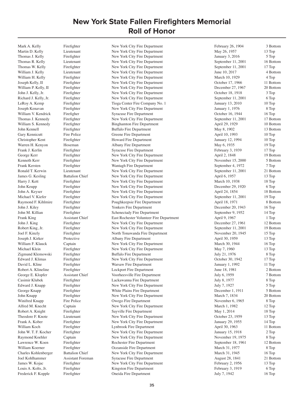Mark A. Kelly Firefighter New York City Fire Department February 26, 1904 3 Bottom

Martin D. Kelly Lieutenant New York City Fire Department May 26, 1957 13 Top Thomas J. Kelly Firefighter New York City Fire Department January 3, 2016 5 Top Thomas R. Kelly Lieutenant New York City Fire Department September 11, 2001 16 Bottom<br>Thomas W. Kelly Firefighter New York City Fire Department September 11, 2001 17 Top Thomas W. Kelly Firefighter New York City Fire Department September 11, 2001 William J. Kelly Lieutenant New York City Fire Department June 10, 2017 4 Bottom William H. Kelly Firefighter New York City Fire Department March 10, 1929 4 Top Joseph Kelly, II Firefighter New York City Fire Department October 17, 1966 11 Bottom William P. Kelly, II Firefighter New York City Fire Department December 27, 1967 20 Bottom John J. Kelly, Jr. Firefighter New York City Fire Department October 18, 1918 3 Top Richard J. Kelly, Jr. Firefighter New York City Fire Department September 11, 2001 6 Top LeRoy A. Kemp Firefighter Fire Company No. 1 January 13, 2010 10 Top Joseph Kenavan Firefighter New York City Fire Department January 1, 1976 8 Top William V. Kendrick Firefigher Syracuse Fire Department Cocober 16, 1944 16 Top Thomas J. Kennedy Firefighter New York City Fire Department September 11, 2001 17 Bottom William S. Kennedy Firefighter Binghamton Fire Department April 29, 1929 10 Bottom John Kennell Firefighter Buffalo Fire Department May 8, 1902 13 Bottom Gary Kennicutt Fire Police Greene Fire Department April 10, 1993 10 Top Christopher Kent Firefighter Howard Fire Department January 12, 1994 10 Top Warren H. Kenyon Hoseman Albany Fire Department May 6, 1935 19 Top Frank J. Kerlin Firefighter Syracuse Fire Department February 3, 1939 17 Top George Kerr Firefighter New York City Fire Department April 2, 1848 19 Bottom Kenneth Kerr Firefighter New York City Fire Department November 15, 2000 5 Bottom Frank Kersten Firefighter Wantagh Fire Department September 4, 1972 7 Top Ronald T. Kerwin Lieutenant New York City Fire Department September 11, 2001 21 Bottom James G. Kesling Battalion Chief New York City Fire Department April 6, 1957 13 Top Harry J. Kett Firefighter New York City Fire Department March 10, 1938 18 Top John Keupp Firefighter New York City Fire Department December 29, 1920 6 Top John A. Keyser Firefighter New York City Fire Department April 24, 1854 18 Bottom Michael V. Kiefer Firefighter New York City Fire Department September 11, 2001 19 Top<br>
Raymond F. Kihlmire Firefighter Poughkeepsie Fire Department April 18, 1971 8 Bott Raymond F. Kihlmire Firefighter Poughkeepsie Fire Department April 18, 1971 8 Bottom John J. Kiley Firefighter Yonkers Fire Department December 20, 1943 16 Top John M. Killian Firefighter Schenectady Fire Department September 9, 1952 14 Top Frank King Assistant Chief East Rochester Volunteer Fire Department April 9, 1967 1 Top John J. King Firefighter New York City Fire Department December 27, 1961 12 Bottom Robert King, Jr. Firefighter New York City Fire Department September 11, 2001 19 Bottom Joel F. Kinzly Firefighter North Tonawanda Fire Department November 20, 1945 15 Top Joseph J. Kirker Protective Albany Fire Department April 30, 1959 13 Top William F. Klauck Captain Captain New York City Fire Department March 30, 1944 16 Top Michael Klein Firefighter New York City Fire Department May 7, 1960 13 Top Zigmund Klemowski Firefighter Buffalo Fire Department July 21, 1976 8 Top Edward J. Klimas Firefighter New York City Fire Department October 30, 1942 17 Top David L. Kline Firefighter Warsaw Fire Department January 1, 1992 11 Top Robert A. Klineline Firefighter Lockport Fire Department June 18, 1981 2 Bottom George E. Klopfer Assistant Chief Voorheesville Fire Department July 6, 1959 7 Bottom Casimir Klubek Firefighter Lackawanna Fire Department July 8, 1977 8 Top Edward J. Knapp Firefighter New York City Fire Department July 7, 1927 5 Top George Knapp Firefighter Firefighter White Plains Fire Department December 1, 1911 5 Bottom John Knapp Firefighter New York City Fire Department March 7, 1834 20 Bottom Winifred Knapp Fire Police Cowego Fire Department November 6, 1965 8 Top Alfred M. Knecht Captain New York City Fire Department March 1, 1982 12 Top Robert A. Knight Firefighter Sayville Fire Department May 1, 2014 18 Top Theodore F. Knote Lieutenant New York City Fire Department October 23, 1959 13 Top Frank A. Kober Firefighter New York City Fire Department January 29, 1955 14 Top William Koch Firefighter Lynbrook Fire Department April 30, 1963 11 Bottom John W. T. F. Kocher Firefighter New York City Fire Department January 15, 1918 2 Top Raymond Koehler Captain Captain New York City Fire Department November 19, 1975 8 Top Lawrence W. Koen Firefighter Rochester Fire Department September 18, 1961 12 Bottom William Koerner Firefighter Cocanside Fire Department March 31, 1977 8 Top Charles Kohlenberger Battalion Chief New York City Fire Department March 31, 1945 16 Top Joel Kohlhammer Assistant Foreman Syracuse Fire Department August 28, 1841 21 Bottom James W. Kojac Firefighter New York City Fire Department February 2, 1956 13 Top Louis A. Kolts, Jr. Firefighter Ringston Fire Department February 3, 1919 6 Top<br>Frederick F. Kopple Firefighter Cheida Fire Department July 7, 1942 16 Top Firefighter Cheida Fire Department July 7, 1942 16 Top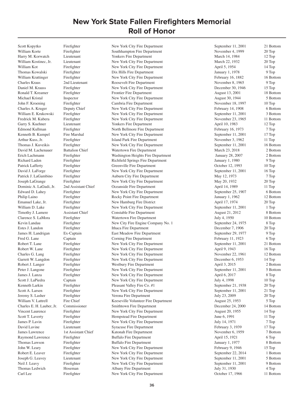Scott Kopytko Firefighter New York City Fire Department September 11, 2001 21 Bottom

William Korte Firefighter Southhampton Fire Department November 4, 1999 20 Top Harry M. Korwatch Lieutenant 12 Top Yonkers Fire Department 1984 March 14, 1984 12 Top William Kostinec, Jr. Lieutenant New York City Fire Department March 22, 1932 20 Top William Kot Firefighter New York City Fire Department April 5, 1954 14 Top Thomas Kowalski Firefighter Dix Hills Fire Department January 1, 1978 9 Top William Krattinger Firefighter Firefighter New York City Fire Department February 16, 1882 16 Bottom Charles Kraus 2nd Lieutenant Roosevelt Fire Department November 8, 1965 9 Top Daniel M. Krauss Firefighter New York City Fire Department December 30, 1946 15 Top Ronald T. Kreamer Firefighter Fire The Frontier Fire Department August 13, 2001 18 Bottom Michael Kristal Inspector New York City Fire Department August 30, 1944 5 Bottom John F. Kroening Firefighter Cambria Fire Department November 18, 1997 10 Top Charles A. Kruger Deputy Chief New York City Fire Department February 14, 1908 6 Bottom William E. Krukowski Firefighter New York City Fire Department September 11, 2001 3 Bottom Fredrick M. Kubera Firefighter New York City Fire Department November 23, 1965 11 Bottom Garry S. Kuehner Lieutenant Yonkers Fire Department April 10, 1983 12 Top Edmond Kullman Firefighter North Bellmore Fire Department February 16, 1973 7 Top Kenneth B. Kumpel Fire Marshal New York City Fire Department September 11, 2001 17 Top Arthur Kuss, Jr. Firefighter Island Park Fire Department November 3, 1962 11 Top Thomas J. Kuveikis Firefighter New York City Fire Department September 11, 2001 16 Bottom David M. Lachenauer Battalion Chief Watertown Fire Department March 23, 2018 2 Bottom Erich Lachmann Firefighter Washington Heights Fire Department January 28, 2007 2 Bottom Richard Laden Firefighter Richfield Springs Fire Department January 1, 1980 9 Top Patrick Lafferty Firefighter Greenville Fire Department October 12, 1993 10 Top David J. LaForge Firefighter New York City Fire Department September 11, 2001 16 Top Patrick J. LaGambino Firefighter Auburn City Fire Department May 12, 1973 7 Top Joseph LaGrange Firefighter New York City Fire Department May 20, 1932 20 Top Dominic A. LaGudi, Jr. 2nd Assistant Chief Coeanside Fire Department April 14, 1989 11 Top Edward D. Lahey Firefighter New York City Fire Department September 25, 1907 6 Bottom<br>
Philip Laino Firefighter Rocky Point Fire Department January 1, 1962 12 Bottom Philip Laino Firefighter Rocky Point Fire Department January 1, 1962 12 Bottom<br>
12 Bottom Fire Point Fire Department April 17, 1974 20 Top Emanuel Lake, Jr. Firefighter New Hamburg Fire District April 17, 1974 20 Top William D. Lake Firefighter New York City Fire Department September 11, 2001 1 Top Timothy J. Lamere Assistant Chief Constable Fire Department August 21, 2012 8 Bottom Clarence S. LaMora Firefighter Watertown Fire Department July 4, 1950 10 Bottom Kevin Landau Firefighter New City Fire Engine Company No. 1 September 24, 1975 8 Top Estes J. Landon Firefighter Ithaca Fire Department December 7, 1906 20 Top James H. Landrigan Ex-Captain East Meadow Fire Department September 29, 1977 9 Top Fred G. Lane Captain Corning Fire Department February 11, 1923 6 Top Robert T. Lane Firefighter New York City Fire Department September 11, 2001 21 Bottom Robert W. Lane Firefighter New York City Fire Department April 9, 1943 16 Top Charles G. Lang Firefighter New York City Fire Department November 22, 1961 12 Bottom Garrett W. Langdon Firefighter New York City Fire Department December 6, 1953 14 Top Robert J. Langer Firefighter Westbury Fire Department April 3, 2015 2 Bottom Peter J. Langone Firefighter New York City Fire Department September 11, 2001 5 Bottom James J. Lanza Firefighter New York City Fire Department April 6, 2017 8 Top Scott J. LaPiedra Captain Captain New York City Fire Department July 4, 1998 10 Top Kenneth Larkin Firefighter Pleasant Valley Fire Co. #1 September 21, 1938 20 Top Scott A. Larsen Firefighter New York City Fire Department September 11, 2001 21 Top Jeremy S. Lasher Firefighter Verona Fire Department July 23, 2009 20 Top William V. Lattrell Fire Chief Keeseville Volunteer Fire Department August 25, 1953 5 Top Charles E. H. Lauber, Jr. Commissioner Smithtown Fire Department December 24, 2000 14 Bottom Vincent Laurence Firefighter New York City Fire Department August 20, 1955 14 Top Scott T. Laverty Firefighter Hempstead Fire Department June 6, 1991 11 Top James P. Lavin Firefighter New York City Fire Department July 14, 1971 7 Top David Lavine Lieutenant Syracuse Fire Department February 3, 1939 17 Top James Lawrence 1st Assistant Chief Katonah Fire Department November 6, 1959 7 Bottom Raymond Lawrence Firefighter Buffalo Fire Department April 15, 1921 6 Top Thomas Lawson Firefighter Buffalo Fire Department January 1, 1977 8 Bottom John W. Leary Firefighter New York City Fire Department February 9, 1946 15 Top Robert E. Leaver Firefighter New York City Fire Department September 22, 2014 1 Bottom Joseph G. Leavey Lieutenant New York City Fire Department September 11, 2001 5 Bottom Neil J. Leavy Firefighter New York City Fire Department September 11, 2001 9 Bottom Thomas Ledwich Hoseman Albany Fire Department July 31, 1930 4 Top Carl Lee Firefighter New York City Fire Department October 17, 1966 11 Bottom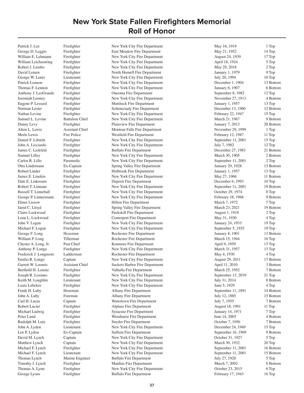George D. Leggio Firefighter East Meadow Fire Department May 21, 1952 14 Top William E. Lehmann Firefighter New York City Fire Department August 24, 1939 17 Top William Leichsenring Firefighter New York City Fire Department April 18, 1924 5 Top Robert J. Lembo Firefighter New York City Fire Department May 29, 2018 2 Top David Lemen Firefighter North Hornell Fire Department January 1, 1979 9 Top George W. Lener Lieutenant New York City Fire Department July 20, 1994 10 Top Patrick Lennon Firefighter New York City Fire Department December 1, 1904 13 Bottom Thomas F. Lennon Firefighter New York City Fire Department January 6, 1907 6 Bottom Anthony J. LeoGrande Firefighter **Coneonta Fire Department** September 8, 1982 12 Top Jeremiah Leoney Firefighter New York City Fire Department November 27, 1913 4 Bottom Eugene P. Lessard Firefighter Mattituck Fire Department January 1, 1957 13 Top Norman Lester Firefighter Schenectady Fire Department December 13, 1960 12 Bottom Nathan Levine Firefighter New York City Fire Department February 22, 1947 15 Top Samuel L. Levine Battalion Chief New York City Fire Department March 21, 1967 9 Bottom Danny Levy Firefighter Plainview Fire Department January 7, 2013 20 Bottom Alton L. Lewis Assistant Chief Montour Falls Fire Department November 29, 1999 1 Top Merle Lewis Fire Police Westfield Fire Department February 12, 1987 11 Top Daniel F. Libretti Firefighter New York City Fire Department September 11, 2001 15 Top John A. Licciardo Firefighter New York City Fire Department July 7, 1982 12 Top James C. Lickfeld Firefighter Buffalo Fire Department December 27, 1983 21 Bottom Samuel Lilley Firefighter New York City Fire Department March 30, 1905 2 Bottom Carlos R. Lillo Paramedic New York City Fire Department September 11, 2001 2 Top Otto Lindemann Ex-Captain Spring Valley Fire Department January 29, 1928 13 Bottom Robert Linder Firefighter Holbrook Fire Department January 1, 1957 13 Top James E. Linekin Firefighter New York City Fire Department May 27, 1966 11 Bottom Dale E. Linkroum Firefighter Deposit Fire Department December 6, 1993 10 Top Robert T. Linnane Firefighter New York City Fire Department September 11, 2001 19 Bottom Russell T. Linneball Firefighter New York City Fire Department October 29, 1974 8 Top George P. Linnermann Firefighter New York City Fire Department February 18, 1968 9 Bottom Elmer Lissow Firefighter Hilton Fire Department March 7, 1972 7 Top Jared C. Lloyd Firefighter Spring Valley Fire Department March 23, 2021 19 Bottom Claire Lockwood Firefighter Peekskill Fire Department August 1, 1918 2 Top Leon L. Lockwood Firefighter Centerport Fire Department May 31, 1930 4 Top John V. Logan Firefighter New York City Fire Department January 24, 1933 19 Top Michael F. Logan Firefighter New York City Fire Department September 5, 1935 19 Top George F. Long Hoseman Rochester Fire Department January 8, 1901 13 Bottom William P. Long Tillerman Rochester Fire Department March 15, 1944 16 Top Chester A. Long, Jr. Past Chief Kenmore Fire Department April 9, 1959 13 Top Anthony P. Longa Firefighter New York City Fire Department March 31, 1957 13 Top Frederick J. Longmore Ladderman Rochester Fire Department May 4, 1930 4 Top Emilio R. Longo Captain New York City Fire Department August 29, 2011 17 Bottom Garrett W. Loomis Assistant Chief Sackets Harbor Fire Department April 11, 2010 3 Bottom Berthold H. Lorenz Firefighter Valhalla Fire Department March 25, 1952 7 Bottom Joseph R. Losinno Firefighter New York City Fire Department September 13, 2019 21 Top Keith M. Loughlin Lieutenant New York City Fire Department July 31, 2014 8 Bottom Louis Lubcker Firefighter New York City Fire Department June 5, 1929 4 Top Frank H. Luby Hoseman Albany Fire Department September 11, 1891 14 Bottom John A. Luby Foreman Albany Fire Department July 12, 1885 15 Bottom Carl H. Lucas Captain Watertown Fire Department July 7, 1955 7 Bottom Robert Lucier Firefighter Alplaus Fire Department August 18, 1991 11 Top Michael Ludwig Firefighter Syracuse Fire Department January 14, 1971 7 Top Peter Lund Firefighter Woodmere Fire Department June 14, 2005 4 Bottom Rudolph M. Lutz Firefighter Snyder Fire Department Cotober 7, 1956 7 Bottom John A. Lyden Lieutenant New York City Fire Department December 24, 1949 15 Top Leo P. Lydon Ex-Captain Suffern Fire Department September 16, 1969 9 Bottom David M. Lynch Captain New York City Fire Department October 31, 1927 5 Top Matthew Lynch Captain New York City Fire Department March 30, 1932 20 Top Michael F. Lynch Firefighter New York City Fire Department September 11, 2001 16 Bottom Michael F. Lynch Lieutenant New York City Fire Department September 11, 2001 15 Bottom Thomas Lynch Marine Engineer Buffalo Fire Department July 27, 1928 5 Top 5 Top 5 Top 5 Top 5 Top 5 Top 5 Top 5 Top 5 Top 5 Top 5 Top 5 Top 5 Top 5 Top 5 Top 5 Top 5 Top 5 Top 5 Top 5 Top 5 Top 5 Top 5 Top 5 Top 5 Top 5 Top Timothy J. Lynch Firefighter Manlius Fire Department March 7, 2002<br>Thomas A. Lynn Firefighter New York City Fire Department Cotober 23, 2015 Thomas A. Lynn Firefighter New York City Fire Department October 23, 2015 6 Top<br>George Lyons Firefighter Buffalo Fire Department February 17, 1943 16 Top George Lyons Firefighter Buffalo Fire Department February 17, 1943 16 Top

Patrick J. Lee Firefighter New York City Fire Department May 16, 1919 1 Top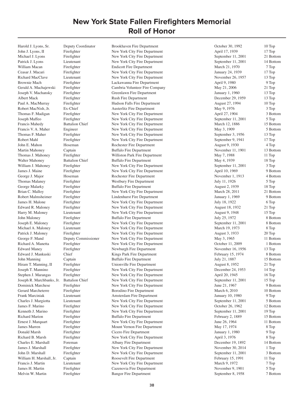Harold J. Lyons, Sr. Deputy Coordinator Brookhaven Fire Department October 30, 1992 10 Top

John J. Lyons, II Firefighter New York City Fire Department April 17, 1939 17 Top Michael J. Lyons Firefighter New York City Fire Department September 11, 2001 21 Bottom Patrick J. Lyons Lieutenant New York City Fire Department September 11, 2001 14 Bottom William Macan Firefighter Firefighter Endicott Fire Department 1999 March 21, 1970 7 Top Ceasar J. Macari Firefighter New York City Fire Department January 24, 1939 17 Top Richard MacClave Lieutenant New York City Fire Department November 26, 1957 13 Top Brownie Mach Firefighter Brownie Mach Firefighter Lackawanna Fire Department April 9, 1980 9 Top Gerald A. Machajewski Firefighter Cambria Volunteer Fire Company May 21, 2006 21 Top Joseph V. Machansky Firefighter Greenlawn Fire Department January 1, 1960 13 Top Albert Mack Firefighter Rush Fire Department December 29, 1959 13 Top Paul A. MacMurray Firefighter Hudson Falls Fire Department August 27, 1994 10 Top Robert MacNish, Jr. Ex-Chief Austerlitz Fire Department May 9, 1976 3 Top Thomas F. Madigan Firefighter New York City Fire Department April 27, 1904 3 Bottom Joseph Maffeo Firefighter New York City Fire Department September 11, 2001 5 Top Francis Mahedy Battalion Chief New York City Fire Department March 12, 1886 15 Bottom Francis V. A. Maher Engineer New York City Fire Department May 3, 1909 5 Bottom Thomas F. Maher Firefighter New York City Fire Department September 3, 1956 13 Top Robert Mahl Firefighter New York City Fire Department September 9, 1941 17 Top John E. Mahon Hoseman Rochester Fire Department August 9, 1930 4 Top Martin Mahoney Captain Buffalo Fire Department November 11, 1901 13 Bottom Thomas J. Mahoney Firefighter Williston Park Fire Department May 7, 1988 11 Top Walter Mahoney Battalion Chief Buffalo Fire Department May 4, 1939 18 Top William J. Mahoney Firefighter New York City Fire Department September 11, 2001 3 Top James J. Maine Firefighter New York City Fire Department April 10, 1969 9 Bottom George J. Major Hoseman Rochester Fire Department November 1, 1913 4 Bottom<br>
Thomas Malanev Firefighter Westbury Fire Department July 11, 1926 5 Top Thomas Malaney Firefighter Westbury Fire Department July 11, 1926 George Malarky Firefighter Buffalo Fire Department August 2, 1939 18 Top Brian C. Malloy Firefighter New York City Fire Department March 28, 2011 21 Bottom Robert Malmsheimer Firefighter Lindenhurst Fire Department January 1, 1969 9 Bottom James H. Malone Firefighter New York City Fire Department July 18, 1922 6 Top<br>
Edward R. Maloney Firefighter New York City Fire Department August 18, 1932 21 Top Edward R. Maloney Firefighter New York City Fire Department August 18, 1932 21 Top Harry M. Maloney Lieutenant New York City Fire Department August 9, 1948 15 Top John Maloney Firefighter Buffalo Fire Department July 25, 1972 8 Bottom Joseph E. Maloney Firefighter New York City Fire Department September 11, 2001 8 Bottom Michael A. Maloney Lieutenant New York City Fire Department March 19, 1973 8 Top Patrick J. Maloney Firefighter New York City Fire Department August 3, 1933 20 Top George F. Mand Deputy Commissioner New York City Fire Department May 3, 1965 11 Bottom Richard A. Manetta Firefighter New York City Fire Department October 11, 2009 1 Bottom Edward Maney Firefighter Newburgh Fire Department November 16, 1956 13 Top Edward J. Mankuski Chief Kings Park Fire Department February 15, 1974 8 Bottom John Manning Captain Buffalo Fire Department July 21, 1887 15 Bottom Hiram T. Manning, II Firefighter Unionville Fire Department August 8, 1952 21 Top Joseph T. Mannino Firefighter New York City Fire Department December 24, 1953 14 Top Stephen J. Marangas Firefighter New York City Fire Department April 20, 1945 16 Top Joseph R. Marchbanks, Jr. Battalion Chief New York City Fire Department September 11, 2001 15 Top Dominick Marchese Firefighter New York City Fire Department June 21, 1967 9 Bottom Gerard Marcheterre Firefighter Borodino Fire Department 10 Bottom March 6, 2010 10 Bottom Frank Marciniak Lieutenant Amsterdam Fire Department January 10, 1980 9 Top Charles J. Margiotta Lieutenant New York City Fire Department September 11, 2001 5 Bottom James F. Marino Firefighter New York City Fire Department October 26, 1962 12 Bottom Kenneth J. Marino Firefighter New York City Fire Department September 11, 2001 19 Top Richard Marion Firefighter Buffalo Fire Department February 2, 1889 15 Bottom Ernest J. Marquart Firefighter New York City Fire Department June 26, 1964 11 Bottom James Marren Firefighter Mount Vernon Fire Department May 17, 1974 8 Top Donald Marsh Firefighter Cicero Fire Department January 1, 1980 9 Top Richard B. Marsh Firefighter New York City Fire Department April 3, 1976 8 Top Charles E. Marshall Foreman Albany Fire Department December 19, 1892 14 Bottom James J. Marshall Firefighter New York City Fire Department November 30, 2014 1 Top John D. Marshall Firefighter New York City Fire Department September 11, 2001 3 Bottom William H. Marshall, Jr. Captain **February 15, 1991** 11 Top Roosevelt Fire Department February 15, 1991 11 Top Francis J. Martin Lieutenant New York City Fire Department March 9, 1972 7 Top James H. Martin Firefighter Cazenovia Fire Department November 9, 1901 5 Top Melvin W. Martin Firefighter Bangor Fire Department September 8, 1958 7 Bottom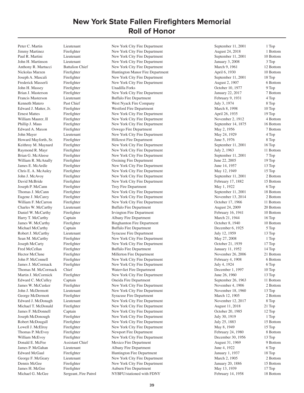Paul R. Martini Lieutenant New York City Fire Department September 11, 2001 10 Bottom John H. Martinson Lieutenant New York City Fire Department January 3, 2008 3 Top Anthony R. Martucci Battalion Chief New York City Fire Department March 9, 1961 12 Bottom Nickolas Marzen Firefighter Huntington Manor Fire Department April 6, 1930 10 Bottom Joseph A. Mascali Firefighter New York City Fire Department September 11, 2001 18 Top Frederick Masserli Firefighter New York City Fire Department August 2, 1907 6 Bottom<br>
19 Top Fire Pepartment August 2, 1907 6 Bottom<br>
19 Top 9 Top 9 Top 9 Top 9 Top 9 Top 9 Top 9 Top 9 Top 9 Top 9 Top 9 Top 9 Top 9 Top 9 T John H. Massey Firefighter Unadilla Forks October 10, 1977 9 Top Brian J. Masterson Firefighter New York City Fire Department January 22, 2017 7 Bottom Francis Masterson Lieutenant Buffalo Fire Department February 9, 1931 4 Top Kenneth Matero Past Chief West Nyack Fire Company July 3, 1974 8 Top Edward J. Matter, Jr. Firefighter Westford Fire Department March 8, 1998 10 Top Ernest Mattes Firefighter New York City Fire Department April 26, 1935 19 Top William Maurer, II Firefighter New York City Fire Department November 2, 1912 4 Bottom Phillip J. Maus Firefighter New York City Fire Department September 14, 1875 16 Bottom Edward A. Maxon Firefighter Coswego Fire Department May 2, 1956 7 Bottom John Mayer Lieutenant New York City Fire Department May 24, 1929 4 Top Howard Mayforth, Sr. Firefighter Hillcrest Fire Department June 5, 1976 8 Top Keithroy M. Maynard Firefighter New York City Fire Department September 11, 2001 16 Top Raymond R. Mayr Firefighter New York City Fire Department July 2, 1963 11 Bottom Brian G. McAleese Firefighter New York City Fire Department September 11, 2001 7 Top William R. McAnally Firefighter Cosining Fire Department June 22, 2005 19 Top James E. McArdle Firefighter New York City Fire Department June 14, 1957 13 Top Chris E. A. McAuley Firefighter New York City Fire Department May 12, 1949 15 Top John J. McAvoy Firefighter New York City Fire Department September 11, 2001 2 Bottom David McBride Firefighter New York City Fire Department February 17, 1882 15 Bottom Joseph P. McCann Firefighter Troy Fire Department May 1, 1922 6 Top Thomas J. McCann Firefighter New York City Fire Department September 11, 2001 18 Bottom Eugene J. McCarey Firefighter New York City Fire Department November 13, 2014 2 Bottom William F. McCarron Firefighter New York City Fire Department 0ctober 17, 1966 11 Bottom Charles W. McCarthy Lieutenant Buffalo Fire Department August 24, 2009 20 Bottom Daniel W. McCarthy Firefighter Irvington Fire Department February 16, 1941 10 Bottom Harry T. McCarthy Captain Captain Albany Fire Department March 21, 1944 16 Top James W. McCarthy Firefighter Binghamton Fire Department October 8, 1940 10 Bottom Michael McCarthy Captain Buffalo Fire Department December 6, 1925 5 Top Robert J. McCarthy Lieutenant Syracuse Fire Department July 12, 1959 13 Top Sean M. McCarthy Firefighter New York City Fire Department May 27, 2008 1 Top Joseph McCarty Firefighter New York City Fire Department October 21, 1939 17 Top Fred McCellan Firefighter Buffalo Fire Department January 11, 1952 14 Top Hector McClune Firefighter Millerton Fire Department November 26, 2006 21 Bottom John P. McConnell Firefighter New York City Fire Department February 4, 1908 6 Bottom James J. McCormack Firefighter New York City Fire Department July 4, 1924 6 Top Thomas M. McCormack Chief Watervliet Fire Department December 1, 1997 10 Top Martin J. McCormick Firefighter New York City Fire Department June 26, 1960 13 Top Edward C. McCulley Captain Captain Oneida Fire Department September 26, 1963 11 Bottom James W. McCusker Firefighter New York City Fire Department November 4, 1906 2 Bottom John J. McDermott Lieutenant New York City Fire Department November 18, 1960 13 Top George McDermott Firefighter Syracuse Fire Department 12 nd March 12, 1905 2 Bottom Edward J. McDonagh Lieutenant New York City Fire Department November 12, 2017 8 Top Michael T. McDonald Firefighter New York City Fire Department August 11, 2018 21 Top James F. McDonnell Captain New York City Fire Department October 20, 1985 12 Top Joseph McDonough Firefighter New York City Fire Department July 30, 1919 1 Top Robert McDougall Firefighter New York City Fire Department July 25, 1883 15 Bottom Lowell J. McElroy Firefighter New York City Fire Department May 8, 1949 15 Top Thomas P. McEvoy Firefighter Newport Fire Department February 24, 1980 8 Bottom William McEvoy Firefighter New York City Fire Department December 30, 1956 13 Top Donald E. McFee Assistant Chief Mexico Fire Department August 31, 1969 9 Bottom James P. McGahan Lieutenant Albany Fire Department June 4, 1922 6 Top Edward McGaul Firefighter Huntington Fire Department January 1, 1937 18 Top George F. McGeary Lieutenant New York City Fire Department March 2, 1905 2 Bottom Dennis McGee Firefighter New York City Fire Department January 20, 1886 15 Bottom James H. McGee Firefighter Auburn Fire Department May 13, 1939 17 Top Michael G. McGee Sergeant, Fire Patrol NYBFU/stationed with FDNY February 14, 1958 18 Bottom

Peter C. Martin Lieutenant New York City Fire Department September 11, 2001 1 Top Jimmy Martinez Firefighter New York City Fire Department August 24, 2018 1 Bottom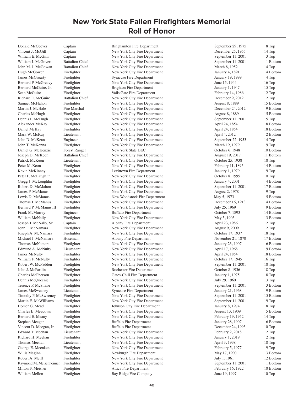Vincent J. McGill Captain New York City Fire Department December 25, 1955 14 Top William E. McGinn Captain Captain New York City Fire Department September 11, 2001 3 Top William J. McGovern Battalion Chief New York City Fire Department September 11, 2001 1 Bottom John M. J. McGowan Battalion Chief New York City Fire Department March 8, 1952 14 Top Hugh McGowen Firefighter New York City Fire Department January 4, 1891 14 Bottom James McGroarty Firefighter Syracuse Fire Department January 19, 1999 4 Top Bernard P. McGreavy Firefighter New York City Fire Department June 15, 1944 16 Top Bernard McGuire, Jr. Firefighter Brighton Fire Department 15 Top 15 Top January 1, 1947 15 Top Sean McGuire Firefighter Vails Gate Fire Department February 14, 1986 12 Top Richard E. McGuire Battalion Chief New York City Fire Department December 9, 2012 2 Top Samuel McHahon Firefighter New York City Fire Department August 8, 1889 15 Bottom Martin J. McHale Fire Marshal New York City Fire Department December 24, 2012 9 Bottom Charles McHugh Firefighter New York City Fire Department August 8, 1889 15 Bottom Dennis P. McHugh Firefighter New York City Fire Department September 11, 2001 15 Top Alexander McKay Firefighter New York City Fire Department April 24, 1854 18 Bottom Daniel McKay Firefighter New York City Fire Department April 24, 1854 18 Bottom Mark W. McKay Lieutenant New York City Fire Department April 4, 2012 2 Bottom John D. McKean Engineer New York City Fire Department September 22, 1953 14 Top John T. McKenna Firefighter New York City Fire Department March 19, 1979 9 Top Daniel G. McKenzie Forest Ranger New York State DEC October 6, 1948 10 Bottom Joseph D. McKeon Battalion Chief New York City Fire Department August 19, 2017 11 Bottom Patrick McKeon Lieutenant New York City Fire Department October 25, 1938 18 Top Peter McKeon Firefighter New York City Fire Department February 11, 1895 14 Bottom Kevin McKinney Firefighter Levittown Fire Department January 1, 1979 9 Top Peter F. McLaughlin Firefighter New York City Fire Department October 8, 1995 10 Top Gregg J. McLoughlin Firefighter New York City Fire Department January 4, 2001 4 Bottom Robert D. McMahon Firefighter New York City Fire Department September 11, 2001 17 Bottom James P. McManus Firefighter New York City Fire Department August 2, 1978 9 Top Lewis D. McManus Firefighter New Woodstock Fire Department May 5, 1973 5 Bottom Thomas J. McManus Firefighter New York City Fire Department December 16, 1913 4 Bottom Bernard P. McManus, II Firefighter New York City Fire Department July 25, 1969 9 Bottom Frank McMurray Engineer Buffalo Fire Department October 7, 1893 14 Bottom William McNally Firefighter New York City Fire Department May 5, 1903 13 Bottom Joseph J. McNally, Sr. Captain Albany Fire Department April 23, 1986 12 Top John F. McNamara Firefighter New York City Fire Department August 9, 2009 2 Top Joseph A. McNamara Firefighter New York City Fire Department October 17, 1937 18 Top Michael J. McNamara Hoseman and Albany Fire Department 1986 1998 12 November 21, 1870 17 Bottom Thomas McNamera Firefighter Firefighter New York City Fire Department January 23, 1907 6 Bottom<br>19 Bottom 1 Edmund A. McNulty Lieutenant New York City Fire Department April 17, 1968 9 Bottom Edmund A. McNulty Lieutenant New York City Fire Department April 17, 1968 9 Bottom James McNulty Firefighter New York City Fire Department April 24, 1854 18 Bottom William F. McNulty Firefighter New York City Fire Department Cotober 17, 1945 16 Top Robert W. McPadden Firefighter New York City Fire Department September 11, 2001 18 Top John J. McPartlin Firefighter Rochester Fire Department October 8, 1936 18 Top Charles McPherson Firefighter Gates-Chili Fire Department January 1, 1975 8 Top Dennis McQueenie Firefighter New York City Fire Department July 29, 1960 13 Top Terence P. McShane Firefighter New York City Fire Department September 11, 2001 3 Bottom James McSweeney Lieutenant Syracuse Fire Department January 21, 1968 9 Bottom Timothy P. McSweeney Firefighter New York City Fire Department September 11, 2001 15 Bottom Martin E. McWilliams Firefighter New York City Fire Department September 11, 2001 19 Top Homer G. Mead Firefighter Johnson City Fire Department January 8, 1974 8 Top Charles E. Meadows Firefighter New York City Fire Department August 13, 1909 5 Bottom Bernard E. Meany Firefighter New York City Fire Department February 19, 1952 14 Top Stephen Meegan Firefighter Buffalo Fire Department January 28, 1907 6 Bottom Vincent D. Meegan, Jr. Firefighter Buffalo Fire Department December 24, 1993 10 Top Edward T. Meehan Lieutenant New York City Fire Department February 2, 2018 12 Top Richard H. Meehan Firefighter New York City Fire Department January 1, 2019 2 Top Thomas Meehan Lieutenant New York City Fire Department April 3, 1938 18 Top George E. Meenken Firefighter New York City Fire Department February 5, 1977 9 Top Willis Meginn Firefighter Newburgh Fire Department May 17, 1900 13 Bottom Robert A. Meill Firefighter New York City Fire Department July 1, 1961 12 Bottom Raymond M. Meisenheimer Firefighter New York City Fire Department September 11, 2001 1 Bottom Milton F. Meisner Firefighter **Fixed Attica Fire Department** February 16, 1922 10 Bottom William Mellon Firefighter Bay Ridge Fire Company June 19, 1997 10 Top

Donald McGeever Captain Binghamton Fire Department September 29, 1975 8 Top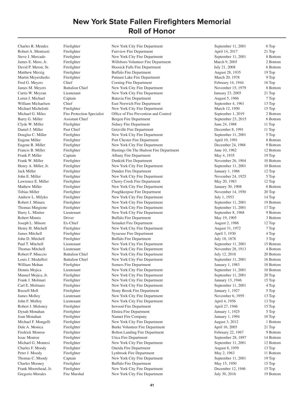Charles R. Mendez Firefighter New York City Fire Department September 11, 2001 6 Top

Robert A. Mentrasti Firefighter Fairview Fire Department April 14, 2017 21 Top Steve J. Mercado Firefighter New York City Fire Department September 11, 2001 8 Bottom James E. Mero, Jr. Firefighter Willsboro Volunteer Fire Department March 9, 2005 2 Bottom David P. Meron, Sr. Firefighter Hoosick Falls Fire Department July 21, 2008 6 Bottom Matthew Merzig Firefighter Buffalo Fire Department August 28, 1935 19 Top Martin Meyerdierks Firefighter Putnam Lake Fire Department March 20, 1978 9 Top Fred G. Meyers Chief Corning Fire Department February 14, 1944 16 Top James M. Meyers Battalion Chief New York City Fire Department November 15, 1979 8 Bottom Curtis W. Meyran Lieutenant New York City Fire Department January 23, 2005 21 Top Loren J. Michael Captain Captain Batavia Fire Department August 5, 1966 7 Top William Michaelsen Chief East Norwich Fire Department September 4, 1961 13 Top Michael Michelotti Firefighter New York City Fire Department March 12, 1950 15 Top Michael G. Miles Fire Protection Specialist Office of Fire Prevention and Control September 1, 2019 2 Bottom Barry G. Miller Assistant Chief Bergen Fire Department September 23, 2015 6 Bottom Clyde W. Miller Firefighter Firefighter Sidney Fire Department June 24, 1988 11 Top Daniel J. Miller Past Chief Getzville Fire Department December 8, 1991 11 Top Douglas C. Miller Firefighter New York City Fire Department September 11, 2001 5 Top Eugene Miller Firefighter Port Chester Fire Department April 10, 1991 8 Bottom Eugene R. Miller Firefighter New York City Fire Department December 24, 1968 9 Bottom Francis B. Miller Firefighter Firefighter Hastings On The Hudson Fire Department June 10, 1962 12 Bottom Frank P. Miller Captain Captain Albany Fire Department May 4, 1935 19 Top Frank W. Miller Firefighter Firefighter Dunkirk Fire Department November 26, 1904 10 Bottom Henry A. Miller, Jr. Firefighter New York City Fire Department September 11, 2001 10 Bottom Jack Miller Firefighter Firefighter Dundee Fire Department January 1, 1986 12 Top John E. Miller Firefighter Firefighter New York City Fire Department November 24, 1925 5 Top<br>
12 Top Lawrence E. Miller Firefighter Cherry Creek Fire Department May 20, 1983 12 Top Firefighter Cherry Creek Fire Department May 20, 1983 12 Top Mathew Miller Firefighter Firefighter New York City Fire Department January 30, 1908 6 Bottom Tobias Miller Firefighter Poughkeepsie Fire Department November 14, 1950 20 Top Andrew L. Milyko Firefighter New York City Fire Department July 1, 1953 14 Top Robert J. Minara Firefighter New York City Fire Department September 11, 2001 19 Bottom Thomas Mingione Firefighter New York City Fire Department September 11, 2001 17 Top Harry L. Miniter Lieutenant New York City Fire Department September 8, 1968 9 Bottom Robert Minnis 28 Driver Buffalo Fire Department May 19, 1905 38 Dottom Joseph L. Minore Ex-Chief Setauket Fire Department August 2, 1986 12 Top Henry H. Mitchell Firefighter New York City Fire Department August 31, 1972 7 Top James Mitchell Firefighter Syracuse Fire Department April 3, 1930 4 Top John D. Mitchell Firefighter Buffalo Fire Department July 18, 1878 3 Top Paul T. Mitchell Lieutenant New York City Fire Department September 11, 2001 15 Bottom Thomas Mitchell Lieutenant New York City Fire Department November 28, 1913 4 Bottom Robert P. Miuccio Battalion Chief New York City Fire Department July 12, 2018 20 Bottom Louis J. Modafferi Battalion Chief New York City Fire Department September 11, 2001 16 Bottom William Mohan Firefighter Somers Fire Department January 1, 1983 18 Bottom Dennis Mojica Lieutenant New York City Fire Department September 11, 2001 10 Bottom Manuel Mojica, Jr. Firefighter New York City Fire Department September 11, 2001 20 Top Frank J. Molinari Firefighter New York City Fire Department January 13, 1946 15 Top Carl E. Molinaro Firefighter New York City Fire Department September 11, 2001 4 Top Russell Moll Firefighter Stony Brook Fire Department January 1, 1927 5 Top James Molloy Lieutenant New York City Fire Department November 6, 1959 13 Top John F. Molloy Lieutenant New York City Fire Department April 4, 1956 13 Top Robert J. Moloney Firefighter Inwood Fire Department April 27, 1946 15 Top Dynah Monahan Firefighter Elmira Fire Department January 1, 1925 5 Top Joan Monahan Firefighter Nanuet Fire Company January 1, 1994 10 Top Michael F. Mongelli Firefighter New York City Fire Department August 3, 2012 1 Bottom Dale A. Monica Firefighter Burke Volunteer Fire Department April 16, 2005 21 Top Fredrick Monroe Firefighter Bolton Landing Fire Department February 22, 1967 9 Bottom Issac Monroe Firefighter Utica Fire Department September 28, 1897 14 Bottom Michael G. Montesi Firefighter New York City Fire Department September 11, 2001 12 Bottom<br>Charles F. Moody Firefighter Oneida Fire Department August 8, 1959 13 Top Firefighter **Charles Charles Frieda Fire Department** August 8, 1959 13 Top 13 Top 13 Top 13 Top 13 Top 13 Top 14 Top 15 Top 16 Top 16 Top 16 Top 16 Top 16 Top 16 Top 16 Top 16 Top 16 Top 16 Top 16 Top 16 Top 16 Top 16 Top Peter J. Moody Firefighter Firefighter Lynbrook Fire Department May 2, 1963 11 Bottom C. Moody Captain New York City Fire Department September 11, 2001 19 Top Captain 11, 2001 19 Top New York City Fire Department September 11, 2001 19 Top 15 Top Buffalo Fire Department May 15, 1950 15 Top Charles Mooney Firefighter Buffalo Fire Department May 15, 1950 15 Top<br>
Frank Moorehead, Jr. Firefighter New York City Fire Department December 12, 1946 15 Top Firefighter Moore New York City Fire Department<br>
Fire Marshal New York City Fire Department 19 December 12, 1946 15 Top<br>
19 Bottom 19 Bottom Gregorio Morales Fire Marshal New York City Fire Department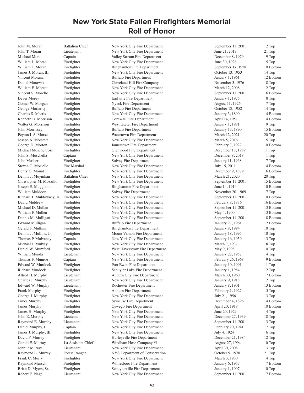John T. Moran Lieutenant New York City Fire Department June 21, 2019 21 Top Michael Moran Captain Captain Valley Stream Fire Department December 8, 1979 9 Top William L. Moran Firefighter New York City Fire Department June 30, 1926 5 Top William T. Moran Firefighter Binghamton Fire Department September 17, 1928 10 Bottom James J. Moran, III Firefighter New York City Fire Department October 13, 1953 14 Top Vincent Morana Firefighter Buffalo Fire Department January 1, 1961 12 Bottom Daniel Morawski Firefighter Cleveland Hill Fire Company November 3, 1976 8 Top William E. Moreau Firefighter New York City Fire Department March 12, 2008 2 Top Vincent S. Morello Firefighter New York City Fire Department September 11, 2001 6 Bottom Dever Morey Firefighter Earlville Fire Department January 1, 1975 8 Top Gomer W. Morgan Firefighter Nyack Fire Department August 11, 1926 7 Top George Moriarity Firefighter Buffalo Fire Department Cocober 18, 1952 14 Top Charles S. Morris Firefighter New York City Fire Department January 3, 1890 14 Bottom Kenneth D. Morrison Firefighter Cornwall Fire Department April 14, 1957 4 Bottom Walter G. Morrison Firefighter West Exeter Fire Department January 1, 1981 9 Top John Morrissey Firefighter Buffalo Fire Department January 13, 1890 15 Bottom Peyton L.S. Morse Firefighter Watertown Fire Department March 12, 2021 20 Top Joseph A. Morstatt Firefighter New York City Fire Department March 5, 2016 5 Top George D. Morton Firefighter Jamestown Fire Department February 7, 1927 10 Bottom Michael Moschenross Firefighter Glenwood Fire Department December 18, 1989 11 Top John S. Moschella Captain New York City Fire Department December 8, 2018 1 Top John Mosher Firefighter Solvay Fire Department January 11, 1968 7 Top Steven C. Mosiello Fire Marshal New York City Fire Department July 15, 2011 4 Bottom Henry C. Mount Firefighter New York City Fire Department December 9, 1879 16 Bottom Dennis J. Moynihan Battalion Chief New York City Fire Department March 21, 2020 20 Top Christopher M. Mozzillo Firefighter New York City Fire Department September 11, 2001 15 Bottom Joseph E. Muggleton Firefighter Binghamton Fire Department June 14, 1914 10 Bottom William Muldoon Firefighter Solvay Fire Department November 20, 1969 7 Top Richard T. Muldowney, Jr. Firefighter New York City Fire Department September 11, 2001 10 Bottom David Muldrew Firefighter New York City Fire Department February 8, 1876 16 Bottom Michael D. Mullan Firefighter New York City Fire Department September 11, 2001 13 Bottom William F. Mullen Firefighter New York City Fire Department May 4, 1900 13 Bottom Dennis M. Mulligan Firefighter New York City Fire Department September 11, 2001 8 Bottom Edward Mulligan Firefighter Buffalo Fire Department January 27, 1961 12 Bottom Gerald F. Mullins Firefighter Binghamton Fire Department January 8, 1994 10 Top Dennis J. Mullins, Jr. Firefighter Mount Vernon Fire Department January 18, 1995 10 Top Thomas P. Mulvaney Captain New York City Fire Department January 16, 1959 13 Top Michael J. Mulvey Firefighter New York City Fire Department March 7, 1937 18 Top Daniel W. Mumford Firefighter West Haverstraw Fire Department May 9, 1998 10 Top William Munda Lieutenant New York City Fire Department January 22, 1952 14 Top Thomas F. Munroe Captain New York City Fire Department February 26, 1968 9 Bottom Edward W. Murdock Firefighter Port Ewen Fire Department January 10, 1991 11 Top Richard Murdock Firefighter Schuyler Lake Fire Department January 1, 1984 12 Top Alfred H. Murphy Lieutenant Auburn City Fire Department March 30, 1960 7 Bottom Charles J. Murphy Lieutenant New York City Fire Department January 9, 1918 2 Top Edward W. Murphy Lieutenant Rochester Fire Department January 8, 1901 13 Bottom Frank Murphy Firefighter Auburn Fire Department February 1, 1927 5 Top George J. Murphy Firefighter New York City Fire Department July 21, 1956 13 Top James Murphy Firefighter Syracuse Fire Department December 4, 1896 14 Bottom James Murphy Firefighter Coswego Fire Department April 20, 1918 10 Bottom James H. Murphy Firefighter New York City Fire Department June 20, 1929 4 Top John E. Murphy Lieutenant New York City Fire Department December 27, 1939 18 Top Raymond E. Murphy Lieutenant New York City Fire Department September 11, 2001 3 Top Daniel Murphy, I Captain New York City Fire Department February 20, 1941 17 Top James J. Murphy, III Firefighter New York City Fire Department July 4, 1924 6 Top David F. Murray Firefighter Hurleyville Fire Department December 21, 1984 12 Top<br>Gerald E. Murray 1st Assistant Chief Windham Hose Company #1 August 27. 1994 10 Top Gerald E. Murray 1st Assistant Chief Windham Hose Company #1 August 27, 1994 10 Top John P. Murray Lieutenant New York City Fire Department April 30, 2008 3 Top Raymond L. Murray Forest Ranger NYS Department of Conservation Corober 9, 1970 21 Top Frank C. Murry Firefighter New York City Fire Department March 3, 1930 4 Top 4 Top<br>
Raymond Mursch Firefighter Whitesboro Fire Department January 6, 1957 7 Bottom Raymond Mursch Firefighter Firefighter Whitesboro Fire Department January 6, 1957<br>Brian D. Myers, Sr. Firefighter Schuylerville Fire Department January 1, 1997 Brian D. Myers, Sr. Firefighter Schuylerville Fire Department January 1, 1997 10 Top<br>Robert E. Nagel Lieutenant New York City Fire Department September 11, 2001 17 Bottom New York City Fire Department September 11, 2001

John M. Moran Battalion Chief New York City Fire Department September 11, 2001 2 Top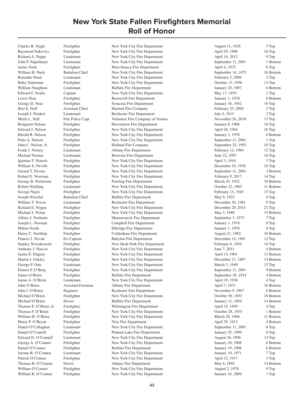Raymond Nakovics Firefighter New York City Fire Department April 29, 1998 10 Top Richard A. Nappi Lieutenant New York City Fire Department April 16, 2012 9 Top John P. Napolitano Lieutenant New York City Fire Department September 11, 2001 1 Bottom James Nash Firefighter West Seneca Fire Department April 4, 1975 8 Top William H. Nash Battalion Chief New York City Fire Department September 14, 1875 16 Bottom Reinaldo Natal Lieutenant New York City Fire Department February 5, 2006 2 Top Ruby Naturman Firefighter New York City Fire Department October 13, 1956 13 Top William Naughton Lieutenant Buffalo Fire Department January 28, 1907 6 Bottom Edward F. Nealis Captain Captain New York City Fire Department May 17, 1919 1 Top Lewis Near **Firefighter** Roosevelt Fire Department January 1, 1978 8 Bottom George D. Neat Firefighter Syracuse Fire Department January 16, 1942 16 Top Bret E. Neff Assistant Chief Harford Fire Company February 23, 2004 2 Top Joseph J. Neidert Lieutenant Rochester Fire Department July 8, 1915 3 Top Merle L. Nell Fire Police Capt. Volunteer Fire Company of Vernon November 26, 2016 13 Top Benjamin Nelson Firefighter Haverstraw Fire Department January 8, 1906 16 Top Edward J. Nelson Firefighter New York City Fire Department April 26, 1944 16 Top Harold R. Nelson Firefighter New York City Fire Department January 3, 1970 8 Bottom Peter A. Nelson Firefighter New York City Fire Department September 11, 2001 1 Top John C. Nelson, Jr. Firefighter Holland Fire Company September 25, 1992 10 Top Frank J. Nerney Lieutenant Albany Fire Department February 12, 1984 12 Top Michael Neuner Lieutenant Brewster Fire Department June 22, 1997 10 Top Ignatius F. Neusch Firefighter New York City Fire Department April 3, 1916 3 Top William S. Neville Firefighter New York City Fire Department December 10, 1936 18 Top Gerard T. Nevins Firefighter New York City Fire Department September 11, 2001 3 Bottom Robert E. Newman Firefighter New York City Fire Department February 9, 2017 14 Top George B. Nickerson Firefighter Pawling Fire Department March 10, 1932 10 Bottom Robert Niebling Lieutenant New York City Fire Department October 22, 1965 11 Bottom George Nigro Firefighter New York City Fire Department February 13, 1945 15 Top Joseph Nirschel Battalion Chief Buffalo Fire Department May 9, 1923 6 Top William T. Nixon Lieutenant Rochester Fire Department December 30, 1981 9 Top Richard E. Nogan Firefighter New York City Fire Department December 20, 2014 21 Top<br>Michael J. Nolan Firefighter New York City Fire Department May 3, 1888 15 Bott Michael J. Nolan Firefighter New York City Fire Department May 3, 1888 15 Bottom Albino J. Norberto Firefighter Mamaroneck Fire Department September 3, 1973 7 Top Joseph L. Norman Firefighter Campbell Fire Department January 1, 1976 8 Top Milton North Firefighter Elbridge Fire Department January 1, 1976 8 Top Henry C. Northrip Firefighter Coldenham Fire Department August 21, 1982 10 Bottom Francis J. Novak Ex-Captain Babylon Fire Department December 14, 1981 12 Top Stanley Nowakowski Firefighter New Hyde Park Fire Department February 6, 1954 18 Top Anthony J. Nuccio Firefighter New York City Fire Department June 7, 2011 4 Bottom James E. Nugent Firefighter New York City Fire Department April 14, 1901 13 Bottom Martin J. Oakley Firefighter New York City Fire Department December 21, 1897 14 Bottom George P. Oats Lieutenant New York City Fire Department March 3, 1949 15 Top Dennis P. O'Berg Firefighter New York City Fire Department September 11, 2001 9 Bottom James O'Brien Firefighter Buffalo Fire Department September 18, 1914 4 Bottom James A. O'Brien Lieutenant New York City Fire Department April 19, 1930 4 Top John O'Brien Assistant Foreman Albany Fire Department April 7, 1871 16 Bottom John J. O'Brien Engineer Rochester Fire Department November 9, 1907 6 Bottom Michael O'Brien Firefighter New York City Fire Department October 30, 1853 18 Bottom Michael O'Brien Driver Buffalo Fire Department January 12, 1894 14 Bottom Thomas E. O'Brien, Jr. Firefighter Wilmington Fire Department April 15, 1949 4 Top Thomas F. O'Brien Firefighter New York City Fire Department October 28, 1935 1 Bottom William H. O'Brien Firefighter New York City Fire Department March 20, 1966 11 Bottom Henry P. O'Bryan Firefighter Troy Fire Department April 29, 1913 4 Bottom Daniel O'Callaghan Lieutenant New York City Fire Department September 11, 2001 8 Top Daniel O'Connell Firefighter Putnam Lake Fire Department January 25, 1999 6 Top Edward D. O'Connell Lieutenant New York City Fire Department August 26, 1956 13 Top George A. O'Conner Firefighter New York City Fire Department January 10, 1908 6 Bottom Daniel O'Connor Firefighter Buffalo Fire Department January 19, 1908 6 Bottom<br>
Jerome R. O'Connor Lieutenant New York City Fire Department January 19, 1971 7 Top Jerome R. O'Connor Lieutenant 1. New York City Fire Department January 19, 1971 7 Top<br>Patrick O'Connor Firefighter New York City Fire Department 1. April 12, 1917 3 Top Patrick O'Connor Firefighter New York City Fire Department April 12, 1917 3 Top 3 Top 3 Top 3 Top 3 Top 3 Top 3 Top 3 Top 3 Top 3 Top 3 Top 3 Top 3 Top 3 Top 3 Top 3 Top 3 Top 3 Top 3 Top 3 Top 3 Top 3 Top 3 Top 3 Top 3 To Thomas H. O'Connor Driver 14 Bott Albany Fire Department 1998 May 6, 1892 14 Bott 14 Bott 14 Bottom 14 Bottom Connor 14 Bottom 14 Bottom New York City Fire Department 1998 150 May 6, 1892 14 Bottom 14 Bottom 15 Connor 14 B William O'Connor Firefighter New York City Fire Department August 2, 1978<br>William R. O'Connor Firefighter New York City Fire Department January 16, 200 New York City Fire Department January 16, 2006 1 Top

Charles R. Nagle Firefighter New York City Fire Department August 11, 1926 5 Top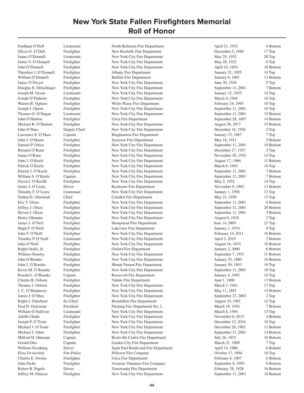Oliver G. O'Dell Firefighter New Rochelle Fire Department December 5, 1940 17 Top James O'Donnell Lieutenant New York City Fire Department May 29, 1932 20 Top James V. O'Donnell Firefighter New York City Fire Department May 28, 1922 6 Top John O'Donnell Firefighter New York City Fire Department April 24, 1854 18 Bottom Theodore J. O'Donnell Firefighter Albany Fire Department January 21, 1955 14 Top William O'Donnell Firefighter Buffalo Fire Department January 8, 1901 13 Bottom James O'Dwyer Firefighter New York City Fire Department June 30, 1926 5 Top Douglas E. Oelschlager Firefighter New York City Fire Department September 11, 2001 7 Bottom Joseph M. Oesau Lieutenant New York City Fire Department January 12, 1955 14 Top Joseph O'Flaherty Firefighter New York City Fire Department March 4, 1944 16 Top Warren R. Ogburn Firefighter White Plains Fire Department February 24, 1993 10 Top Joseph J. Ogren Firefighter New York City Fire Department September 11, 2001 16 Top Thomas G. O'Hagan Lieutenant New York City Fire Department September 11, 2001 15 Bottom John O'Hanlon Firefighter Utica Fire Department September 28, 1897 14 Bottom Michael R. O'Hanlon Firefighter New York City Fire Department August 28, 2017 15 Bottom John O'Hara Deputy Chief New York City Fire Department December 18, 1926 5 Top Lawrence E. O'Hara Captain Binghamton Fire Department January 13, 1967 7 Top John J. O'Hearn Firefighter Syracuse Fire Department May 18, 1911 5 Bottom Samuel P. Oitice Firefighter New York City Fire Department September 11, 2001 19 Bottom Bernard O'Kane Firefighter New York City Fire Department December 27, 1927 5 Top James O'Kane Firefighter New York City Fire Department November 30, 1955 14 Top John J. O'Keefe Firefighter New York City Fire Department August 17, 1966 11 Bottom Patrick O'Keefe Firefighter New York City Fire Department March 6, 1943 16 Top Patrick J. O'Keefe Firefighter New York City Fire Department September 11, 2001 7 Bottom William S. O'Keefe Captain New York City Fire Department September 11, 2001 7 Bottom David J. O'Keeffe Firefighter New York City Fire Department May 2, 1952 14 Top James J. O'Leary Driver Rochester Fire Department November 9, 1902 13 Bottom Timothy F. O'Leary Lieutenant New York City Fire Department January 1, 1958 13 Top Nathan E. Olmstead Chief Camden Fire Department May 21, 1959 13 Top Eric T. Olsen Firefighter New York City Fire Department September 11, 2001 8 Bottom Jeffrey J. Olsen Firefighter New York City Fire Department September 11, 2001 20 Bottom Steven J. Olson Firefighter New York City Fire Department September 11, 2001 5 Bottom Henry Oltmann Firefighter New York City Fire Department August 8, 1918 2 Top James J. O'Neil Firefighter Hempstead Fire Department June 14, 2005 21 Top Hugh F. O'Neill Firefighter Lakeview Fire Department January 1, 1974 8 Top John F. O'Neill Firefighter New York City Fire Department February 14, 2011 16 Bottom Timothy P. O'Neill Lieutenant New York City Fire Department April 2, 2019 2 Bottom John O'Niell Firefighter New York City Fire Department August 16, 1874 16 Bottom Ralph Oralls, Jr. Firefighter Cxford Fire Department January 2, 2000 6 Bottom William Ormsby Firefighter New York City Fire Department September 7, 1931 11 Bottom John O'Rourke Firefighter New York City Fire Department January 25, 1880 16 Bottom John J. O'Rourke Firefighter Mount Vernon Fire Department January 30, 1943 16 Top Kevin M. O'Rourke Firefighter New York City Fire Department September 11, 2001 18 Top Ronald L. O'Rourke Captain Captain Roosevelt Fire Department January 4, 1993 10 Top Charles B. Osborn Firefighter Valatie Fire Department June 1, 1860 17 Bottom Thomas J. Osborn Firefighter New York City Fire Department March 3, 1941 17 Top J. C. O'Shaunessy Firefighter New York City Fire Department May 11, 1887 15 Bottom James J. O'Shea Firefighter New York City Fire Department September 27, 2003 2 Top Ralph J. Osterhout Ex-Chief Broadalbin Fire Department August 10, 1981 12 Top Fred D. Osterman President Fleming Fire Department No. 2 March 18, 1954 7 Bottom William O'Sullivan Lieutenant New York City Fire Department March 8, 1956 13 Top Adolfo Otaño Firefighter New York City Fire Department November 8, 2013 4 Bottom Joseph P. O'Toole Firefighter New York City Fire Department December 12, 2016 16 Top Michael J. O'Toole Firefighter New York City Fire Department December 26, 1902 13 Bottom Michael J. Otten Firefighter New York City Fire Department September 11, 2001 14 Bottom Milford H. Ottmann Captain Captain Rockville Centre Fire Department July 28, 1933 10 Bottom Gerald Otto Captain Captain Garden City Fire Department March 21, 1969 7 Top William Ovenburg Driver **Driver** Saint Paul Boulevard Fire Department April 14, 1960 8 Bottom Elias Ovsiovitch Fire Police Fire Hillcrest Fire Company (Captus 17, 1994 10 Top Charles E. Owens Firefighter Utica Fire Department Company (Charles E. Owens Firefighter Utica Fire Department 6 Pebruary 6, 1907 6 Bott Firefighter Utica Fire Department February 6, 1907 6 Bottom<br>
Firefighter Aviation Volunteer Fire Company September 8, 1995 8 Bottom John Pache Firefighter Aviation Volunteer Fire Company September 8, 1995 8 Bottom<br>
Robert B. Pagels Driver Tonawanda Fire Department February 28, 1928 16 Bottom Robert B. Pagels Driver Driver Tonawanda Fire Department February 28, 1928 16 Bottom<br>
16 Bottom Fire Person Rev York City Fire Department September 11, 2001 18 Bottom Jeffrey M. Palazzo Firefighter New York City Fire Department September 11, 2001

Fordham O'Dell Lieutenant North Bellmore Fire Department April 21, 1932 8 Bottom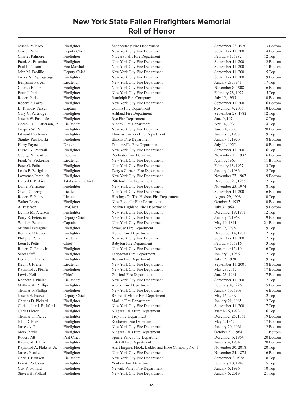Joseph Pallesco Firefighter Schenectady Fire Department September 23, 1970 3 Bottom

Orio J. Palmer Deputy Chief New York City Fire Department September 11, 2001 14 Bottom Charles Palmore Firefighter Niagara Falls Fire Department February 1, 1982 12 Top Frank A. Palombo Firefighter New York City Fire Department September 11, 2001 2 Bottom Paul J. Pansini Fire Marshal New York City Fire Department September 11, 2001 11 Bottom John M. Paolillo Deputy Chief New York City Fire Department September 11, 2001 5 Top James N. Pappageorge Firefighter New York City Fire Department September 11, 2001 19 Bottom Benjamin Parcell Lieutenant New York City Fire Department January 28, 1941 17 Top Charles E. Parks Firefighter New York City Fire Department November 8, 1908 6 Bottom Peter J. Parks Firefighter New York City Fire Department February 23, 1927 5 Top Robert Parks Firefighter Randolph Fire Company July 12, 1935 10 Bottom Robert E. Parro Firefighter New York City Fire Department September 11, 2001 16 Bottom E. Timothy Parsell Captain Captain Collins Fire Department November 4, 2005 18 Bottom Gary G. Partridge Firefighter Ashland Fire Department September 28, 1982 12 Top Joseph W. Pasquale Firefighter Rye Fire Department June 9, 1974 8 Top Cornelius F. Patterson, Jr. Lieutenant Albany Fire Department April 4, 1931 4 Top Jacques W. Paultre Firefighter New York City Fire Department June 24, 2008 20 Bottom Edward Pawlowski Firefighter Thomas Corners Fire Department January 1, 1978 9 Top Stanley Pawlowski Firefighter Elmont Fire Department January 1, 1970 8 Bottom Harry Payne Driver Driver Tannersville Fire Department July 11, 1925 10 Bottom Durrell V. Pearsall Firefighter New York City Fire Department September 11, 2001 6 Top George N. Peartree Hoseman Rochester Fire Department November 11, 1907 6 Bottom Frank W. Peckering Lieutenant 11 Bottom<br>
Peter G. Peila Firefighter New York City Fire Department April 3, 1963 11 Bottom<br>
13 Top New York City Fire Department February 13, 1957 13 Top Peter G. Peila Firefighter New York City Fire Department February 13, 1957 13 Top<br>
13 Top Louis P. Pelligrino Firefighter Terry's Corners Fire Department January 1, 1986 12 Top Louis P. Pelligrino Firefighter Terry's Corners Fire Department January 1, 1986 Lawrence Perchuck Firefighter New York City Fire Department November 27, 1967 9 Bottom Harold F. Perkins 1st Assistant Chief Pittsford Fire Department December 27, 1955 17 Top Daniel Perricone Firefighter New York City Fire Department November 23, 1974 8 Top Glenn C. Perry Lieutenant New York City Fire Department September 11, 2001 6 Bottom Robert F. Peters Lieutenant Hastings On The Hudson Fire Department August 29, 1998 10 Top Walter Peters Firefighter New Rochelle Fire Department October 3, 1937 10 Bottom Al Petersen Ex-Chief Roslyn Highland Fire Department July 3, 1969 9 Bottom Dennis M. Peterson Firefighter New York City Fire Department December 19, 1981 12 Top Perry R. Peterson Deputy Chief New York City Fire Department January 7, 1968 9 Bottom William Peterson Captain Captain New York City Fire Department May 19, 1811 21 Bottom Michael Petragnani Firefighter Syracuse Fire Department April 9, 1978 9 Top Romano Petrucco Firefighter Homer Fire Department December 14, 1981 12 Top Philip S. Petti Lieutenant New York City Fire Department September 11, 2001 7 Top Leon F. Pettit Chief Babylon Fire Department February 5, 1916 3 Top Robert C. Pettit, Jr. Firefighter New York City Fire Department December 15, 1944 16 Top Scott Pfaff Firefighter Fire Tarrytown Fire Department January 1, 1986 12 Top Donald C. Pfarner Firefighter Boston Fire Department July 17, 1978 9 Top Kevin J. Pfeifer Lieutenant New York City Fire Department September 11, 2001 18 Bottom Raymond J. Pfeifer Firefighter New York City Fire Department May 28, 2017 17 Bottom Lewis Pfeil Chief Guilford Fire Department June 23, 1961 7 Bottom Kenneth J. Phelan Lieutenant New York City Fire Department September 11, 2001 17 Top Mathew A. Phillips Firefighter Albion Fire Department February 4, 1926 15 Bottom Thomas F. Phillips Firefighter New York City Fire Department January 10, 1908 6 Bottom Joseph E. Piazzi Deputy Chief Briarcliff Manor Fire Department May 16, 2007 2 Top Charles D. Pickard Firefighter Marilla Fire Department January 21, 1985 12 Top Christopher J. Pickford Firefighter New York City Fire Department September 11, 2001 17 Top Garret Pierce Firefighter Niagara Falls Fire Department March 26, 1923 6 Top Thomas H. Pierce Firefighter Fire Troy Fire Department December 25, 1851 19 Bottom John D. Pike Firefighter Rochester Fire Department May 5, 1867 17 Bottom James A. Pinto Firefighter New York City Fire Department January 20, 1961 12 Bottom Mark Pirolli Firefighter Niagara Falls Fire Department October 31, 1964 11 Bottom Robert Pitt Past Chief Spring Valley Fire Department December 6, 1964 20 Bottom Raymond H. Place Firefighter Catskill Fire Department January 4, 1974 20 Bottom Raymond A. Plakstis, Jr. Firefighter Alert Engine, Hook, Ladder and Hose Company No. 1 November 30, 2018 20 Top Vames Plunket Firefighter Firefighter New York City Fire Department November 24, 1873 16 Bottom<br>
18 Top Chris J. Plunkett Lieutenant New York City Fire Department September 3, 1938 18 Top Lieutenant New York City Fire Department September 3, 1938 18 Top Leo A. Podeswa Firefighter Firefighter Yonkers Fire Department February 10, 1947 15 Top Guy R. Pollard Firefighter Firefighter Newark Valley Fire Department January 6, 1996 10 Top<br>Steven H. Pollard Firefighter New York City Fire Department January 6, 2019 21 Top Firefighter **Steven Heating Firefighter** New York City Fire Department January 6, 2019 21 Top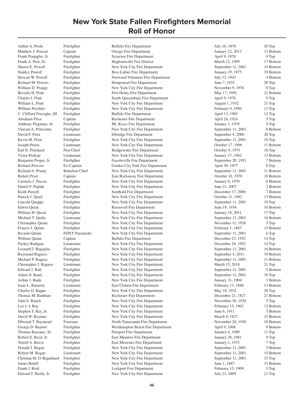Arthur A. Poole Firefighter Buffalo Fire Department July 10, 1878 20 Top

Matthew J. Porcari Captain Captain Owego Fire Department January 22, 2013 13 Bottom Frank Porpiglio, Jr. Firefighter Syracuse Fire Department April 9, 1978 9 Top Frank A. Post, Sr. Firefighter Hughsonville Fire District March 12, 1959 17 Bottom Shawn E. Powell Firefighter New York City Fire Department September 11, 2001 14 Bottom Stanley Powell Firefighter Best-Luther Fire Department January 19, 1975 19 Bottom Stewart W. Powell Firefighter Norwood Volunteer Fire Department July 12, 1943 4 Bottom Richard M. Powers Firefighter Hempstead Fire Department June 7, 1932 20 Top William D. Prange Firefighter New York City Fire Department November 9, 1976 8 Top Beverly H. Pratt Firefighter Port Henry Fire Department May 17, 1956 21 Bottom Charles I. Pratt Firefighter South Queensbury Fire Department April 9, 1978 9 Top William L. Pratt Firefighter New York City Fire Department August 1, 1932 21 Top William Prechtel Firefighter New York City Fire Department February 9, 1956 13 Top C. Clifford Preisigke, III Firefighter Buffalo Fire Department April 13, 1985 12 Top Abraham Price Captain Captain Rochester Fire Department April 26, 1924 5 Top Anthony Prigitano, Sr. Firefighter Mt. Kisco Fire Department January 1, 1978 9 Top Vincent A. Princiotta Firefighter New York City Fire Department September 11, 2001 8 Bottom David F. Prior Lieutenant Elbridge Fire Department September 4, 2006 20 Top Kevin M. Prior Firefighter New York City Fire Department September 11, 2001 18 Top Joseph Priore Lieutenant New York City Fire Department October 17, 1966 11 Bottom Earl E. Pritchard Past Chief Bridgewater Fire Department October 9, 1973 18 Top Victor Prokop Lieutenant New York City Fire Department January 17, 1962 12 Bottom Benjamin Proper, Jr. Firefighter Fayetteville Fire Department September 20, 1951 7 Bottom Richard Provost Ex-Captain Garden City Park Fire Department April 30, 1977 8 Top Richard A. Prunty Battalion Chief New York City Fire Department September 11, 2001 11 Bottom Robert Pryer Captain Captain East Rockaway Fire Department Cotober 10, 1970 19 Bottom Carmelo J. Puccia Firefighter New York City Fire Department January 6, 1970 8 Bottom Daniel F. Pujdak Firefighter New York City Fire Department June 21, 2007 2 Bottom Keith Purcell Firefighter Southold Fire Department December 17, 2000 7 Bottom Patrick J. Quail Firefighter New York City Fire Department October 11, 1902 13 Bottom Lincoln Quappe Firefighter New York City Fire Department September 11, 2001 19 Top Edwin Quick Firefighter Roosevelt Fire Department June 19, 1934 10 Bottom William H. Quick Firefighter New York City Fire Department January 18, 2011 17 Top Michael T. Quilty Lieutenant New York City Fire Department September 11, 2001 16 Bottom Christopher Quinn Firefighter New York City Fire Department November 11, 1926 5 Top Francis J. Quinn Firefighter New York City Fire Department February 1, 1887 15 Bottom Ricardo Quinn FDNY Paramedic New York City Fire Department September 11, 2001 6 Top William Quinn Captain Captain Buffalo Fire Department December 23, 1952 14 Top Packey Radigan Lieutenant New York City Fire Department December 26, 1952 14 Top Leonard J. Ragaglia Firefighter New York City Fire Department September 11, 2001 16 Bottom Raymond Ragucci Firefighter New York City Fire Department September 4, 2011 19 Bottom Michael P. Ragusa Firefighter New York City Fire Department September 11, 2001 11 Bottom Christopher J. Raguso Lieutenant New York City Fire Department March 15, 2018 21 Top Edward J. Rall Firefighter New York City Fire Department September 11, 2001 5 Bottom Adam D. Rand Firefighter New York City Fire Department September 11, 2001 16 Top Arthur J. Rank Firefighter New York City Fire Department January 31, 1904 3 Bottom Isaac L. Ransom Lieutenant East Clinton Fire Department February 13, 1946 13 Bottom Charles G. Rappe Firefighter New York City Fire Department May 18, 1932 20 Top Thomas M. Rathbun Firefighter Rochester Fire Department December 21, 1827 21 Bottom John E. Rauch Firefighter New York City Fire Department November 30, 1928 5 Top Leo J. J. Ray Firefighter New York City Fire Department February 15, 1962 12 Bottom Stephen T. Ray, Jr. Firefighter New York City Fire Department June 6, 1911 5 Bottom David W. Raymer Firefighter New York City Fire Department March 8, 1827 21 Bottom Ellwood T. Raymond Foreman North Tonawanda Fire Department November 28, 1930 10 Bottom George D. Raynor Firefighter Westhampton Beach Fire Department April 9, 1968 9 Bottom Thomas Razzano, Sr. Firefighter Freeport Fire Department Freeport Fire Department January 4, 1989 11 Top Robert E. Reed, Jr. Firefighter East Meadow Fire Department January 26, 1981 9 Top Terrell A. Reeve Firefighter East Moriches Fire Department January 1, 1972 7 Top Donald J. Regan Firefighter New York City Fire Department September 11, 2001 5 Bottom Robert M. Regan Lieutenant New York City Fire Department September 11, 2001 15 Bottom<br>Christian M. O. Regenhard Firefighter New York City Fire Department September 11, 2001 15 Top Firefighter New York City Fire Department September 11, 2001 15 Top James Rehill Firefighter New York City Fire Department June 1, 1887 15 Bottom Frank J. Reid Firefighter Lockport Fire Department February 13, 1909 5 Top<br>Edward F. Reilly, Jr. Firefighter New York City Fire Department July 23, 2009 21 Top Firefighter New York City Fire Department July 23, 2009 21 Top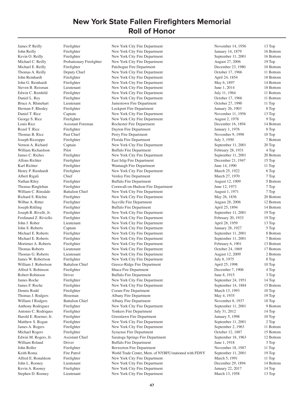James P. Reilly Firefighter New York City Fire Department November 14, 1956 13 Top John Reilly Firefighter New York City Fire Department January 14, 1879 16 Bottom Kevin O. Reilly Firefighter New York City Fire Department September 11, 2001 16 Bottom Michael C. Reilly Probationary Firefighter New York City Fire Department August 27, 2006 19 Top Michael E. Reilly Firefighter Patchogue Fire Department December 23, 1980 10 Bottom<br>
Thomas A. Reilly Deputy Chief New York City Fire Department October 17, 1966 11 Bottom Thomas A. Reilly Deputy Chief New York City Fire Department October 17, 1966 11 Bottom John Reinhardt Firefighter New York City Fire Department April 24, 1854 18 Bottom John G. Reinhardt Firefighter New York City Fire Department May 6, 1897 14 Bottom Steven B. Reisman Lieutenant New York City Fire Department June 1, 2014 18 Bottom Edwin C. Remhild Firefighter New York City Fire Department July 11, 1964 11 Bottom Daniel L. Rey Firefighter New York City Fire Department October 17, 1966 11 Bottom Bruce A. Rhinehart Lieutenant Jamestown Fire Department October 27, 1990 11 Top Herman F. Rhodey Firefighter Lockport Fire Department January 26, 1903 8 Top Daniel T. Rice Captain New York City Fire Department November 11, 1956 13 Top George S. Rice Firefighter New York City Fire Department August 2, 1978 9 Top Louis Rice Assistant Foreman Rochester Fire Department December 16, 1894 14 Bottom Rozel T. Rice Firefighter Bayton Fire Department January 1, 1976 8 Top Thomas B. Rice Past Chief Perry Fire Department November 9, 1998 10 Top Joseph Riceoppo Firefighter Florida Fire Department July 3, 1950 7 Bottom Vernon A. Richard Captain New York City Fire Department September 11, 2001 20 Top William Richardson Pilot Buffalo Fire Department February 28, 1931 4 Top James C. Riches Firefighter New York City Fire Department September 11, 2001 20 Bottom Alfons Richter Firefighter East Islip Fire Department December 21, 1947 15 Top Karl Richter Firefighter Firefighter Wantaugh Fire Department June 14, 1990 11 Top Henry P. Rienhardt Firefighter New York City Fire Department March 25, 1922 6 Top Albert Rigali Chief Chief Verdoy Fire Department March 27, 1970 7 Top Nathan Riley Firefighter Buffalo Fire Department August 12, 1909 5 Bottom Thomas Ringlehan Firefighter Cornwall-on-Hudson Fire Department June 12, 1973 7 Top William C. Rinsdale Battalion Chief New York City Fire Department August 1, 1971 7 Top Richard S. Ritchie Firefighter New York City Fire Department May 26, 1836 20 Bottom<br>Wilbur A. Ritter Firefighter Sayville Fire Department August 28, 2006 12 Bottom Wilbur A. Ritter Firefighter Sayville Fire Department August 28, 2006 12 Bottom<br>
14 Bottom Publisher Buffalo Fire Department April 25, 1894 14 Bottom Joseph Rittling Firefighter Buffalo Fire Department April 25, 1894 14 Bottom Joseph R. Rivelli, Jr. Firefighter New York City Fire Department September 11, 2001 19 Top Ferdinand Z. Riviello Firefighter New York City Fire Department February 20, 1933 19 Top John J. Rober Lieutenant New York City Fire Department April 28, 1959 13 Top John S. Roberts Captain New York City Fire Department January 28, 1927 5 Top Michael E. Roberts Firefighter New York City Fire Department September 11, 2001 8 Bottom Michael E. Roberts Firefighter New York City Fire Department September 11, 2001 7 Bottom Mortimer A. Roberts Firefighter New York City Fire Department February 6, 1901 13 Bottom Thomas Roberts Lieutenant New York City Fire Department October 24, 1869 17 Bottom Thomas G. Roberts Lieutenant New York City Fire Department August 12, 2009 2 Bottom James W. Robertson Firefighter New York City Fire Department July 8, 1975 8 Top William J. Robertson Battalion Chief Greece-Ridge Fire Department April 25, 1998 10 Top Alfred S. Robinson Firefighter Ithaca Fire Department December 7, 1906 4 Top Robert Robinson Driver Buffalo Fire Department June 8, 1915 3 Top 3 Top James Roche Firefighter New York City Fire Department September 24, 1951 14 Top James F. Roche Firefighter New York City Fire Department September 14, 1884 15 Bottom Dennis Rodd Firefighter Coram Fire Department March 13, 1993 10 Top Thomas J. Rodgers Hoseman Albany Fire Department May 4, 1935 19 Top William J Rodgers Battalion Chief Albany Fire Department November 8, 1937 18 Top Anthony Rodriguez Firefighter New York City Fire Department September 11, 2001 9 Bottom Antonio C. Rodriques Firefighter Yonkers Fire Department July 31, 2012 14 Top Harold E. Roemer, Jr. Firefighter Greenlawn Fire Department January 5, 1998 10 Top Matthew S. Rogan Firefighter New York City Fire Department September 11, 2001 2 Top James A. Rogers Firefighter New York City Fire Department September 2, 1963 11 Bottom Michael Rogers Firefighter Syracuse Fire Department October 12, 1887 15 Bottom Edwin M. Rogers, Jr. Assistant Chief Saratoga Springs Fire Department September 18, 1963 12 Bottom William Roland Driver Buffalo Fire Department June 1, 1918 3 Top 3 Top John Roller Firefighter Brewerton Fire Department November 18, 1987 11 Top Keith Roma Fire Patrol World Trade Center, Mem. of NYBFU/stationed with FDNY September 11, 2001 19 Top Alfred E. Ronaldson Firefighter New York City Fire Department March 5, 1991 11 Top John L. Rooney Lieutenant New York City Fire Department December 29, 1894 14 Bottom Kevin A. Rooney Firefighter New York City Fire Department January 22, 2017 14 Top Stephen D. Rooney Lieutenant New York City Fire Department March 13, 1958 13 Top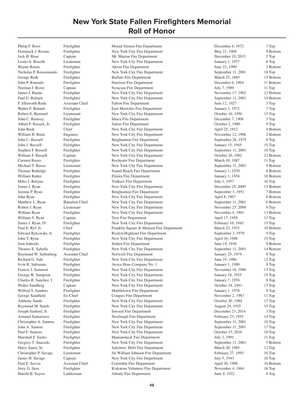Philip F. Roos Firefighter Mount Vernon Fire Department December 4, 1972 7 Top Dominick J. Rosato Firefighter New York City Fire Department May 21, 1969 9 Bottom Jack H. Rose Captain Mt. Marion Fire Department December 19, 2015 5 Top Lester A. Roselle Lieutenant New York City Fire Department January 1, 1977 8 Top Wayne Rosen Firefighter Akron Fire Department June 22, 1999 2 Bottom<br>Nicholas P. Rossomando Firefighter New York City Fire Department September 11, 2001 18 Top Nicholas P. Rossomando Firefighter New York City Fire Department September 11, 2001 George Roth Firefighter Buffalo Fire Department March 25, 1885 15 Bottom John P. Rotundo Firefighter Harrison Fire Department December 6, 1964 11 Bottom Norman J. Rowe Captain Syracuse Fire Department July 7, 1989 11 Top James J. Ruane Firefighter New York City Fire Department November 17, 1962 12 Bottom Paul G. Ruback Firefighter New York City Fire Department September 11, 2001 14 Bottom P. Ellsworth Rude Assistant Chief Fulton Fire Department June 12, 1927 5 Top Walter F. Ruland Firefighter East Moriches Fire Department January 1, 1972 7 Top Robert E. Rummel Lieutenant New York City Fire Department October 16, 1950 15 Top John C. Rumsey Firefighter Ithaca Fire Department December 7, 1906 3 Top Albert F. Rusack, Jr. Firefighter Salem Fire Department October 2, 1980 9 Top John Rush Chief Chief New York City Fire Department April 25, 1912 4 Bottom William H. Rush Engineer New York City Fire Department November 12, 1906 2 Bottom John C. Russell Firefighter Binghamton Fire Department September 28, 1975 8 Top John J. Russell Firefighter New York City Fire Department January 15, 1945 15 Top Stephen P. Russell Firefighter New York City Fire Department September 11, 2001 16 Top William F. Russell Captain Captain New York City Fire Department October 26, 1962 12 Bottom Carmen Russo Firefighter Rochester Fire Department March 10, 1987 11 Top Michael T. Russo Lieutenant New York City Fire Department September 11, 2001 9 Bottom Thomas Rutledge Firefighter Sound Beach Fire Department January 1, 1970 8 Bottom William Rutter Firefighter Firefighter Elmira Fire Department January 1, 1854 18 Bottom Miles J. Rutyna Firefighter Pierre Trefighter Providers Fire Department July 1, 1957 16 Top James J. Ryan Firefighter New York City Fire Department December 25, 2009 13 Bottom Jerome P. Ryan Firefighter Binghamton Fire Department September 3, 1951 7 Bottom John Ryan Firefighter New York City Fire Department April 8, 1907 6 Bottom Matthew L. Ryan Battalion Chief New York City Fire Department September 11, 2001 6 Bottom Robert J. Ryan Lieutenant New York City Fire Department November 23, 2008 9 Top William Ryan Firefighter New York City Fire Department November 4, 1901 13 Bottom William V. Ryan Captain Captain Troy Fire Department April 17, 1958 13 Top James J. Ryan, IV Firefighter New York City Fire Department February 16, 1945 15 Top Paul E. Ryf, Jr. Chief Franklin Square & Munson Fire Department March 23, 1932 10 Bottom Edward Rykowski, Jr. Firefighter Roslyn-Highland Fire Department September 3, 1979 9 Top John T. Rynn Firefighter New York City Fire Department April 10, 1948 15 Top Sam Sabeido Firefighter Selden Fire Department June 19, 1938 9 Bottom Thomas E. Sabella Firefighter New York City Fire Department September 11, 2001 14 Bottom Raymond W. Saftenberg Assistant Chief Norwich Fire Department January 25, 1974 8 Top Richard G. Sale Firefighter New York City Fire Department June 19, 1986 12 Top Irvin R. Saltsman Firefighter Avoca Hose Company No. 1 January 1, 1980 9 Top Francis J. Sammon Firefighter New York City Fire Department November 18, 1960 13 Top George W. Sampson Firefighter New York City Fire Department January 18, 1935 19 Top Charles R. Sanchez, I Firefighter New York City Fire Department January 7, 1976 8 Top Walter Sandberg Captain Captain New York City Fire Department Cotober 24, 1941 17 Top Wilfred S. Sanders Firefighter Marbletown Fire Department January 1, 1978 9 Top George Sandfield Ex-Chief Congers Fire Department November 2, 1987 11 Top Anthony Sands Firefighter New York City Fire Department October 20, 1984 12 Top Raymond M. Sands Firefighter New York City Fire Department August 24, 1935 19 Top Joseph Sanford, Jr. Firefighter Inwood Fire Department December 23, 2014 3 Top Armand Santacroce Firefighter Newburgh Fire Department February 23, 1952 14 Top Christopher A. Santora Firefighter New York City Fire Department September 11, 2001 18 Top John A. Santore Firefighter New York City Fire Department September 11, 2001 17 Top Paul F. Santoro Firefighter New York City Fire Department October 15, 2016 18 Top Marshall F. Sarles Firefighter Mamaroneck Fire Department July 2, 1991 11 Top Gregory T. Saucedo Firefighter New York City Fire Department September 11, 2001 5 Bottom Harry Sauer, Sr. Firefighter Salisbury Mills Fire Department March 20, 1985 12 Top Christopher P. Savage Lieutenant Sir William Johnson Fire Department February 27, 1993 10 Top James H. Savage Captain New York City Fire Department July 5, 1943 16 Top Paul E. Savoir **Assistant Chief Constable Fire Department** April 30, 1998 16 Bottom Jerry G. Saxe Firefighter Kiskatom Volunteer Fire Department November 4, 1964 16 Top Harold B. Sayers Ladderman Albany Fire Department June 4, 1922 6 Top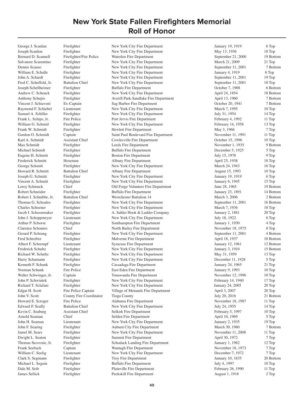Clark S. Segmann Firefighter Troy Fire Department<br>Michael L. Seguin Firefighter Buffalo Fire Department

George J. Scanlan Firefighter New York City Fire Department January 19, 1919 6 Top Joseph Scanlon Firefighter New York City Fire Department May 13, 1936 18 Top Bernard D. Scannell Firefighter/Fire Police Waterloo Fire Department September 21, 2000 19 Bottom Salvatore Scarentino Firefighter New York City Fire Department March 21, 2009 21 Top Dennis Scauso Firefighter New York City Fire Department September 11, 2001 7 Bottom William E. Schalle Firefighter New York City Fire Department January 4, 1919 6 Top John A. Schardt Firefighter New York City Fire Department September 11, 2001 19 Top Fred C. Scheffold, Jr. Battalion Chief New York City Fire Department September 11, 2001 18 Top Joseph Schellheimer Firefighter Buffalo Fire Department October 7, 1908 6 Bottom Andrew C. Schenck Firefighter New York City Fire Department April 24, 1854 18 Bottom Anthony Schepis Firefighter Averill Park-Sandlake Fire Department April 13, 1960 7 Bottom Vincent J. Schiavoni Ex-Captain Sag Harbor Fire Department October 20, 1941 7 Bottom Raymond F. Schiebel Lieutenant New York City Fire Department March 7, 1995 10 Top Samuel A. Schiller Firefighter New York City Fire Department July 31, 1954 14 Top Frank L. Schips, Jr. Fire Police Port Jervis Fire Department February 4, 1992 11 Top William G. Schmid Firefighter New York City Fire Department February 14, 1958 13 Top Frank W. Schmidt Firefighter Hewlett Fire Department May 3, 1966 7 Top Gordon O. Schmidt Captain Captain Saint Paul Boulevard Fire Department November 11, 1991 11 Top Karl A. Schmidt Assistant Chief Cowlesville Fire Department Corolesville Fire October 15, 1996 10 Top Max Schmidt Firefighter Leeds Fire Department November 1, 1935 9 Bottom Michael Schmidt Firefighter Buffalo Fire Department December 5, 1925 5 Top Eugene H. Schmitt Firefighter Boston Fire Department July 15, 1978 9 Top Frederick Schmitt Hoseman Albany Fire Department April 25, 1938 18 Top George Schmitt Firefighter New York City Fire Department March 24, 1943 16 Top Howard R. Schmitt Battalion Chief Albany Fire Department August 15, 1993 10 Top Joseph G. Schmitt Firefighter New York City Fire Department January 19, 1919 6 Top Vincent A. Schmitt Firefighter New York City Fire Department January 6, 1945 15 Top Leroy Schmuck Chief Old Forge Volunteer Fire Department June 28, 1965 19 Bottom Robert Schneider Firefighter Buffalo Fire Department January 23, 1891 14 Bottom Robert J. Schnibbe, Jr. Battalion Chief Westchester Battalion 14 March 3, 2006 2 Bottom Thomas G. Schoales Firefighter New York City Fire Department September 11, 2001 16 Bottom Charles Schoener Firefighter New York City Fire Department March 7, 1936 18 Top Jacob I. Schoonmaker Firefighter A. Sahler Hook & Ladder Company January 2, 1881 20 Top John J. Schoppmeyer Lieutenant New York City Fire Department July 18, 1922 6 Top Arthur P. Schorse Firefighter Southampton Fire Department January 1, 1930 4 Top Clarence Schoures Chief North Bailey Fire Department November 18, 1975 8 Top Gerard P. Schrang Firefighter New York City Fire Department September 11, 2001 4 Bottom Fred Schreiber Firefighter Malverne Fire Department April 18, 1937 10 Bottom Albert F. Schrempf Lieutenant Syracuse Fire Department January 12, 1961 12 Bottom Frederick Schultz Firefighter New York City Fire Department January 3, 1910 15 Bottom Richard W. Schultz Firefighter New York City Fire Department May 31, 1959 13 Top Harry Schumann Firefighter New York City Fire Department December 11, 1928 5 Top Kenneth F. Schunk Firefighter Cassadaga Fire Department January 24, 1965 21 Top Norman Schunk Fire Police East Eden Fire Department January 9, 1993 10 Top Walter Schwinger, Jr. Captain Captain Tonawanda Fire Department November 12, 1996 10 Top John P. Schwintek Firefighter New York City Fire Department February 14, 1940 17 Top Richard T. Sclafani Firefighter New York City Fire Department January 24, 2005 20 Top Edgar H. Scott Fire Police Captain Village of Menands Fire Department April 3, 2007 20 Top John V. Scott County Fire Coordinator Tioga County July 20, 2016 21 Bottom Howard E. Scroger Fire Police Alabama Fire Department November 18, 1987 11 Top Edward P. Scully Battalion Chief New York City Fire Department July 24, 1955 14 Top Kevin C. Seaburg Assistant Chief Selkirk Fire Department February 5, 1997 10 Top Arnold Seaman Chief Selden Fire Department April 10, 1969 5 Top John H. Seaman Lieutenant New York City Fire Department January 2, 1935 19 Top John F. Searing Firefighter Auburn City Fire Department March 30, 1960 7 Bottom Jamel M. Sears Firefighter New York City Fire Department November 11, 2008 11 Top Dwight L. Seaton Firefighter Summit Fire Department April 30, 1972 7 Top Thomas Secovnie, Jr. Firefighter Schodack Landing Fire Department January 1, 1982 12 Top Frank Seeback Captain Captain Wantagh Fire Department November 18, 1973 7 Top<br>
William C. Seelig Lieutenant New York City Fire Department December 7, 1972 7 Top William C. Seelig Lieutenant New York City Fire Department December 7, 1972 7 Top<br>Clark S. Segmann Firefighter Troy Fire Department January 10, 1835 20 Bottom Michael L. Seguin Firefighter Buffalo Fire Department July 4, 1997 10 Top<br>
Dale M. Seib Firefighter Plainville Fire Department February 26, 1990 11 Top Dale M. Seib Firefighter Plainville Fire Department<br>
11 Top James Sellick Firefighter Peekskill Fire Department Peekskill Fire Department August 1, 1918 2 Top Peekskill Fire Department 2 Top 2 Top 2 Top 3 August 1, 1918 2 Top 3 2 Top 3 August 1, 1918 2 Top 3 August 1, 1918 2 Top 3 August 1, 1918 2 Top 3 August 1, 1918 2 Top 3 August 1, 1918 2 Top 3 August 1, 1918 2 Top 3 August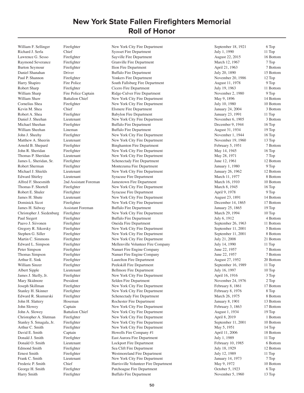William F. Sellinger Firefighter New York City Fire Department September 18, 1921 6 Top

Richard J. Serla Chief Syosset Fire Department July 1, 1990 11 Top Lawrence G. Sesso Firefighter Sayville Fire Department August 22, 2015 16 Bottom Raymond Severance Firefighter Granville Fire Department March 12, 1967 7 Top Burton Seymour Firefighter Ilion Fire Department April 21, 1963 7 Bottom Daniel Shanahan Driver Buffalo Fire Department July 20, 1890 15 Bottom Paul P. Shannon Firefighter Yonkers Fire Department November 20, 1986 12 Top Harry Shapiro Fire Police South Fallsburg Fire Department August 11, 1978 9 Top Robert Sharp Firefighter Cicero Fire Department July 19, 1963 11 Bottom William Sharp Fire Police Captain Ridge-Culver Fire Department November 2, 1980 9 Top William Shaw Battalion Chief New York City Fire Department May 9, 1896 14 Bottom Cornelius Shea Firefighter New York City Fire Department July 10, 1980 10 Bottom Kevin M. Shea Chief Chief Elsmere Fire Department January 24, 2004 3 Bottom Robert A. Shea Firefighter Babylon Fire Department January 23, 1991 11 Top Daniel J. Sheehan Lieutenant New York City Fire Department November 6, 1905 3 Bottom Michael Sheehan Firefighter Buffalo Fire Department December 9, 1944 16 Top William Sheehan Lineman Buffalo Fire Department August 31, 1934 19 Top<br>
19 Top John J. Sheehv Firefighter New York City Fire Department November 1, 1944 16 Top Firefighter 1, 1944 New York City Fire Department November 1, 1944 16 Top Matthew A. Sheerin Lieutenant New York City Fire Department November 19, 1960 13 Top Arnold B. Shepard Firefighter Binghamton Fire Department February 5, 1951 7 Bottom John R. Sheridan Firefighter New York City Fire Department May 14, 1945 16 Top Thomas P. Sheridan Lieutenant New York City Fire Department May 28, 1971 7 Top James L. Sheridan, Sr. Firefighter Schenectady Fire Department June 12, 1961 12 Bottom Robert Sherman Firefighter Montezuma Fire Department January 1, 1980 9 Top Michael J. Shields Lieutenant New York City Fire Department January 26, 1962 12 Bottom Edward Shirley Lieutenant Syracuse Fire Department March 11, 1977 8 Bottom Alfred F. Shoesmith 2nd Assistant Foreman Jamestown Fire Department March 16, 1910 10 Bottom Thomas F. Shortell Firefighter New York City Fire Department March 8, 1945 16 Top Robert E. Shuler Firefighter Syracuse Fire Department April 9, 1978 9 Top James H. Shute Lieutenant New York City Fire Department August 23, 1891 14 Bottom Dominick Sicot Firefighter New York City Fire Department December 14, 1865 17 Bottom James H. Sidway Assistant Foreman Buffalo Fire Department January 25, 1865 19 Top Christopher J. Siedenburg Firefighter New York City Fire Department March 29, 1994 10 Top Paul Siegert Firefighter Buffalo Fire Department July 6, 1912 4 Bottom Paavo J. Siivonen Firefighter Oneida Fire Department September 26, 1963 11 Bottom Gregory R. Sikorsky Firefighter New York City Fire Department September 11, 2001 5 Bottom Stephen G. Siller Firefighter New York City Fire Department September 11, 2001 8 Bottom Martin C. Simmons Firefighter New York City Fire Department July 21, 2008 21 Bottom Edward L. Simpson Firefighter Mellenville Volunteer Fire Company July 14, 1990 11 Top Peter Simpson Firefighter Nanuet Fire Engine Company June 22, 1957 7 Bottom Thomas Simpson Firefighter Nanuet Fire Engine Company June 22, 1957 7 Bottom Arthur E. Sink Firefighter Laurelton Fire Department August 27, 1952 20 Bottom William Sinzer Firefighter Peekskill Fire Department September 16, 1989 11 Top Albert Sipple Lieutenant Bellmore Fire Department July 16, 1997 10 Top James J. Skelly, Jr. Firefighter New York City Fire Department April 16, 1916 3 Top Mary Skidmore President Selden Fire Department November 24, 1976 2 Top Joseph Skillman Firefighter New York City Fire Department February 8, 1861 17 Bottom Stanley H. Skinner Firefighter New York City Fire Department February 8, 1976 8 Top Edward R. Skumurski Firefighter Schenectady Fire Department March 26, 1975 8 Bottom John H. Slattery Hoseman Rochester Fire Department January 8, 1901 13 Bottom John Slowey Captain New York City Fire Department February 3, 1863 17 Bottom John A. Slowey Battalion Chief New York City Fire Department August 1, 1934 19 Top Christopher A. Slutman Firefighter New York City Fire Department April 8, 2019 1 Bottom Stanley S. Smagala, Jr. Firefighter New York City Fire Department September 11, 2001 10 Bottom Arthur C. Smith Firefighter New York City Fire Department May 5, 1951 14 Top David E. Smith Captain Captain Howells Fire Company #1 April 11, 2006 18 Bottom Donald J. Smith Firefighter East Aurora Fire Department July 1, 1989 11 Top Donald O. Smith Lieutenant Lockport Fire Department February 10, 1985 6 Bottom Edmond Smith Firefighter Sea Clift Fire Department July 18, 1929 12 Bottom Ernest Smith Firefighter Westmoreland Fire Department July 12, 1989 11 Top Frank C. Smith Lieutenant New York City Fire Department January 14, 1973 7 Top Frederic P. Smith Chief Chief Harrisville Volunteer Fire Department May 9, 1972 10 Bottom George H. Smith Firefighter Patchoague Fire Department October 5, 1923 6 Top Harry Smith Firefighter Buffalo Fire Department November 5, 1960 13 Top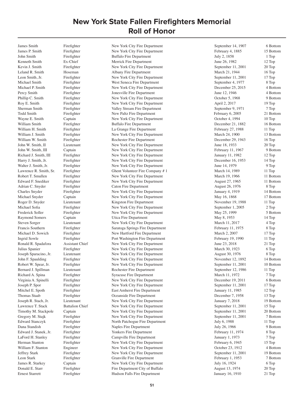James Smith Firefighter New York City Fire Department September 14, 1907 6 Bottom

John Smith Firefighter Buffalo Fire Department July 2, 1858 1 Top Kenneth Smith Ex-Chief Merrick Fire Department June 26, 1982 12 Top Kevin J. Smith Firefighter New York City Fire Department September 11, 2001 20 Top Leland R. Smith Hoseman Albany Fire Department March 21, 1944 16 Top Leon Smith, Jr. Firefighter New York City Fire Department September 11, 2001 17 Top Michael Smith Firefighter West Seneca Fire Department September 4, 1977 8 Top Michael P. Smith Firefighter New York City Fire Department December 25, 2015 4 Bottom Percy Smith Firefighter Jonesville Fire Department June 12, 1946 4 Bottom Phillip C. Smith Firefighter New York City Fire Department October 5, 1968 9 Bottom Roy E. Smith Firefighter New York City Fire Department April 2, 2017 19 Top Sherman Smith Firefighter Valley Stream Fire Department September 9, 1971 7 Top Todd Smith Firefighter New Paltz Fire Department February 6, 2005 21 Bottom Wayne E. Smith Captain Captain New York City Fire Department Cotober 4, 1994 10 Top William Smith Firefighter Buffalo Fire Department December 21, 1882 16 Bottom William H. Smith Firefighter La Grange Fire Department February 27, 1988 11 Top William J. Smith Firefighter New York City Fire Department March 24, 1900 13 Bottom William W. Smith Firefighter Rochester Fire Department December 29, 1943 16 Top John W. Smith, II Lieutenant New York City Fire Department June 18, 1933 20 Top John W. Smith, III Captain New York City Fire Department February 11, 1967 9 Bottom Richard J. Smith, III Firefighter New York City Fire Department January 11, 1982 12 Top Harry J. Smith, Jr. Firefighter New York City Fire Department December 16, 1953 14 Top Walter J. Smith, Jr. Firefighter New York City Fire Department June 14, 1979 9 Top Lawrence R. Smith, Sr. Firefighter Ghent Volunteer Fire Company # 1 March 14, 1989 11 Top Robert T. Smullen Firefighter New York City Fire Department March 19, 1966 11 Bottom Edward F. Snediker Firefighter New York City Fire Department August 27, 1965 11 Bottom Adrian C. Snyder Firefighter Caton Fire Department August 26, 1976 8 Top Charles Snyder Firefighter New York City Fire Department January 4, 1919 14 Bottom Michael Snyder Captain Captain New York City Fire Department May 16, 1868 17 Bottom Roger D. Snyder Lieutenant Kingston Fire Department November 19, 1988 11 Top Michael Sofia Firefighter New York City Fire Department September 1, 2005 2 Top Frederick Soller Firefighter New York City Fire Department May 25, 1999 5 Bottom Raymond Somers Captain Captain Utica Fire Department May 8, 1953 14 Top Steven Sorger Lieutenant New York City Fire Department March 11, 2017 4 Top Francis Southern Firefighter Saratoga Springs Fire Department February 11, 1975 8 Top Michael D. Sowich Firefighter New Hartford Fire Department March 2, 2007 17 Top Ingrid Sowle Firefighter Port Washington Fire Department February 19, 1990 11 Top Ronald R. Spadafora Assistant Chief New York City Fire Department June 23, 2018 21 Top Julius Spanier Firefighter New York City Fire Department March 30, 1923 6 Top Joseph Sparacino, Jr. Lieutenant New York City Fire Department August 30, 1976 8 Top John F. Spaulding Firefighter New York City Fire Department November 12, 1892 14 Bottom Robert W. Spear, Jr. Firefighter New York City Fire Department September 11, 2001 10 Bottom Bernard J. Spillman Lieutenant Rochester Fire Department September 12, 1986 11 Top Richard A. Spina Firefighter Syracuse Fire Department March 11, 1972 7 Top Virginia A. Spinelli Firefighter New York City Fire Department December 19, 2011 6 Bottom Joseph P. Spor Firefighter New York City Fire Department September 11, 2001 17 Top Mitchel E. Spoth Firefighter East Amherst Fire Department January 11, 1985 12 Top Thomas Staab Firefighter Coeanside Fire Department December 7, 1958 13 Top Joseph R. Stach, Jr. Lieutenant New York City Fire Department January 7, 2018 19 Bottom Lawrence T. Stack Battalion Chief New York City Fire Department September 11, 2001 15 Top Timothy M. Stackpole Captain New York City Fire Department September 11, 2001 20 Bottom Gregory M. Stajk Firefighter New York City Fire Department September 11, 2001 7 Bottom Edward Stanczyk Firefighter North Patchogue Fire Department July 6, 1988 11 Top Dana Standish Firefighter Naples Fire Department July 26, 1966 9 Bottom Edward J. Stanek, Jr. Firefighter Yonkers Fire Department February 11, 1974 8 Top LaFord H. Stanley Firefighter Campville Fire Department January 1, 1973 7 Top Herman Stanton Firefighter New York City Fire Department February 6, 1945 15 Top William F. Stanton Engineer New York City Fire Department October 23, 1912 4 Bottom Jeffrey Stark Firefighter New York City Fire Department September 11, 2001 19 Bottom Leon Stark Firefighter Granville Fire Department February 1, 1953 7 Bottom James R. Starkey Captain New York City Fire Department July 16, 1924 6 Top Donald E. Starr Firefighter Fire Department City of Buffalo August 13, 1974 20 Top Ernest Starrett Firefighter Hudson Falls Fire Department January 16, 1910 21 Top

James P. Smith Firefighter New York City Fire Department February 4, 1885 15 Bottom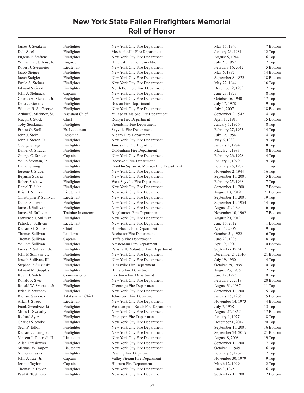Dale Steel Firefighter Mechanicville Fire Department January 26, 1981 12 Top Eugene F. Steffens Firefighter New York City Fire Department August 5, 1944 16 Top William F. Steffens, Jr. Engineer Hillcrest Fire Company No. 1 July 21, 1967 7 Top Robert J. Stegmeier Lieutenant New York City Fire Department February 16, 2012 5 Bottom Jacob Steiger Firefighter New York City Fire Department May 6, 1897 14 Bottom Jacob Steigler Firefighter New York City Fire Department September 8, 1872 18 Bottom Emile A. Steiner Firefighter New York City Fire Department May 22, 1944 16 Top<br>Edward Steinert Firefighter North Bellmore Fire Department December 2, 1973 7 Top Edward Steinert Firefighter North Bellmore Fire Department December 2, 1973 John J. Stelmack Captain New York City Fire Department June 23, 1977 8 Top Charles A. Stenvall, Jr. Firefighter New York City Fire Department October 16, 1940 17 Top Dana J. Stevens Firefighter Boston Fire Department July 17, 1978 9 Top William R. St. George Firefighter New York City Fire Department July 1, 2007 18 Bottom Arthur C. Stickney, Sr. Assistant Chief Village of Malone Fire Department September 2, 1942 4 Top Joseph J. Stock Chief Chief Roslyn Fire Department April 13, 1918 15 Bottom Toby Stockman Firefighter Friendship Fire Department January 1, 1976 8 Top Ernest G. Stoll Ex-Lieutenant Sayville Fire Department February 27, 1953 14 Top John J. Stolz Hoseman Albany Fire Department July 12, 1954 14 Top John J. Storch, Jr. Firefighter New York City Fire Department May 6, 1933 19 Top George Stragar Firefighter Jamesville Fire Department January 1, 1974 8 Top Daniel O. Strauch Firefighter Coldenham Fire Department March 24, 1983 8 Bottom George C. Strauss Captain New York City Fire Department February 26, 1928 4 Top Willie Stroman, Jr. Firefighter Roosevelt Fire Department January 1, 1979 9 Top Daniel Strong Firefighter Franklin Square & Munson Fire Department February 25, 1989 11 Top Eugene J. Studer Firefighter New York City Fire Department November 2, 1944 16 Top Bejamin Suarez Firefighter New York City Fire Department September 11, 2001 5 Bottom Robert Suckow Firefighter West Sayville Fire Department February 25, 1968 7 Top Daniel T. Suhr Firefighter New York City Fire Department September 11, 2001 7 Bottom Brian J. Sullivan Lieutenant New York City Fire Department August 10, 2019 21 Bottom Christopher P. Sullivan Lieutenant New York City Fire Department September 11, 2001 19 Top Daniel Sullivan Firefighter New York City Fire Department September 11, 1954 14 Top James J. Sullivan Firefighter New York City Fire Department August 21, 1923 6 Top James M. Sullivan Training Instructor Binghamton Fire Department November 10, 1962 7 Bottom Lawrence J. Sullivan Firefighter New York City Fire Department August 20, 2012 1 Top Patrick J. Sullivan Lieutenant New York City Fire Department June 16, 2012 1 Bottom Richard G. Sullivan Chief Horseheads Fire Department April 5, 2006 9 Top Thomas Sullivan Ladderman Rochester Fire Department October 31, 1922 6 Top Thomas Sullivan Captain Buffalo Fire Department June 29, 1936 18 Top William Sullivan Firefighter Amsterdam Fire Department April 9, 1907 10 Bottom James R. Sullivan, Jr. Firefighter Parishville Volunteer Fire Department September 12, 2011 21 Top John P. Sullivan, Jr. Firefighter New York City Fire Department December 24, 2010 21 Bottom Joseph Sullivan, III Firefighter New York City Fire Department July 19, 1930 4 Top Stephen F. Sulzinski Firefighter Hicksville Fire Department October 29, 1995 10 Top Edward M. Supples Firefighter Buffalo Fire Department August 23, 1985 12 Top<br>
Revin J. Sutch Commissioner Levitown Fire Department June 12, 1995 10 Top Commissioner Levitown Fire Department 10 Top June 12, 1995 10 Top Ronald P. Svec Firefighter New York City Fire Department February 2, 2018 20 Bottom Ronald W. Svoboda, Jr. Firefighter Chenango Fire Department Chenango Fire Department August 31, 1987 11 Top Brian E. Sweeney Firefighter New York City Fire Department September 11, 2001 5 Top Richard Sweeney 1st Assistant Chief Johnstown Fire Department January 15, 1965 5 Bottom Allan J. Sweet Lieutenant New York City Fire Department November 14, 1973 4 Bottom Frank Swerdzewski Firefighter Westhampton Beach Fire Department July 7, 1958 13 Top Miles L. Swoarby Firefighter New York City Fire Department August 27, 1867 17 Bottom Richard Sycz Firefighter Greenport Fire Department January 1, 1977 8 Top Charles S. Szoke Firefighter New York City Fire Department December 1, 2014 20 Top Sean P. Tallon Firefighter New York City Fire Department September 11, 2001 16 Bottom Richard J. Tanagretta Firefighter New York City Fire Department September 24, 2019 21 Bottom Vincent J. Tancredi, II Lieutenant New York City Fire Department August 8, 2008 19 Top Allan Tarasiewicz Firefighter New York City Fire Department September 11, 2001 7 Top Michael W. Tarpey Lieutenant New York City Fire Department October 1, 1945 16 Top Nicholas Taska Firefighter Pawling Fire Department February 5, 1969 7 Top John J. Tate, Jr. Captain Valley Stream Fire Department November 30, 1979 9 Top Jerome Taylor Captain Hillburn Fire Department March 12, 1999 2 Top Thomas F. Taylor Firefighter New York City Fire Department June 3, 1945 16 Top Paul A. Tegtmeier Firefighter New York City Fire Department September 11, 2001 12 Bottom

James J. Steakem Firefighter New York City Fire Department May 15, 1940 7 Bottom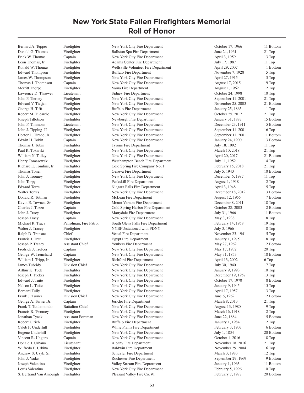Donald G. Thomas Firefighter Ballston Spa Fire Department June 24, 1961 21 Top Erick W. Thomas Captain New York City Fire Department April 3, 1959 13 Top Leon Thomas, Jr. Firefighter Adams Center Fire Department July 17, 1987 11 Top Ronald W. Thomas Firefighter Wellsville Volunteer Fire Department April 29, 2007 1 Bottom Edward Thompson Firefighter Buffalo Fire Department November 7, 1928 5 Top James W. Thompson Firefighter New York City Fire Department April 27, 1915 3 Top Thomas J. Thompson Captain New York City Fire Department August 17, 2015 19 Top Merritt Thorpe Firefighter Firefighter Varna Fire Department 1962 August 1, 1962 12 Top Lawrence D. Thrower Lieutenant Sidney Fire Department October 24, 1998 10 Top John P. Tierney Firefighter New York City Fire Department September 11, 2001 21 Top Edward V. Tietjen Firefighter New York City Fire Department November 25, 2003 21 Bottom George H. Tifft Firefighter Buffalo Fire Department January 25, 1865 1 Top Robert M. Tilearcio Firefighter New York City Fire Department Cotober 25, 2017 21 Top Joseph Tillotson Firefighter Newburgh Fire Department January 31, 1887 15 Bottom John F. Timmons Lieutenant New York City Fire Department December 23, 1911 5 Bottom John J. Tipping, II Firefighter New York City Fire Department September 11, 2001 16 Top Hector L. Tirado, Jr. Firefighter New York City Fire Department September 11, 2001 11 Bottom Edwin H. Tobin Captain Captain New York City Fire Department January 24, 1900 13 Bottom Thomas J. Tobin Firefighter Tyrone Fire Department July 18, 1992 11 Top Paul R. Tokarski Firefighter New York City Fire Department March 10, 2018 21 Top William N. Tolley Firefighter New York City Fire Department April 20, 2017 21 Bottom Henry Tomasewski Firefighter Westhampton Beach Fire Department July 11, 1952 14 Top Richard E. Tomlins, Jr. Firefighter Cold Spring Fire Company No. 1 February 15, 2018 21 Top Thomas Toner Firefighter Geneva Fire Department July 5, 1943 10 Bottom John J. Toomey Firefighter New York City Fire Department December 6, 1987 11 Top John Torpy Firefighter Peekskill Fire Department August 1, 1918 2 Top Edward Torre Firefighter Niagara Falls Fire Department April 3, 1948 15 Top Walter Torres Firefighter New York City Fire Department December 18, 2012 3 Bottom Donald R. Totman Firefighter McLean Fire Department August 12, 1955 7 Bottom Kevin E. Townes, Sr. Firefighter Mount Vernon Fire Department December 8, 2011 18 Top Charles J. Tozzo Captain Cold Spring Harbor Fire Department October 28, 2003 2 Bottom John J. Tracy Firefighter Mattydale Fire Department July 31, 1966 11 Bottom Joseph Tracy Captain New York City Fire Department May 3, 1938 18 Top Michael R. Tracy Patrolman, Fire Patrol South Glens Falls Fire Department February 14, 1958 19 Top Walter J. Tracey Firefighter NYBFU/stationed with FDNY July 3, 1966 8 Top Ralph D. Transue Chief Vestal Fire Department November 23, 1941 5 Top Francis J. Trau Firefighter Egypt Fire Department January 1, 1975 8 Top Joseph P. Treacy Assistant Chief Yonkers Fire Department May 27, 1962 12 Bottom Fredrick J. Trefcer Captain New York City Fire Department May 17, 1932 20 Top George W. Trenchard Captain New York City Fire Department May 31, 1853 18 Bottom William J. Tripp, Jr. Firefighter Richford Fire Department April 13, 2002 6 Top James Tubridy Division Chief New York City Fire Department July 30, 1940 17 Top Arthur K. Tuck Firefighter New York City Fire Department January 9, 1993 10 Top<br>
Joseph J. Tucker Firefighter New York City Fire Department December 19, 1957 13 Top Joseph J. Tucker Firefighter New York City Fire Department December 19, 1957 13 Top Edward J. Tuite Firefighter New York City Fire Department October 17, 1970 8 Bottom Nelson L. Tuite Firefighter New York City Fire Department January 9, 1945 15 Top Bernard Tully Firefighter New York City Fire Department April 17, 1957 13 Top Frank J. Turner Division Chief New York City Fire Department June 6, 1962 12 Bottom George A. Turner, Jr. Captain Captain Jericho Fire Department March 8, 2013 21 Top Frank T. Tuttlemondo Battalion Chief New York City Fire Department August 13, 1980 9 Top Francis R. Twomey Firefighter New York City Fire Department March 16, 1918 2 Top Jonathan Tyack Assistant Foreman New York City Fire Department June 22, 1884 15 Bottom Robert Ulrich Firefighter Buffalo Fire Department January 1, 1984 12 Top Caleb F. Underhill Firefighter White Plains Fire Department February 3, 1907 6 Bottom Eugene Underhill Firefighter New York City Fire Department July 1, 1834 20 Bottom Vincent R. Ungaro Captain New York City Fire Department October 1, 2016 18 Top Donald J. Urbano Lieutenant Albany Fire Department November 18, 2016 21 Top Wilfredo F. Urbina Firefighter Baldwin Fire Department November 29, 2004 6 Top Andrew S. Usyk, Sr. Firefighter Schuyler Fire Department March 3, 1983 12 Top John J. Vadas Firefighter Rochester Fire Department September 29, 1969 9 Bottom Joseph Valentino Firefighter Valley Stream Fire Department January 1, 1963 11 Bottom Louis Valentino Firefighter New York City Fire Department February 5, 1996 10 Top S. Bertrand Van Amburgh Firefighter Pleasant Valley Fire Co. #1 February 7, 1977 20 Bottom

Bernard A. Tepper Firefighter New York City Fire Department October 17, 1966 11 Bottom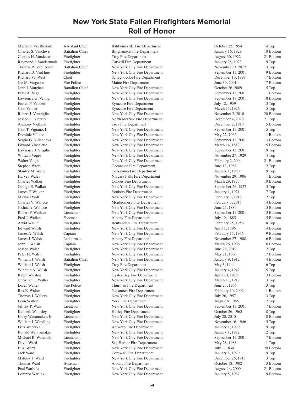Myron F. VanBuskirk Assistant Chief Baldwinsville Fire Department October 22, 1954 14 Top

Charles S. Vancleve Battalion Chief Binghamton Fire Department January 16, 1929 10 Bottom Charles H. Vandecar Firefighter Troy Fire Department August 30, 1922 21 Bottom Raymond J. Vandermark Firefighter Catskill Fire Department 19 Top January 28, 1973 19 Top Thomas R. Van Doran Battalion Chief New York City Fire Department November 13, 2012 3 Top Richard B. VanHine Firefighter New York City Fire Department September 11, 2001 9 Bottom Richard Van Wert Chief Chief Schaghticoke Fire Department December 10, 1999 17 Bottom Joe M. Vargason Fire Police Maine Fire Department June 30, 2001 17 Bottom John J. Vaughan Battalion Chief New York City Fire Department October 26, 2009 15 Top Peter A. Vega Firefighter New York City Fire Department September 11, 2001 1 Bottom Lawrence G. Veling Firefighter New York City Fire Department September 11, 2001 18 Bottom Enrico F. Vendetti Firefighter Syracuse Fire Department July 12, 1959 13 Top John Venner Firefighter Syracuse Fire Department March 15, 1926 5 Top Robert J. Ventriglia Firefighter New York City Fire Department November 2, 2010 20 Bottom Joseph L. Vicario Firefighter North Merrick Fire Department December 4, 2020 21 Top Anthony Vielkind Firefighter Troy Fire Department December 2, 1910 5 Bottom John T. Vigiano, II Firefighter New York City Fire Department September 11, 2001 15 Top Dominic Villano Firefighter New York City Fire Department May 22, 1966 11 Bottom Sergio G. Villanueva Firefighter New York City Fire Department September 11, 2001 13 Bottom Edward Vincelette Firefighter New York City Fire Department March 14, 1883 15 Bottom Lawrence J. Virgilio Firefighter New York City Fire Department September 11, 2001 19 Top William Vogel Firefighter New York City Fire Department November 27, 1929 4 Top Walter Voight Firefighter Firefighter New York City Fire Department February 2, 2004 21 Bottom Stephen Wade Firefighter Cocanside Fire Department June 13, 1986 12 Top Stanley M. Waite Firefighter Cossayuna Fire Department January 1, 1980 9 Top Harvey Wales Firefighter Niagara Falls Fire Department November 29, 1906 1 Bottom Charles Walker Firefighter Cohoes Fire Department March 29, 1877 10 Bottom George E. Walker Firefighter New York City Fire Department September 26, 1927 5 Top James F. Walker Firefighter Yonkers Fire Department January 1, 1971 7 Top Michael Wall Firefighter New York City Fire Department February 3, 1918 2 Top Charles V. Wallace Firefighter Montgomery Fire Department February 3, 2015 14 Bottom Joshua A. Wallace Firefighter New York City Fire Department June 25, 1884 15 Bottom Robert F. Wallace Lieutenant New York City Fire Department September 11, 2001 13 Bottom Fred J. Wallen Foreman **Foreman** Albany Fire Department July 12, 1885 15 Bottom Arvid Wallin Firefighter Beukendaal Fire Department February 25, 1956 18 Top Edward Walsh Firefighter New York City Fire Department April 1, 1896 14 Bottom James A. Walsh Captain New York City Fire Department February 15, 1956 9 Bottom James J. Walsh Ladderman Albany Fire Department November 27, 1908 6 Bottom John F. Walsh Captain New York City Fire Department March 26, 1906 6 Bottom Joseph Walsh Firefighter New York City Fire Department June 28, 2019 2 Top Peter H. Walsh Firefighter New York City Fire Department May 21, 1866 17 Bottom William J. Walsh Battalion Chief New York City Fire Department January 9, 1912 4 Bottom William J. Walsh Firefighter Troy Fire Department May 3, 1944 16 Top Winfield A. Walsh Firefighter New York City Fire Department January 4, 1947 15 Top Ralph Walston Firefighter Oyster Bay Fire Department April 20, 1928 13 Bottom Christian L. Walter Firefighter New York City Fire Department March 17, 1917 3 Top Loren Walter Fire Police Fire Police Thurman Fire Department June 23, 1956 13 Top Rex E. Walter Firefighter Fire Repartment February 10, 2002 11 Bottom Thomas J. Walters Firefighter New York City Fire Department July 26, 1957 13 Top Leon Walton Firefighter York Fire Department August 8, 1985 12 Top Jeffrey P. Walz Lieutenant New York City Fire Department September 11, 2001 17 Bottom Kenneth Wamsley Firefighter Hurley Fire Department October 26, 1963 18 Top Harry Wanamaker, Jr. Lieutenant New York City Fire Department July 20, 2010 18 Bottom William J. Wandling Firefighter New York City Fire Department November 16, 1946 15 Top Fritz Wanerka Firefighter Antwerp Fire Department January 1, 1979 9 Top Ronald Wannamaker Firefighter New York City Fire Department January 1, 1982 12 Top Michael R. Warchola Lieutenant New York City Fire Department September 11, 2001 7 Bottom David Ward Firefighter Sag Harbor Fire Department May 28, 1988 11 Top<br>F. A. Ward Firefighter New York City Fire Department July 1, 1834 20 Bott F. A. Ward Firefighter New York City Fire Department July 1, 1834 20 Bottom<br>
1979 9 Top Fire Penartment January 1, 1979 9 Top Jack Ward Firefighter Cornwall Fire Department 1979 9 Top 9 Top 9 Top 9 Top 9 Top 9 Top 9 Top 9 Top 9 Top 9 Top 9 Top 9 Top 9 Top 9 Top 9 Top 9 Top 9 Top 9 Top 9 Top 9 Top 9 Top 9 Top 9 Top 9 Top 9 Top 9 Top 9 Top 9 Top 9 Mathew J. Ward Firefighter New York City Fire Department December 26, 1915 3 Top<br>Thomas Ward Hoseman Albany Fire Department Qctober 18, 1902 13 Bott Thomas Ward Hoseman Mexican Albany Fire Department 1988 (Ctober 18, 1902 13 Bottom<br>
21 Bottom Paul Warhola Firefighter New York City Fire Department 1988 (Nugust 14, 2009 21 Bottom Paul Warhola Firefighter New York City Fire Department August 14, 2009 21 Bottom<br>
19 Dottom August 14, 2009 21 Bottom New York City Fire Department January 5, 1967 9 Bottom New York City Fire Department January 5, 1967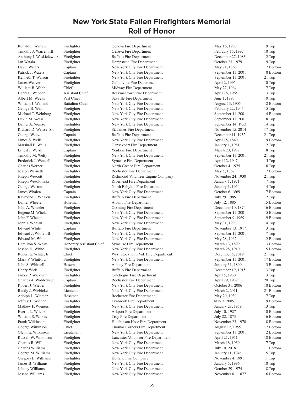Ronald F. Warren Firefighter Geneva Fire Department May 16, 1980 9 Top

Timothy J. Warren, III Firefighter Geneva Fire Department February 15, 1997 10 Top Anthony J. Waskielewicz Firefighter Buffalo Fire Department December 27, 1983 12 Top Jan Watala Firefighter Hempstead Fire Department October 23, 1979 9 Top David Waters Captain Captain New York City Fire Department May 21, 1866 17 Bottom Patrick J. Waters Captain Captain New York City Fire Department September 11, 2001 8 Bottom Kenneth T. Watson Firefighter New York City Fire Department September 11, 2001 21 Top James Weaver Firefighter Gallupville Fire Department April 2, 1995 10 Top William B. Webb Chief Chief Midway Fire Department May 27, 1964 7 Top Harry L. Webber Assistant Chief Beekmantown Fire Department April 28, 1965 3 Top Albert M. Weeks Past Chief Sayville Fire Department June 1, 1993 June 1, 1993 10 Top William J. Weiland Battalion Chief New York City Fire Department August 13, 1905 2 Bottom George B. Weill Firefighter New York City Fire Department February 22, 1945 15 Top Michael T. Weinberg Firefighter New York City Fire Department September 11, 2001 14 Bottom David M. Weiss Firefighter New York City Fire Department September 11, 2001 18 Top Daniel A. Weisse Firefighter New York City Fire Department September 14, 1953 14 Top Richard D. Weisse, Sr. Firefighter St. James Fire Department November 15, 2014 17 Top George Weitz Captain Buffalo Fire Department December 11, 1932 21 Top James S. Wells Firefighter New York City Fire Department April 15, 1840 19 Bottom Marshall E. Wells Firefighter Gansevoort Fire Department January 1, 1981 12 Top Ernest J. Welsh Captain Yonkers Fire Department March 20, 1937 18 Top Timothy M. Welty Firefighter New York City Fire Department September 11, 2001 21 Top Frederick J. Wenzell Firefighter Syracuse Fire Department April 12, 1947 15 Top Charles Werner Firefighter North Greece Fire Department October 4, 1975 8 Top Joseph Wernette Firefighter Rochester Fire Department May 5, 1867 17 Bottom Joseph Wescott Firefighter Richmond Volunteer Engine Company November 24, 1930 21 Top Joseph Wesolowski Firefighter Riverhead Fire Department January 1, 1971 7 Top George Weston Firefighter North Babylon Fire Department January 1, 1954 14 Top James Whalen Captain New York City Fire Department October 6, 1869 17 Bottom Raymond J. Whalen Firefighter Buffalo Fire Department July 29, 1985 12 Top Daniel Wheeler Hoseman Albany Fire Department July 12, 1885 15 Bottom John A. Wheeler Firefighter Cossining Fire Department December 10, 1874 16 Bottom Eugene M. Whelan Firefighter New York City Fire Department September 11, 2001 5 Bottom John F. Whelan Firefighter New York City Fire Department September 9, 1969 9 Bottom John J. Whelan Firefighter New York City Fire Department May 31, 1930 4 Top Edward White Captain Buffalo Fire Department November 13, 1917 3 Top Edward J. White, III Firefighter New York City Fire Department September 11, 2001 7 Top Edward M. White Firefighter New York City Fire Department May 28, 1962 12 Bottom Hamilton S. White Honorary Assistant Chief Syracuse Fire Department March 13, 1899 13 Bottom Joseph H. White Firefighter New York City Fire Department March 28, 1910 5 Bottom Robert E. White, Jr. Chief West Stockholm Vol. Fire Department December 5, 2019 21 Top Mark P. Whitford Firefighter New York City Fire Department September 11, 2001 17 Bottom John S. Whitnell Hoseman Albany Fire Department January 31, 1899 13 Bottom Henry Wick Firefighter Buffalo Fire Department December 19, 1915 3 Top James P. Wickham Firefighter Cutchogue Fire Department April 5, 1930 13 Top Charles A. Widdowson Captain **Rochester Fire Department** April 29, 1932 20 Top Robert J. Wieber Firefighter New York City Fire Department October 31, 2006 18 Bottom Randy J. Wiebicke Lieutenant New York City Fire Department March 2, 2011 21 Bottom Adolph L. Wiemer Hoseman Rochester Fire Department May 20, 1939 17 Top Jeffrey L. Wiener Firefighter Lynbrook Fire Department May 7, 2005 19 Bottom Mathew F. Wieners Firefighter New York City Fire Department January 28, 1959 13 Top Everitt L. Wilcox Firefighter Arkport Fire Department July 10, 1927 10 Bottom William S. Wilkes Firefighter Troy Fire Department July 22, 1873 16 Bottom Frank Wilkinson Firefighter Hutchinson Hose Fire Department November 23, 1970 8 Bottom George Wilkinson Chief Thomas Corners Fire Department August 12, 1955 7 Bottom Glenn E. Wilkinson Lieutenant New York City Fire Department September 11, 2001 2 Bottom Russell W. Wilkinson Firefighter Lancaster Volunteer Fire Department April 21, 1951 18 Bottom Charles R. Will Firefighter New York City Fire Department March 18, 1939 17 Top<br>Charles Williams Firefighter New York City Fire Department July 10, 2018 1 Bott Firefighter New York City Fire Department July 10, 2018 1 Bottom George M. Williams Firefighter New York City Fire Department January 11, 1946 15 Top Gregory E. Williams Firefighter Firefighter Holland Fire Company November 4, 1991 11 Top<br>
10 Top James B. Williams Firefighter New York City Fire Department January 5, 1996 10 Top James B. Williams Firefighter New York City Fire Department 1 1 January 5, 1996<br>1974 Johnny Williams Firefighter New York City Fire Department 1 2000 1974 Johnny Williams Firefighter New York City Fire Department October 29, 1974 8 Top New York City Fire Department November 01, 1877